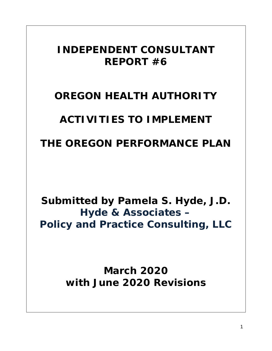# *INDEPENDENT CONSULTANT REPORT #6*

# *OREGON HEALTH AUTHORITY*

# *ACTIVITIES TO IMPLEMENT*

# *THE OREGON PERFORMANCE PLAN*

*Submitted by Pamela S. Hyde, J.D. Hyde & Associates – Policy and Practice Consulting, LLC*

> *March 2020 with June 2020 Revisions*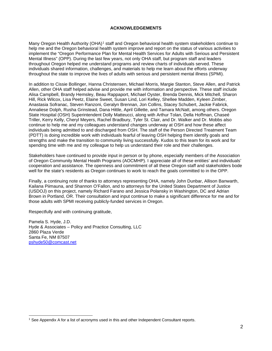#### **ACKNOWLEDGEMENTS**

Many Oregon Health Authority (OHA)<sup>[1](#page-1-0)</sup> staff and Oregon behavioral health system stakeholders continue to help me and the Oregon behavioral health system improve and report on the status of various activities to implement the "Oregon Performance Plan for Mental Health Services for Adults with Serious and Persistent Mental Illness" (OPP). During the last few years, not only OHA staff, but program staff and leaders throughout Oregon helped me understand programs and review charts of individuals served. These individuals shared information, challenges, and materials to help me learn about the efforts underway throughout the state to improve the lives of adults with serious and persistent mental illness (SPMI).

In addition to Cissie Bollinger, Hanna Christensen, Michael Morris, Margie Stanton, Steve Allen, and Patrick Allen, other OHA staff helped advise and provide me with information and perspective. These staff include Alisa Campbell, Brandy Hemsley, Beau Rappaport, Michael Oyster, Brenda Dennis, Mick Mitchell, Sharon Hill, Rick Wilcox, Lisa Peetz, Elaine Sweet, Susan Lind, Lori Kelley, Shellee Madden, Kyleen Zimber, Anastasia Sofranac, Steven Ranzoni, Geralyn Brennan, Jon Collins, Stacey Schubert, Jackie Fabrick, Annaliese Dolph, Rusha Grinstead, Dana Hittle, April Gillette, and Tamara McNatt, among others. Oregon State Hospital (OSH) Superintendent Dolly Matteucci, along with Arthur Tolan, Della Hoffman, Chaseé Triller, Kerry Kelly, Cheryl Meyers, Rachel Bradbury, Tyler St. Clair, and Dr. Walker and Dr. Mobbs also continue to help me and my colleagues understand changes underway at OSH and how these affect individuals being admitted to and discharged from OSH. The staff of the Person Directed Treatment Team (PDTT) is doing incredible work with individuals fearful of leaving OSH helping them identify goals and strengths and make the transition to community living successfully. Kudos to this team for its work and for spending time with me and my colleague to help us understand their role and their challenges.

Stakeholders have continued to provide input in person or by phone, especially members of the Association of Oregon Community Mental Health Programs (AOCMHP). I appreciate all of these entities' and individuals' cooperation and assistance. The openness and commitment of all these Oregon staff and stakeholders bode well for the state's residents as Oregon continues to work to reach the goals committed to in the OPP.

Finally, a continuing note of thanks to attorneys representing OHA, namely John Dunbar, Allison Banwarth, Kailana Piimauna, and Shannon O'Fallon, and to attorneys for the United States Department of Justice (USDOJ) on this project, namely Richard Farano and Jessica Polansky in Washington, DC and Adrian Brown in Portland, OR. Their consultation and input continue to make a significant difference for me and for those adults with SPMI receiving publicly-funded services in Oregon.

Respectfully and with continuing gratitude,

Pamela S. Hyde, J.D. Hyde & Associates – Policy and Practice Consulting, LLC 2860 Plaza Verde Santa Fe, NM 87507 [pshyde50@comcast.net](mailto:pshyde50@comcast.net)

<span id="page-1-0"></span><sup>&</sup>lt;sup>1</sup> See Appendix A for a list of acronyms used in this and other Independent Consultant reports.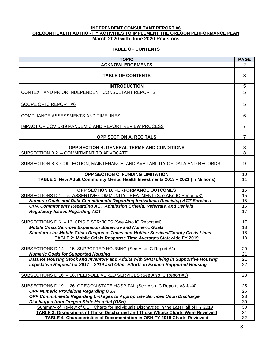### **INDEPENDENT CONSULTANT REPORT #6 OREGON HEALTH AUTHORITY ACTIVITIES TO IMPLEMENT THE OREGON PERFORMANCE PLAN March 2020 with June 2020 Revisions**

# **TABLE OF CONTENTS**

| <b>TOPIC</b>                                                                                                    | <b>PAGE</b> |
|-----------------------------------------------------------------------------------------------------------------|-------------|
| <b>ACKNOWLEDGEMENTS</b>                                                                                         | 2           |
|                                                                                                                 |             |
| <b>TABLE OF CONTENTS</b>                                                                                        | 3           |
|                                                                                                                 |             |
| <b>INTRODUCTION</b>                                                                                             | 5           |
| CONTEXT AND PRIOR INDEPENDENT CONSULTANT REPORTS                                                                | 5           |
|                                                                                                                 |             |
| <b>SCOPE OF IC REPORT #6</b>                                                                                    | 5           |
|                                                                                                                 |             |
| <b>COMPLIANCE ASSESSMENTS AND TIMELINES</b>                                                                     | 6           |
|                                                                                                                 |             |
| <b>IMPACT OF COVID-19 PANDEMIC AND REPORT REVIEW PROCESS</b>                                                    | 7           |
|                                                                                                                 |             |
| OPP SECTION A. RECITALS                                                                                         | 7           |
|                                                                                                                 |             |
| OPP SECTION B. GENERAL TERMS AND CONDITIONS                                                                     | 8           |
| SUBSECTION B.2. - COMMITMENT TO ADVOCATE                                                                        | 8           |
|                                                                                                                 |             |
| SUBSECTION B.3. COLLECTION, MAINTENANCE, AND AVAILABILITY OF DATA AND RECORDS                                   | 9           |
| <b>OPP SECTION C. FUNDING LIMITATION</b>                                                                        | 10          |
| TABLE 1: New Adult Community Mental Health Investments 2013 - 2021 (in Millions)                                | 11          |
|                                                                                                                 |             |
| OPP SECTION D. PERFORMANCE OUTCOMES                                                                             | 15          |
| SUBSECTIONS D.1. - 5. ASSERTIVE COMMUNITY TREATMENT (See Also IC Report #3)                                     | 15          |
| <b>Numeric Goals and Data Commitments Regarding Individuals Receiving ACT Services</b>                          | 15          |
| OHA Commitments Regarding ACT Admission Criteria, Referrals, and Denials                                        | 16          |
| <b>Regulatory Issues Regarding ACT</b>                                                                          | 17          |
|                                                                                                                 |             |
| SUBSECTIONS D.6. - 13. CRISIS SERVICES (See Also IC Report #4)                                                  | 17          |
| <b>Mobile Crisis Services Expansion Statewide and Numeric Goals</b>                                             | 18          |
| Standards for Mobile Crisis Response Times and Hotline Services/County Crisis Lines                             | 18          |
| TABLE 2: Mobile Crisis Response Time Averages Statewide FY 2019                                                 | 18          |
|                                                                                                                 |             |
| SUBSECTIONS D.14. - 15. SUPPORTED HOUSING (See Also IC Report #4)<br><b>Numeric Goals for Supported Housing</b> | 20          |
| Data Re Housing Stock and Inventory and Adults with SPMI Living in Supportive Housing                           | 21<br>21    |
| Legislative Request for 2017 - 2019 and Other Efforts to Expand Supported Housing                               | 22          |
|                                                                                                                 |             |
| SUBSECTIONS D.16. - 18. PEER-DELIVERED SERVICES (See Also IC Report #3)                                         | 23          |
|                                                                                                                 |             |
| <u> SUBSECTIONS D.19. - 26. OREGON STATE HOSPITAL (See Also IC Reports #3 &amp; #4)</u>                         | 25          |
| <b>OPP Numeric Provisions Regarding OSH</b>                                                                     | 26          |
| OPP Commitments Regarding Linkages to Appropriate Services Upon Discharge                                       | 28          |
| <b>Discharges from Oregon State Hospital (OSH)</b>                                                              | 30          |
| Summary of Review of OSH Charts for Individuals Discharged in the Last Half of FY 2019                          | 30          |
| <b>TABLE 3: Dispositions of Those Discharged and Those Whose Charts Were Reviewed</b>                           | 31          |
| <b>TABLE 4: Characteristics of Documentation in OSH FY 2019 Charts Reviewed</b>                                 | 32          |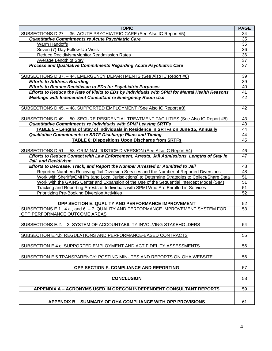| <b>TOPIC</b>                                                                                                                                               | <b>PAGE</b>     |
|------------------------------------------------------------------------------------------------------------------------------------------------------------|-----------------|
| SUBSECTIONS D.27. - 36. ACUTE PSYCHIATRIC CARE (See Also IC Report #5)                                                                                     | 34              |
| Quantitative Commitments re Acute Psychiatric Care                                                                                                         | 35              |
| Warm Handoffs                                                                                                                                              | $\overline{35}$ |
| Seven (7)-Day Follow-Up Visits                                                                                                                             | $\overline{36}$ |
| Reduce Recidivism/Monitor Readmission Rates                                                                                                                | $\overline{36}$ |
| Average Length of Stay                                                                                                                                     | $\overline{37}$ |
| Process and Qualitative Commitments Regarding Acute Psychiatric Care                                                                                       | 37              |
|                                                                                                                                                            |                 |
| SUBSECTIONS D.37. - 44. EMERGENCY DEPARTMENTS (See Also IC Report #6)                                                                                      | 39              |
| <b>Efforts to Address Boarding</b>                                                                                                                         | 39              |
| <b>Efforts to Reduce Recidivism to EDs for Psychiatric Purposes</b>                                                                                        | 40              |
| Efforts to Reduce the Rate of Visits to EDs by Individuals with SPMI for Mental Health Reasons                                                             | 41              |
| Meetings with Independent Consultant re Emergency Room Use                                                                                                 | 42              |
|                                                                                                                                                            |                 |
| SUBSECTIONS D.45. - 48. SUPPORTED EMPLOYMENT (See Also IC Report #3)                                                                                       | 42              |
|                                                                                                                                                            | 43              |
| SUBSECTIONS D.49. - 50. SECURE RESIDENTIAL TREATMENT FACILITIES (See Also IC Report #5)<br>Quantitative Commitments re Individuals with SPMI Leaving SRTFs | 43              |
| TABLE 5 - Lengths of Stay of Individuals in Residence in SRTFs on June 15, Annually                                                                        | 44              |
| Qualitative Commitments re SRTF Discharge Plans and Timing                                                                                                 | 44              |
| <b>TABLE 6: Dispositions Upon Discharge from SRTFs</b>                                                                                                     | 45              |
|                                                                                                                                                            |                 |
| SUBSECTIONS D.51. - 53. CRIMINAL JUSTICE DIVERSION (See Also IC Report #4)                                                                                 | 46              |
| Efforts to Reduce Contact with Law Enforcement, Arrests, Jail Admissions, Lengths of Stay in                                                               | 47              |
| <b>Jail, and Recidivism</b>                                                                                                                                |                 |
| Efforts to Decrease, Track, and Report the Number Arrested or Admitted to Jail                                                                             | 48              |
| Reported Numbers Receiving Jail Diversion Services and the Number of Reported Diversions                                                                   | 48              |
| Work with Sheriffs/CMHPs (and Local Jurisdictions) to Determine Strategies to Collect/Share Data                                                           | 51              |
| <u>Work with the GAINS Center and Expansion of the Use of the Sequential Intercept Model (SIM)</u>                                                         | 51              |
| <b>Tracking and Reporting Arrests of Individuals with SPMI Who Are Enrolled in Services</b>                                                                | 51              |
| <b>Prioritizing Pre-Booking Diversion Activities</b>                                                                                                       | 52              |
|                                                                                                                                                            |                 |
| OPP SECTION E. QUALITY AND PERFORMANCE IMPROVEMENT                                                                                                         | 52              |
| SUBSECTIONS E.1., 4.a., and 6. - 7. QUALITY AND PERFORMANCE IMPROVEMENT SYSTEM FOR                                                                         | 53              |
| OPP PERFORMANCE OUTCOME AREAS                                                                                                                              |                 |
|                                                                                                                                                            |                 |
| SUBSECTIONS E.2. - 3. SYSTEM OF ACCOUNTABILITY INVOLVING STAKEHOLDERS                                                                                      | 54              |
| SUBSECTION E.4.b. REGULATIONS AND PERFORMANCE-BASED CONTRACTS                                                                                              | 55              |
|                                                                                                                                                            |                 |
| SUBSECTION E.4.c. SUPPORTED EMPLOYMENT AND ACT FIDELITY ASSESSMENTS                                                                                        | 56              |
|                                                                                                                                                            |                 |
| SUBSECTION E.5 TRANSPARENCY: POSTING MINUTES AND REPORTS ON OHA WEBSITE                                                                                    | 56              |
|                                                                                                                                                            |                 |
| OPP SECTION F. COMPLIANCE AND REPORTING                                                                                                                    | 57              |
|                                                                                                                                                            |                 |
| <b>CONCLUSION</b>                                                                                                                                          | 58              |
|                                                                                                                                                            |                 |
| <b>APPENDIX A - ACRONYMS USED IN OREGON INDEPENDENT CONSULTANT REPORTS</b>                                                                                 | 59              |
|                                                                                                                                                            |                 |
| APPENDIX B - SUMMARY OF OHA COMPLIANCE WITH OPP PROVISIONS                                                                                                 | 61              |
|                                                                                                                                                            |                 |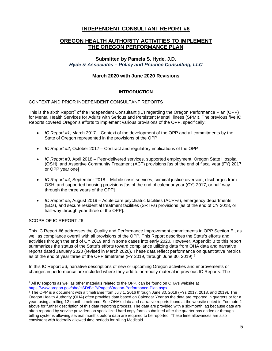# **INDEPENDENT CONSULTANT REPORT #6**

# **OREGON HEALTH AUTHORITY ACTIVITIES TO IMPLEMENT THE OREGON PERFORMANCE PLAN**

# **Submitted by Pamela S. Hyde, J.D.** *Hyde & Associates – Policy and Practice Consulting, LLC*

# **March 2020 with June 2020 Revisions**

# **INTRODUCTION**

# CONTEXT AND PRIOR INDEPENDENT CONSULTANT REPORTS

This is the sixth Report<sup>[2](#page-4-0)</sup> of the Independent Consultant (IC) regarding the Oregon Performance Plan (OPP) for Mental Health Services for Adults with Serious and Persistent Mental Illness (SPMI). The previous five IC Reports covered Oregon's efforts to implement various provisions of the OPP, specifically:

- *IC Report #1,* March 2017 Context of the development of the OPP and all commitments by the State of Oregon represented in the provisions of the OPP
- *IC Report #2*, October 2017 Contract and regulatory implications of the OPP
- *IC Report #3*, April 2018 Peer-delivered services, supported employment, Oregon State Hospital (OSH), and Assertive Community Treatment (ACT) provisions [as of the end of fiscal year (FY) 2017 or OPP year one]
- *IC Report #4*, September 2018 Mobile crisis services, criminal justice diversion, discharges from OSH, and supported housing provisions [as of the end of calendar year (CY) 2017, or half-way through the three years of the OPP]
- *IC Report #5*, August 2019 Acute care psychiatric facilities (ACPFs), emergency departments (EDs), and secure residential treatment facilities (SRTFs) provisions [as of the end of CY 2018, or half-way through year three of the OPP].

#### SCOPE OF IC REPORT #6

This IC Report #6 addresses the Quality and Performance Improvement commitments in OPP Section E., as well as compliance overall with all provisions of the OPP. This Report describes the State's efforts and activities through the end of CY 2019 and in some cases into early 2020. However, Appendix B to this report summarizes the status of the State's efforts toward compliance utilizing data from OHA data and narrative reports dated January 2020 (revised in March 2020). These data reflect performance on quantitative metrics as of the end of year three of the OPP timeframe (FY 2019, through June [3](#page-4-1)0, 2019).<sup>3</sup>

In this IC Report #6, narrative descriptions of new or upcoming Oregon activities and improvements or changes in performance are included where they add to or modify material in previous IC Reports. The

<span id="page-4-0"></span><sup>&</sup>lt;sup>2</sup> All IC Reports as well as other materials related to the OPP, can be found on OHA's website at [https://www.oregon.gov/oha/HSD/BHP/Pages/Oregon-Performance-Plan.aspx.](https://www.oregon.gov/oha/HSD/BHP/Pages/Oregon-Performance-Plan.aspx)

<span id="page-4-1"></span> $3$  The OPP is a document with a timeframe from July 1, 2016 through June 30, 2019 (FYs 2017, 2018, and 2019). The Oregon Health Authority (OHA) often provides data based on Calendar Year as the data are reported in quarters or for a year, using a rolling 12-month timeframe. See OHA's data and narrative reports found at the website noted in Footnote 2 above for further description of this data reporting process. The data are provided with a six-month lag because data are often reported by service providers on specialized hard copy forms submitted after the quarter has ended or through billing systems allowing several months before data are required to be reported. These time allowances are also consistent with federally allowed time periods for billing Medicaid.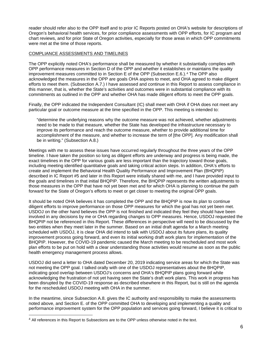reader should refer also to the OPP itself and to prior IC Reports posted on OHA's website for descriptions of Oregon's behavioral health services, for prior compliance assessments with OPP efforts, for IC program and chart reviews, and for prior State of Oregon activities, especially for those areas in which OPP commitments were met at the time of those reports.

### COMPLIANCE ASSESSMENTS AND TIMELINES

The OPP explicitly noted OHA's performance shall be measured by whether it substantially complies with OPP performance measures in Section D of the OPP and whether it establishes or maintains the quality improvement measures committed to in Section E of the OPP (Subsection E.6.).<sup>[4](#page-5-0)</sup> The OPP also acknowledged the measures in the OPP are goals OHA aspires to meet, and OHA agreed to make diligent efforts to meet them. (Subsection A.7.) I have assessed and continue in this Report to assess compliance in this manner, that is, whether the State's activities and outcomes were in substantial compliance with its commitments as outlined in the OPP and whether OHA has made diligent efforts to meet the OPP goals.

Finally, the OPP indicated the Independent Consultant (IC) shall meet with OHA if OHA does not meet any particular goal or outcome measure at the time specified in the OPP. This meeting is intended to:

"determine the underlying reasons why the outcome measure was not achieved, whether adjustments need to be made to that measure, whether the State has developed the infrastructure necessary to improve its performance and reach the outcome measure, whether to provide additional time for accomplishment of the measure, and whether to increase the term of [the OPP]. Any modification shall be in writing." (Subsection A.8.)

Meetings with me to assess these issues have occurred regularly throughout the three years of the OPP timeline. I have taken the position so long as diligent efforts are underway and progress is being made, the exact timelines in the OPP for various goals are less important than the trajectory toward those goals, including meeting identified quantitative goals and taking critical action steps. In addition, OHA's efforts to create and implement the Behavioral Health Quality Performance and Improvement Plan (BHQPIP) described in IC Report #5 and later in this Report were initially shared with me, and I have provided input to the goals and timelines in that initial BHQPIP. Therefore, the BHQPIP represents the written adjustments to those measures in the OPP that have not yet been met and for which OHA is planning to continue the path forward for the State of Oregon's efforts to meet or get closer to meeting the original OPP goals.

It should be noted OHA believes it has completed the OPP and the BHQPIP is now its plan to continue diligent efforts to improve performance on those OPP measures for which the goal has not yet been met. USDOJ on the other hand believes the OPP is not finished and indicated they feel they should have been involved in any decisions by me or OHA regarding changes to OPP measures. Hence, USDOJ requested the BHQPIP not be referenced in this Report. These differences in perspective will need to be discussed by the two entities when they meet later in the summer. Based on an initial draft agenda for a March meeting scheduled with USDOJ, it is clear OHA did intend to talk with USDOJ about its future plans, its quality improvement process going forward, and even its initial working draft work plans for implementation of the BHQPIP. However, the COVID-19 pandemic caused the March meeting to be rescheduled and most work plan efforts to be put on hold with a clear understanding those activities would resume as soon as the public health emergency management process allows.

USDOJ did send a letter to OHA dated December 20, 2019 indicating service areas for which the State was not meeting the OPP goal. I talked orally with one of the USDOJ representatives about the BHQPIP, indicating good overlap between USDOJ's concerns and OHA's BHQPIP plans going forward while acknowledging the frustration of not yet having seen the State's draft work plans. This work in progress has been disrupted by the COVID-19 response as described elsewhere in this Report, but is still on the agenda for the rescheduled USDOJ meeting with OHA in the summer.

In the meantime, since Subsection A.8. gives the IC authority and responsibility to make the assessments noted above, and Section E. of the OPP committed OHA to developing and implementing a quality and performance improvement system for the OPP population and services going forward, I believe it is critical to

<span id="page-5-0"></span><sup>4</sup> All references in this Report to Subsections are to the OPP unless otherwise noted in the text.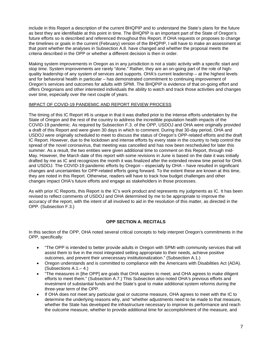include in this Report a description of the current BHQPIP and to understand the State's plans for the future as best they are identifiable at this point in time. The BHQPIP is an important part of the State of Oregon's future efforts so is described and referenced throughout this Report. If OHA requests or proposes to change the timelines or goals in the current (February) version of the BHQPIP, I will have to make an assessment at that point whether the analyses in Subsection A.8. have changed and whether the proposal meets the criteria described in the OPP or whether a different decision is then in order.

Making system improvements in Oregon as in any jurisdiction is not a static activity with a specific start and stop time. System improvements are rarely "done." Rather, they are an on-going part of the role of highquality leadership of any system of services and supports. OHA's current leadership – at the highest levels and for behavioral health in particular – has demonstrated commitment to continuing improvement of Oregon's services and outcomes for adults with SPMI. The BHQPIP is evidence of that on-going effort and offers Oregonians and other interested individuals the ability to watch and track those activities and changes over time, especially over the next couple of years.

#### IMPACT OF COVID-19 PANDEMIC AND REPORT REVIEW PROCESS

The timing of this IC Report #6 is unique in that it was drafted prior to the intense efforts undertaken by the State of Oregon and the rest of the country to address the incredible population health impacts of the COVID-19 pandemic. As required by Subsection F.3. of the OPP, USDOJ and OHA were originally provided a draft of this Report and were given 30 days in which to comment. During that 30-day period, OHA and USDOJ were originally scheduled to meet to discuss the status of Oregon's OPP-related efforts and the draft IC Report. However, due to the lockdown and intense efforts by every state in the country to help control the spread of the novel coronavirus, that meeting was cancelled and has now been rescheduled for later this summer. As a result, the two entities were given additional time to comment on this Report, through mid-May. However, the March date of this report with some revisions in June is based on the date it was initially drafted by me as IC and recognizes the month it was finalized after the extended review time period for OHA and USDOJ. The COVID-19 pandemic efforts by Oregon – especially by OHA – have resulted in significant changes and uncertainties for OPP-related efforts going forward. To the extent these are known at this time, they are noted in this Report. Otherwise, readers will have to track how budget challenges and other changes impact OHA's future efforts and engage as stakeholders in those processes.

As with prior IC Reports, this Report is the IC's work product and represents my judgments as IC. It has been revised to reflect comments of USDOJ and OHA determined by me to be appropriate to improve the accuracy of the report, with the intent of all involved to aid in the resolution of this matter, as directed in the OPP. (Subsection F.3.)

# **OPP SECTION A. RECITALS**

In this section of the OPP, OHA noted several critical concepts to help interpret Oregon's commitments in the OPP, specifically:

- "The OPP is intended to better provide adults in Oregon with SPMI with community services that will assist them to live in the most integrated setting appropriate to their needs, achieve positive outcomes, and prevent their unnecessary institutionalization." (Subsection A.1.)
- Oregon understands and is committed to compliance with the Americans with Disabilities Act (ADA). (Subsections A.1.– 4.)
- "The measures in [the OPP] are goals that OHA aspires to meet, and OHA agrees to make diligent efforts to meet them." (Subsection A.7.) This Subsection also noted OHA's previous efforts and investment of substantial funds and the State's goal to make additional system reforms during the three-year term of the OPP.
- If OHA does not meet any particular goal or outcome measure, OHA agrees to meet with the IC to determine the underlying reasons why, and "whether adjustments need to be made to that measure, whether the State has developed the infrastructure necessary to improve its performance and reach the outcome measure, whether to provide additional time for accomplishment of the measure, and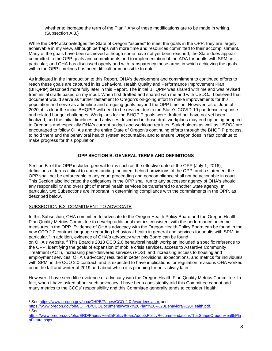whether to increase the term of the Plan." Any of these modifications are to be made in writing. (Subsection A.8.)

While the OPP acknowledges the State of Oregon "aspires" to meet the goals in the OPP, they are largely achievable in my view, although perhaps with more time and resources committed to their accomplishment. Many of the goals have been achieved although some have not yet been reached; the State does appear committed to the OPP goals and commitments and to implementation of the ADA for adults with SPMI in particular; and OHA has discussed openly and with transparency those areas in which achieving the goals within the OPP timelines has been difficult or impossible to date.

As indicated in the Introduction to this Report, OHA's development and commitment to continued efforts to reach these goals are captured in its Behavioral Health Quality and Performance Improvement Plan (BHQPIP) described more fully later in this Report. The initial BHQPIP was shared with me and was revised from initial drafts based on my input. When first drafted and shared with me and with USDOJ, I believed that document would serve as further testament to Oregon's on-going effort to make improvements for this population and serve as a timeline and on-going goals beyond the OPP timeline. However, as of June of 2020, it is clear the initial BHQPIP will need to be revised due to the State's COVID-19 pandemic response and related budget challenges. Workplans for the BHQPIP goals were drafted but have not yet been finalized, and the initial timelines and activities described in those draft workplans may end up being adapted to Oregon's and especially OHA's current budget and workload realities. Stakeholders as well as USDOJ are encouraged to follow OHA's and the entire State of Oregon's continuing efforts through the BHQPIP process, to hold them and the behavioral health system accountable, and to ensure Oregon does in fact continue to make progress for this population.

# **OPP SECTION B. GENERAL TERMS AND DEFINITIONS**

Section B. of the OPP included general terms such as the effective date of the OPP (July 1, 2016), definitions of terms critical to understanding the intent behind provisions of the OPP, and a statement the OPP shall not be enforceable in any court proceeding and noncompliance shall not be actionable in court. This Section also indicated the obligations in the OPP shall run to any successor agency of OHA's should any responsibility and oversight of mental health services be transferred to another State agency. In particular, two Subsections are important in determining compliance with the commitments in the OPP, as described below.

# SUBSECTION B.2. COMMITMENT TO ADVOCATE

In this Subsection, OHA committed to advocate to the Oregon Health Policy Board and the Oregon Health Plan Quality Metrics Committee to develop additional metrics consistent with the performance outcome measures in the OPP. Evidence of OHA's advocacy with the Oregon Health Policy Board can be found in the new CCO 2.0 contract language regarding behavioral health in general and services for adults with SPMI in particular.<sup>[5](#page-7-0)</sup> In addition, evidence of OHA's advocacy with this Board can be found. on OHA's website. [6](#page-7-1) This Board's 2018 CCO 2.0 behavioral health workplan included a specific reference to

the OPP, identifying the goals of expansion of mobile crisis services, access to Assertive Community Treatment (ACT), increasing peer-delivered services (PDS), and increasing access to housing and employment services. OHA's advocacy resulted in better provisions, expectations, and metrics for individuals with SPMI in the CCO 2.0 contract, and is expected to have implications for regulation revisions OHA worked on in the fall and winter of 2019 and about which it is planning further activity later.

However, I have seen little evidence of advocacy with the Oregon Health Plan Quality Metrics Committee. In fact, when I have asked about such advocacy, I have been consistently told this Committee cannot add many metrics to the CCOs' responsibility and this Committee generally tends to consider Health

[https://www.oregon.gov/oha/OHPB/CCODocuments/Work%20Plan%20-%20Behavioral%20Health.pdf.](https://www.oregon.gov/oha/OHPB/CCODocuments/Work%20Plan%20-%20Behavioral%20Health.pdf)  $6 \text{ See}$ 

<span id="page-7-0"></span><sup>5</sup> See<https://www.oregon.gov/oha/OHPB/Pages/CCO-2-0-Awardees.aspx> and

<span id="page-7-1"></span>[https://www.oregon.gov/oha/ERD/Pages/HealthPolicyBoardAdoptsPolicyRecommendationsThatShapeOregonHealthPla](https://www.oregon.gov/oha/ERD/Pages/HealthPolicyBoardAdoptsPolicyRecommendationsThatShapeOregonHealthPlanFuture.aspx) [nFuture.aspx.](https://www.oregon.gov/oha/ERD/Pages/HealthPolicyBoardAdoptsPolicyRecommendationsThatShapeOregonHealthPlanFuture.aspx)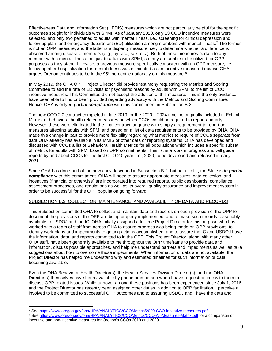Effectiveness Data and Information Set (HEDIS) measures which are not particularly helpful for the specific outcomes sought for individuals with SPMI. As of January 2020, only 13 CCO incentive measures were selected, and only two pertained to adults with mental illness, i.e., screening for clinical depression and follow-up plan, and emergency department (ED) utilization among members with mental illness.[7](#page-8-0) The former is not an OPP measure, and the latter is a disparity measure, i.e., to determine whether a difference is observed among disparate members (e.g., by race, sex, etc.). Both of these measures pertain to any member with a mental illness, not just to adults with SPMI, so they are unable to be utilized for OPP purposes as they stand. Likewise, a previous measure specifically consistent with an OPP measure, i.e., follow-up after hospitalization for mental illness was eliminated as an incentive measure because OHA argues Oregon continues to be in the  $95<sup>th</sup>$  percentile nationally on this measure.<sup>[8](#page-8-1)</sup>

In May 2019, the OHA OPP Project Director did provide testimony requesting the Metrics and Scoring Committee to add the rate of ED visits for psychiatric reasons by adults with SPMI to the list of CCO incentive measures. This Committee did not accept the addition of this measure. This is the only evidence I have been able to find or been provided regarding advocacy with the Metrics and Scoring Committee. Hence, OHA is only *in partial compliance* with this commitment in Subsection B.2.

The new CCO 2.0 contract completed in late 2019 for the 2020 – 2024 timeline originally included in Exhibit M a list of behavioral health related measures on which CCOs would be required to report annually. However, these were eliminated in the final contract language with simply a requirement to report on measures affecting adults with SPMI and based on a list of data requirements to be provided by OHA. OHA made this change in part to provide more flexibility regarding what metrics to require of CCOs separate from data OHA already has available in its MMIS or other data or reporting systems. OHA has developed and discussed with CCOs a list of Behavioral Health Metrics for all populations which includes a specific subset of metrics for adults with SPMI based on OPP commitments. This list is a work in progress and will guide reports by and about CCOs for the first CCO 2.0 year, i.e., 2020, to be developed and released in early 2021.

Since OHA has done part of the advocacy described in Subsection B.2. but not all of it, the State is *in partial compliance* with this commitment. OHA will need to assure appropriate measures, data collection, and incentives (financial or otherwise) are incorporated into required reports, public dashboards, compliance assessment processes, and regulations as well as its overall quality assurance and improvement system in order to be successful for the OPP population going forward.

#### SUBSECTION B.3. COLLECTION, MAINTENANCE, AND AVAILABILITY OF DATA AND RECORDS

This Subsection committed OHA to collect and maintain data and records on each provision of the OPP to document the provisions of the OPP are being properly implemented, and to make such records reasonably available to USDOJ and the IC. OHA initially assigned a fulltime Project Director for this purpose who has worked with a team of staff from across OHA to assure progress was being made on OPP provisions, to identify work plans and impediments to getting actions accomplished, and to assure the IC and USDOJ have the information, data, and reports committed to in the OPP. This Project Director, along with many other OHA staff, have been generally available to me throughout the OPP timeframe to provide data and information, discuss possible approaches, and help me understand barriers and impediments as well as take suggestions about how to overcome those impediments. When information or data are not available, the Project Director has helped me understand why and estimated timelines for such information or data becoming available.

Even the OHA Behavioral Health Director(s), the Health Services Division Director(s), and the OHA Director(s) themselves have been available by phone or in person when I have requested time with them to discuss OPP related issues. While turnover among these positions has been experienced since July 1, 2016 and the Project Director has recently been assigned other duties in addition to OPP facilitation, I perceive all involved to be committed to successful OPP outcomes and to assuring USDOJ and I have the data and

<span id="page-8-0"></span><sup>7</sup> See [https://www.oregon.gov/oha/HPA/ANALYTICS/CCOMetrics/2020-CCO-incentive-measures.pdf.](https://www.oregon.gov/oha/HPA/ANALYTICS/CCOMetrics/2020-CCO-incentive-measures.pdf)

<span id="page-8-1"></span><sup>8</sup> See<https://www.oregon.gov/oha/HPA/ANALYTICS/CCOMetrics/CCO-All-Measures-Matrix.pdf> for a comparison of incentive and non-incentive measures for Oregon's CCOs 2019 and 2020.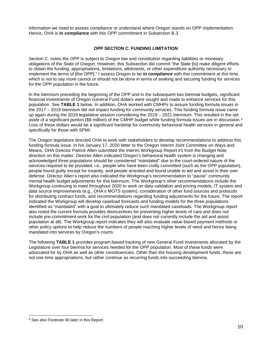information we need to assess compliance or understand where Oregon stands on OPP implementation. Hence, OHA is *in compliance* with this OPP commitment in Subsection B.3.

### **OPP SECTION C. FUNDING LIMITATION**

Section C. notes the OPP is subject to Oregon law and constitution regarding liabilities or monetary obligations of the State of Oregon. However, this Subsection did commit "the State [to] make diligent efforts to obtain the funding, appropriations, limitations, allotments, or other expenditure authority necessary to implement the terms of [the OPP]." I assess Oregon to be *in compliance* with this commitment at this time, which is not to say more cannot or should not be done in terms of seeking and securing funding for services for the OPP population in the future.

In the biennium preceding the beginning of the OPP and in the subsequent two biennial budgets, significant financial investments of Oregon General Fund dollars were sought and made to enhance services for this population. See **TABLE 1** below. In addition, OHA worked with CMHPs to assure funding formula issues in the 2017 – 2019 biennium did not impact funding for community services. This funding formula issue came up again during the 2019 legislative session considering the 2019 – 2021 biennium. This resulted in the set aside of a significant portion (\$[9](#page-9-0) million) of the CMHP budget while funding formula issues are in discussion.<sup>9</sup> Loss of these dollars would be a significant hardship for community behavioral health services in general and specifically for those with SPMI.

The Oregon legislature directed OHA to work with stakeholders to develop recommendations to address this funding formula issue. In his January 17, 2020 letter to the Oregon Interim Joint Committee on Ways and Means, OHA Director Patrick Allen submitted the Interim Workgroup Report #1 from the Budget Note direction on this matter. Director Allen indicated Oregon's behavioral health system is changing and acknowledged three populations should be considered "mandated" due to the court-ordered nature of the services required to be provided, i.e., people who have been civilly committed (such as the OPP population), people found guilty except for insanity, and people arrested and found unable to aid and assist in their own defense. Director Allen's report also indicated the Workgroup's recommendation to "pause" community mental health budget adjustments for this biennium. The Workgroup's other recommendations include the Workgroup continuing to meet throughout 2020 to work on data validation and pricing models, IT system and data source improvements (e.g., OHA's MOTS system), consideration of other fund sources and protocols for distributing contract funds, and recommendations regarding funding adjustments for the future. The report indicated the Workgroup will develop caseload forecasts and funding models for the three populations identified as "mandated" with a goal to ultimately reduce such mandated caseloads. The Workgroup report also noted the current formula provides disincentives for preventing higher levels of care and does not include pre-commitment work for the civil population (and does not currently include the aid and assist population at all). The Workgroup report indicates they will also evaluate value-based payment methods or other policy options to help reduce the numbers of people reaching higher levels of need and hence being mandated into services by Oregon's courts.

The following **TABLE 1** provides program-based tracking of new General Fund investments allocated by the Legislature over four biennia for services needed for the OPP population. Most of these funds were advocated for by OHA as well as other constituencies. Other than the housing development funds, these are not one-time appropriations, but rather continue as recurring funds into succeeding biennia.

<span id="page-9-0"></span><sup>&</sup>lt;sup>9</sup> See also Footnote 90 later in this Report.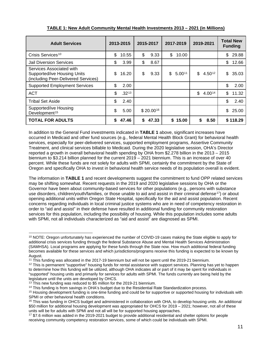| <b>Adult Services</b>                                                                                 | 2013-2015        | 2015-2017   | 2017-2019 |         | 2019-2021    | <b>Total New</b><br><b>Funding</b> |
|-------------------------------------------------------------------------------------------------------|------------------|-------------|-----------|---------|--------------|------------------------------------|
| Crisis Services <sup>10</sup>                                                                         | \$<br>10.55      | \$<br>9.33  | \$        | 10.00   |              | \$<br>29.88                        |
| <b>Jail Diversion Services</b>                                                                        | \$<br>3.99       | \$<br>8.67  |           |         |              | \$<br>12.66                        |
| Services Associated with<br><b>Supported/ive Housing Units</b><br>(including Peer-Delivered Services) | \$<br>16.20      | \$<br>9.33  | \$        | 5.0011  | \$<br>4.5012 | \$<br>35.03                        |
| <b>Supported Employment Services</b>                                                                  | \$<br>2.00       |             |           |         |              | \$<br>2.00                         |
| <b>ACT</b>                                                                                            | \$<br>$.32^{13}$ |             |           |         | \$<br>4.0014 | \$<br>11.32                        |
| <b>Tribal Set Aside</b>                                                                               | \$<br>2.40       |             |           |         |              | \$<br>2.40                         |
| Supported/ive Housing<br>Development <sup>15</sup>                                                    | \$<br>5.00       | \$20.0016   |           |         |              | \$<br>25.00                        |
| <b>TOTAL FOR ADULTS</b>                                                                               | \$<br>47.46      | \$<br>47.33 |           | \$15.00 | \$<br>8.50   | \$118.29                           |

# **TABLE 1: New Adult Community Mental Health Investments 2013 – 2021 (in Millions)**

In addition to the General Fund investments indicated in **TABLE 1** above, significant increases have occurred in Medicaid and other fund sources (e.g., federal Mental Health Block Grant) for behavioral health services, especially for peer-delivered services, supported employment programs, Assertive Community Treatment, and clinical services billable to Medicaid. During the 2020 legislative session, OHA's Director reported a growth in overall behavioral health spending by OHA from \$2.278 billion in the 2013 – 2015 biennium to \$3.214 billion planned for the current 2019 – 2021 biennium. This is an increase of over 40 percent. While these funds are not solely for adults with SPMI, certainly the commitment by the State of Oregon and specifically OHA to invest in behavioral health service needs of its population overall is evident.

The information in **TABLE 1** and recent developments suggest the commitment to fund OPP related services may be shifting somewhat. Recent requests in the 2019 and 2020 legislative sessions by OHA or the Governor have been about community-based services for other populations (e.g., persons with substance use disorders, children/youth/families, or those unable to aid and assist in their criminal defense<sup>17</sup>) or about opening additional units within Oregon State Hospital, specifically for the aid and assist population. Recent concerns regarding individuals in local criminal justice systems who are in need of competency restoration in order to "aid and assist" in their defense have resulted in additional funding for community restoration services for this population, including the possibility of housing. While this population includes some adults with SPMI, not all individuals characterized as "aid and assist" are diagnosed as SPMI.

<span id="page-10-0"></span><sup>&</sup>lt;sup>10</sup> NOTE: Oregon unfortunately has experienced the number of COVID-19 cases making the State eligible to apply for additional crisis services funding through the federal Substance Abuse and Mental Health Services Administration (SAMHSA). Local programs are applying for these funds through the State now. How much additional federal funding becomes available for these services and which jurisdictions/programs receive this funding is expected to be known by August.

<span id="page-10-1"></span><sup>&</sup>lt;sup>11</sup> This funding was allocated in the 2017-19 biennium but will not be spent until the 2019-21 biennium.

<span id="page-10-2"></span> $12$  This is permanent "supportive" housing funds for rental assistance with support services. Planning has yet to happen to determine how this funding will be utilized, although OHA indicates all or part of it may be spent for individuals in "supported" housing units and primarily for services for adults with SPMI. The funds currently are being held by the legislature until the units are developed by OHCS.

<span id="page-10-3"></span><sup>&</sup>lt;sup>13</sup> This new funding was reduced to \$5 million for the 2019-21 biennium.

<span id="page-10-4"></span><sup>&</sup>lt;sup>14</sup> This funding is from savings in OHA's budget due to the Residential Rate Standardization process.

<span id="page-10-5"></span><sup>&</sup>lt;sup>15</sup> Housing development funding is one-time funding and could be for supportive or supported housing for individuals with SPMI or other behavioral health conditions.

<span id="page-10-6"></span> $16$  This was funding in OHCS budget and administered in collaboration with OHA, to develop housing units. An additional \$50 million for additional housing development was appropriated for OHCS for 2019 – 2021; however, not all of these units will be for adults with SPMI and not all will be for supported housing approaches.

<span id="page-10-7"></span> $17$  \$7.6 million was added in the 2019-2021 budget to provide additional residential and shelter options for people receiving community competency restoration services, some of which could be individuals with SPMI.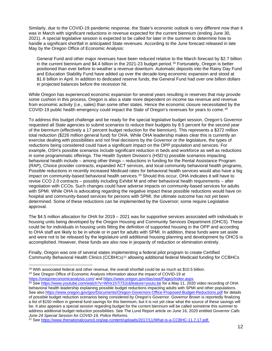Similarly, due to the COVID-19 pandemic response, the State's economic outlook is very different now than it was in March with significant reductions in revenue expected for the current biennium (ending June 30, 2021). A special legislative session is expected to be called for later in the summer to determine how to handle a significant shortfall in anticipated State revenues. According to the June forecast released in late May by the Oregon Office of Economic Analysis:

General Fund and other major revenues have been reduced relative to the March forecast by \$2.7 billion in the current biennium and \$4.4 billion in the 2021-23 budget period.[18](#page-11-0) Fortunately, Oregon is better positioned than ever before to weather a revenue downturn. Automatic deposits into the Rainy Day Fund and Education Stability Fund have added up over the decade-long economic expansion and stood at \$1.6 billion in April. In addition to dedicated reserve funds, the General Fund had over one billion dollars in projected balances before the recession hit.

While Oregon has experienced economic expansion for several years resulting in reserves that may provide some cushion in this process, Oregon is also a state more dependent on income tax revenue and revenue from economic activity (i.e., sales) than some other states. Hence the economic closure necessitated by the COVID-19 public health emergency could impact the State of Oregon's revenues for years to come.[19](#page-11-1)

To address this budget challenge and be ready for the special legislative budget session, Oregon's Governor requested all State agencies to submit scenarios to reduce their budgets by 8.5 percent for the second year of the biennium (effectively a 17 percent budget reduction for the biennium). This represents a \$372 million total reduction (\$226 million general fund) for OHA. While OHA leadership makes clear this is currently an exercise dealing with possibilities and not final decisions by the Governor or the legislature, the types of reductions being considered could have a significant impact on the OPP population and services. For example, OSH's possible scenarios include significant reduction in beds and workforce as well as reductions in some programmatic offerings. The Health System Division's (HSD's) possible scenarios impacting behavioral health include – among other things – reductions in funding for the Rental Assistance Program (RAP), Choice provider contracts, expanded ACT services, and local community behavioral health programs, Possible reductions in recently increased Medicaid rates for behavioral health services would also have a big impact on community-based behavioral health services.<sup>[20](#page-11-2)</sup> Should this occur, OHA indicates it will have to revise CCO 2.0 contracts – possibly including Exhibit M and other behavioral health requirements – after negotiation with CCOs. Such changes could have adverse impacts on community-based services for adults with SPMI. While OHA is advocating regarding the negative impact these possible reductions would have on hospital and community-based services for persons with SPMI, the ultimate outcome has not yet been determined. Some of these reductions can be implemented by the Governor; some require Legislative approval.

The \$4.5 million allocation for OHA for 2019 – 2021 was for supportive services associated with individuals in housing units being developed by the Oregon Housing and Community Services Department (OHCS). These could be for individuals in housing units fitting the definition of supported housing in the OPP and according to OHA staff are likely to be in whole or in part for adults with SPMI. In addition, these funds were set aside and were not to be released by the legislature until additional housing planning and development by OHCS is accomplished. However, these funds are also now in jeopardy of reduction or elimination entirely.

Finally, Oregon was one of several states implementing a federal pilot program to create Certified Community Behavioral Health Clinics (CCBHCs)<sup>[21](#page-11-3)</sup> allowing additional federal Medicaid funding for CCBHCs

<span id="page-11-1"></span><sup>19</sup> See Oregon Office of Economic Analysis information about the impact of COVID-19 at

<https://oregoneconomicanalysis.com/> and https://www.oregon.gov/das/oea/Pages/Index.aspx.

<span id="page-11-0"></span> $18$  With associated federal and other revenue, the overall shortfall could be as much as \$10.5 billion.

<span id="page-11-2"></span><sup>&</sup>lt;sup>20</sup> Se[e https://www.youtube.com/watch?v=WHx1h7i73Jc&feature=youtu.be](https://www.youtube.com/watch?v=WHx1h7i73Jc&feature=youtu.be) for a May 11, 2020 video recording of OHA behavioral health leadership explaining possible budget reductions impacting adults with SPMI and other populations. See also<https://www.oregon.gov/gov/Documents/Oregon-Governors-Office-Proposed-Budget-Reductions.pdf> for details of possible budget reduction scenarios being considered by Oregon's Governor. Governor Brown is reportedly finalizing a list of \$150 million in general fund savings for this biennium, but it is not yet clear what the source of these savings will be. It also appears a special session regarding budget for the current biennium will be called sometime this summer to address additional budget reduction possibilities. See The Lund Report article on June 16, 2020 entitled *Governor Calls June 24 Special Session for COVID-19, Police Reforms.*

<span id="page-11-3"></span><sup>21</sup> Se[e https://www.thenationalcouncil.org/wp-content/uploads/2017/11/What-is-a-CCBHC-11.7.17.pdf.](https://www.thenationalcouncil.org/wp-content/uploads/2017/11/What-is-a-CCBHC-11.7.17.pdf)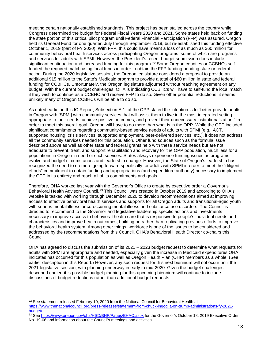meeting certain nationally established standards. This project has been stalled across the country while Congress determined the budget for Federal Fiscal Years 2020 and 2021. Some states held back on funding the state portion of this critical pilot program until Federal Financial Participation (FFP) was assured. Oregon held its General Fund for one quarter, July through September 2019, but re-established this funding effective October 1, 2019 (part of FY 2020). With FFP, this could have meant a loss of as much as \$60 million for community behavioral health services across participating Oregon programs, some of which are programs and services for adults with SPMI. However, the President's recent budget submission does include significant continuation and increased funding for this program.<sup>[22](#page-12-0)</sup> Some Oregon counties or CCBHCs selffunded the required match using local funds in order to obtain the FFP funding pending state or federal action. During the 2020 legislative session, the Oregon legislature considered a proposal to provide an additional \$15 million to the State's Medicaid program to provide a total of \$80 million in state and federal funding for CCBHCs. Unfortunately, the Oregon legislature adiourned without reaching agreement on any budget. With the current budget challenges, OHA is indicating CCBHCs will have to self-fund the local match if they wish to continue as a CCBHC and receive FFP to do so. Given other potential reductions, it seems unlikely many of Oregon CCBHCs will be able to do so.

As noted earlier in this IC Report, Subsection A.1. of the OPP stated the intention is to "better provide adults in Oregon with [SPMI] with community services that will assist them to live in the most integrated setting appropriate to their needs, achieve positive outcomes, and prevent their unnecessary institutionalization." In order to meet this overall goal, Oregon will have to do more than what is in the OPP. While the OPP included significant commitments regarding community-based service needs of adults with SPMI (e.g., ACT, supported housing, crisis services, supported employment, peer-delivered services, etc.), it does not address all the community services needed for this population. Other fund sources such as the formula issue described above as well as other state and federal grants help with these service needs but are not adequate to prevent, treat, and support rehabilitation and recovery for the OPP population, much less for all populations in Oregon in need of such services. States always experience funding issues as programs evolve and budget circumstances and leadership change. However, the State of Oregon's leadership has recognized the need to do more going forward specifically for adults with SPMI in order to meet the "diligent efforts" commitment to obtain funding and appropriations (and expenditure authority) necessary to implement the OPP in its entirety and reach all of its commitments and goals.

Therefore, OHA worked last year with the Governor's Office to create by executive order a Governor's Behavioral Health Advisory Council.<sup>[23](#page-12-1)</sup> This Council was created in October 2019 and according to OHA's website is tasked with working through December 2020 to develop recommendations aimed at improving access to effective behavioral health services and supports for all Oregon adults and transitional-aged youth with serious mental illness or co-occurring mental illness and substance use disorders. The Council is directed to recommend to the Governor and legislative leadership specific actions and investments necessary to improve access to behavioral health care that is responsive to people's individual needs and characteristics and improve health outcomes, building on rather than replicating previous efforts to improve the behavioral health system. Among other things, workforce is one of the issues to be considered and addressed by the recommendations from this Council. OHA's Behavioral Health Director co-chairs this Council.

OHA has agreed to discuss the submission of its 2021 – 2023 budget request to determine what requests for adults with SPMI are appropriate and needed, especially given the increase in Medicaid expenditures OHA indicates has occurred for this population as well as Oregon Health Plan (OHP) members as a whole. (See earlier description in this Report.) However, any such request for this next biennium will not occur until the 2021 legislative session, with planning underway in early to mid-2020. Given the budget challenges described earlier, it is possible budget planning for this upcoming biennium will continue to include discussions of budget reductions rather than additional budget requests.

<span id="page-12-0"></span> $22$  See statement released February 10, 2020 from the National Council for Behavioral Health at [https://www.thenationalcouncil.org/press-releases/statement-from-chuck-ingoglia-on-trump-administrations-fy-2021](https://www.thenationalcouncil.org/press-releases/statement-from-chuck-ingoglia-on-trump-administrations-fy-2021-budget/) [budget/.](https://www.thenationalcouncil.org/press-releases/statement-from-chuck-ingoglia-on-trump-administrations-fy-2021-budget/)

<span id="page-12-1"></span><sup>&</sup>lt;sup>23</sup> Se[e https://www.oregon.gov/oha/HSD/BHP/Pages/BHAC.aspx](https://www.oregon.gov/oha/HSD/BHP/Pages/BHAC.aspx) for the Governor's October 18, 2019 Executive Order No. 19-06 and information about the Council's meetings and activities.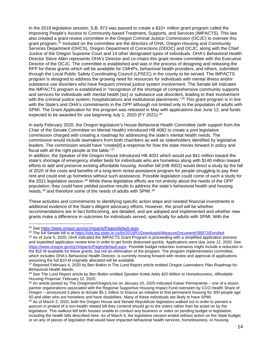In the 2019 legislative session, S.B. 973 was passed to create a \$10+ million grant program called the Improving People's Access to Community-based Treatment, Supports, and Services (IMPACTS). This law also created a grant review committee in the Oregon Criminal Justice Commission (OCJC) to oversee this grant program.<sup>[24](#page-13-0)</sup> Included on the committee are the directors of OHA, Oregon Housing and Community Services Department (OHCS), Oregon Department of Corrections (ODOC) and OCJC, along with the Chief Justice of the Oregon Supreme Court and 14 other designated types of individuals. OHA's Behavioral Health Director Steve Allen represents OHA's Director and co-chairs this grant review committee with the Executive Director of the OCJC. The committee is established and was in the process of designing and releasing the RFP for these grants which will be available for CMHPs, behavioral health providers, and others, submitted through the Local Public Safety Coordinating Council (LPSCC) in the county to be served. The IMPACTS program is designed to address the growing need for resources for individuals with mental illness and/or substance use disorders who have frequent criminal justice system involvement. The Senate bill indicates the IMPACTS program is established in "recognition of the shortage of comprehensive community supports and services for individuals with mental health [sic] or substance use disorders, leading to their involvement with the criminal justice system, hospitalizations and institutional placements."<sup>[25](#page-13-1)</sup> This grant program is in line with the State's and OHA's commitments in the OPP although not limited only to the population of adults with SPMI. The Grant Application for this program was released in May with applications due June 12, and funds expected to be awarded for use beginning July 1, 2020 (FY 2021).<sup>[26](#page-13-2)</sup>

In early February 2020, the Oregon legislature's House Behavioral Health Committee (with support from the Chair of the Senate Committee on Mental Health) introduced HB 4082 to create a joint legislative commission charged with creating a roadmap for addressing the state's mental health needs. The commission would include lawmakers from both chambers as well as stakeholders identified by legislative leaders. The commission would have "create[d] a response for how the state moves forward in policy and fiscal with all the right people at the table."[27](#page-13-3)

In addition, the Speaker of the Oregon House introduced HB 4001 which would put \$41 million toward the state's shortage of emergency shelter beds for individuals who are homeless along with \$140 million toward efforts to add and preserve existing affordable housing. Another bill (HB 4002) would direct a study by the fall of 2020 of the costs and benefits of a long-term rental assistance program for people struggling to pay their rent and could end up homeless without such assistance. Possible legislation could come of such a study for the 2021 legislative session.<sup>[28](#page-13-4)</sup> While these legislative efforts are not entirely about the needs of the OPP population, they could have yielded positive results to address the state's behavioral health and housing needs,<sup>[29](#page-13-5)</sup> and therefore some of the needs of adults with SPMI.<sup>[30](#page-13-6)</sup>

These activities and commitments to identifying specific action steps and needed financial investments is additional evidence of the State's diligent advocacy efforts. However, the proof will be whether recommendations are in fact forthcoming, are detailed, and are adopted and implemented and whether new grants make a difference in outcomes for individuals served, specifically for adults with SPMI. With the

<span id="page-13-0"></span><sup>24</sup> Se[e https://www.oregon.gov/cjc/impacts/Pages/default.aspx.](https://www.oregon.gov/cjc/impacts/Pages/default.aspx)

<span id="page-13-1"></span><sup>25</sup> The full Senate bill is a[t https://olis.leg.state.or.us/liz/2019R1/Downloads/MeasureDocument/SB973/Enrolled.](https://olis.leg.state.or.us/liz/2019R1/Downloads/MeasureDocument/SB973/Enrolled)

<span id="page-13-2"></span> $26$  As of June 5, 2020, OHA indicated the IMPACTS Grant Program is proceeding with a simplified application process and expedited application review time in order to get funds disbursed quickly. Applications were due June 12, 2020. See [https://www.oregon.gov/cjc/impacts/Pages/default.aspx.](https://www.oregon.gov/cjc/impacts/Pages/default.aspx) Possible budget reduction scenarios might include a reduction in the \$10 M available for these grants, but not an elimination of the program. The program implementation committee, which includes OHA's Behavioral Health Director, is currently moving forward with review and approval of applications assuming the full \$10 M originally allocated will be available.

<span id="page-13-3"></span><sup>27</sup> Reported February 4, 2020 by Ben Botkin in The Lund Report article entitled *Oregon Lawmakers Plan Roadmap for Behavioral Health Needs*.

<span id="page-13-4"></span><sup>28</sup> See The Lund Report article by Ben Botkin entitled *Speaker Kotek Adds \$20 Million to Homelessness, Affordable Housing Proposal*, February 12, 2020.

<span id="page-13-5"></span><sup>&</sup>lt;sup>29</sup> An article posted by The Oregonian/OregonLive on January 20, 2020 indicated Kaiser Permanente – one of a dozen partner organizations associated with the Regional Supportive Housing Impact Fund overseen by CCO Health Share of Oregon – announced it plans to donate \$5.1 million to finance an initiative to find permanent housing for 300 people age 50 and older who are homeless and have disabilities. Many of these individuals are likely to have SPMI.

<span id="page-13-6"></span><sup>30</sup> As of March 3, 2020, both the Oregon House and Senate Republican legislators walked out in order to prevent a quorum in protest of a non-health related bill they contend should go to the voters rather than be acted on by the legislature. This walkout left both houses unable to conduct any business or votes on pending budget or legislation, including the health bills described here. As of March 5, the legislative session ended without action on the State budget or on any of pieces of legislation that would have impacted behavioral health services, homelessness, or housing.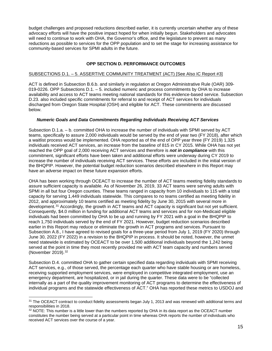budget challenges and proposed reductions described earlier, it is currently uncertain whether any of these advocacy efforts will have the positive impact hoped for when initially begun. Stakeholders and advocates will need to continue to work with OHA, the Governor's office, and the legislature to prevent as many reductions as possible to services for the OPP population and to set the stage for increasing assistance for community-based services for SPMI adults in the future.

#### **OPP SECTION D. PERFORMANCE OUTCOMES**

#### SUBSECTIONS D.1. – 5. ASSERTIVE COMMUNITY TREATMENT (ACT) [See Also IC Report #3]

ACT is defined in Subsection B.6.b. and similarly in regulation at Oregon Administrative Rule (OAR) 309- 019-0226. OPP Subsections D.1. – 5. included numeric and process commitments by OHA to increase availability and access to ACT teams meeting national standards for this evidence-based service. Subsection D.23. also included specific commitments for referral to and receipt of ACT services for individuals discharged from Oregon State Hospital (OSH) and eligible for ACT. These commitments are discussed below.

#### *Numeric Goals and Data Commitments Regarding Individuals Receiving ACT Services*

Subsection D.1.a. – b. committed OHA to increase the number of individuals with SPMI served by ACT teams, specifically to assure 2,000 individuals would be served by the end of year two (FY 2018), after which a waitlist process would be implemented. OHA reported as of the end of OPP year three (FY 2019) 1,325 individuals received ACT services, an increase from the baseline of 815 in CY 2015. While OHA has not yet reached the OPP goal of 2,000 receiving ACT services and therefore is *not in compliance* with this commitment, significant efforts have been taken and additional efforts were underway during CY 2019 to increase the number of individuals receiving ACT services. These efforts are included in the initial version of the BHQPIP. However, the potential budget reduction scenarios described elsewhere in this Report may have an adverse impact on these future expansion efforts.

OHA has been working through OCEACT to increase the number of ACT teams meeting fidelity standards to assure sufficient capacity is available. As of November 26, 2019, 33 ACT teams were serving adults with SPMI in all but four Oregon counties. These teams ranged in capacity from 10 individuals to 115 with a total capacity for serving 1,449 individuals statewide. This compares to no teams certified as meeting fidelity in 2012, and approximately 10 teams certified as meeting fidelity by June 30, 2015 with several more in development.<sup>[31](#page-14-0)</sup> Accordingly, the growth in ACT teams and ACT capacity is significant but not yet sufficient. Consequently, \$4.0 million in funding for additional ACT teams and services and for non-Medicaid eligible individuals had been committed by OHA to be up and running by FY 2021 with a goal in the BHQPIP to reach 1,750 individuals served by the end of FY 2021. However, budget reduction scenarios described earlier in this Report may reduce or eliminate the growth in ACT programs and services. Pursuant to Subsection A.8., I have agreed to revised goals for a three-year period from July 1, 2019 (FY 2020) through June 30, 2022 (FY 2022) in a revision to the BHQPIP in process. It should be noted, however, the unmet need statewide is estimated by OCEACT to be over 1,500 additional individuals beyond the 1,242 being served at the point in time they most recently provided me with ACT team capacity and numbers served (November 2019).[32](#page-14-1)

Subsection D.4. committed OHA to gather certain specified data regarding individuals with SPMI receiving ACT services, e.g., of those served, the percentage each quarter who have stable housing or are homeless, receiving supported employment services, were employed in competitive integrated employment, use an emergency department, are hospitalized, or in jail during the quarter. These data were to be "collected internally as a part of the quality improvement monitoring of ACT programs to determine the effectiveness of individual programs and the statewide effectiveness of ACT." OHA has reported these metrics to USDOJ and

<span id="page-14-0"></span><sup>&</sup>lt;sup>31</sup> The OCEACT contract to conduct fidelity assessments began July 1, 2013 and was renewed with additional terms and responsibilities in 2018.

<span id="page-14-1"></span> $32$  NOTE: This number is a little lower than the numbers reported by OHA in its data report as the OCEACT number constitutes the number being served at a particular point in time whereas OHA reports the number of individuals who received ACT services over the course of a year.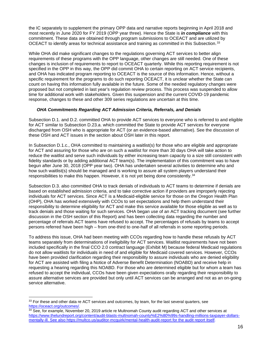the IC separately to supplement the primary OPP data and narrative reports beginning in April 2018 and most recently in June 2020 for FY 2019 (OPP year three). Hence the State is *in compliance* with this commitment. These data are obtained through program submissions to OCEACT and are utilized by OCEACT to identify areas for technical assistance and training as committed in this Subsection.<sup>[33](#page-15-0)</sup>

While OHA did make significant changes to the regulations governing ACT services to better align requirements of these programs with the OPP language, other changes are still needed. One of these changes is inclusion of requirements to report to OCEACT quarterly. While this reporting requirement is not specified in the OPP in this way, the OPP did commit OHA to certain reporting on ACT service recipients, and OHA has indicated program reporting to OCEACT is the source of this information. Hence, without a specific requirement for the programs to do such reporting OCEACT, it is unclear whether the State can count on having this information fully available in the future. Some of the needed regulatory changes were proposed but not completed in last year's regulation review process. This process was suspended to allow time for additional work with stakeholders. Given this suspension and the current COVID-19 pandemic response, changes to these and other 309 series regulations are uncertain at this time.

# *OHA Commitments Regarding ACT Admission Criteria, Referrals, and Denials*

Subsection D.1. and D.2. committed OHA to provide ACT services to everyone who is referred to and eligible for ACT similar to Subsection D.23.a. which committed the State to provide ACT services for everyone discharged from OSH who is appropriate for ACT (or an evidence-based alternative). See the discussion of these OSH and ACT issues in the section about OSH later in this report.

In Subsection D.1.c., OHA committed to maintaining a waitlist(s) for those who are eligible and appropriate for ACT and assuring for those who are on such a waitlist for more than 30 days OHA will take action to reduce the waitlist and serve such individuals by either increasing team capacity to a size still consistent with fidelity standards or by adding additional ACT team(s). The implementation of this commitment was to have begun after June 30, 2018 (OPP year two). OHA has undertaken several activities to determine who and how such waitlist(s) should be managed and is working to assure all system players understand their responsibilities to make this happen. However, it is not yet being done consistently.[34](#page-15-1)

Subsection D.3. also committed OHA to track denials of individuals to ACT teams to determine if denials are based on established admission criteria, and to take corrective action if providers are improperly rejecting individuals for ACT services. Since ACT is a Medicaid-eligible service for those on the Oregon Health Plan (OHP), OHA has worked extensively with CCOs to set expectations and help them understand their responsibility to determine eligibility for ACT and make this service available for those eligible as well as to track denials and those waiting for such services. OHA began use of an ACT tracking document (see further discussion in the OSH section of this Report) and has been collecting data regarding the number and percentage of referrals ACT teams have refused to accept. The percentages of refusals by teams to accept persons referred have been high – from one-third to one-half of all referrals in some reporting periods.

To address this issue, OHA had been meeting with CCOs regarding how to handle these refusals by ACT teams separately from determinations of ineligibility for ACT services. Waitlist requirements have not been included specifically in the final CCO 2.0 contract language (Exhibit M) because federal Medicaid regulations do not allow waitlists for individuals in need of and eligible for Medicaid covered services. However, CCOs have been provided clarification regarding their responsibility to assure individuals who are denied eligibility for ACT are assisted with filing a Notice of Adverse Benefit Determination (NOABD) and receive help in requesting a hearing regarding this NOABD. For those who are determined eligible but for whom a team has refused to accept the individual, CCOs have been given expectations orally regarding their responsibility to assure alternative services are provided but only until ACT services can be arranged and not as an on-going service alternative.

<span id="page-15-0"></span> $33$  For these and other data re ACT services and outcomes, by team, for the last several quarters, see [https://oceact.org/outcomes/.](https://oceact.org/outcomes/)

<span id="page-15-1"></span> $34$  See, for example, November 20, 2019 article re Multnomah County audit regarding ACT and other services at [https://www.thelundreport.org/content/audit-blasts-multnomah-county%E2%80%99s-handling-millions-taxpayer-dollars](https://www.thelundreport.org/content/audit-blasts-multnomah-county%E2%80%99s-handling-millions-taxpayer-dollars-mentally-ill)[mentally-ill.](https://www.thelundreport.org/content/audit-blasts-multnomah-county%E2%80%99s-handling-millions-taxpayer-dollars-mentally-ill) See also<https://multco.us/auditor-mcquirk/mental-health-audit-report> for the audit report itself.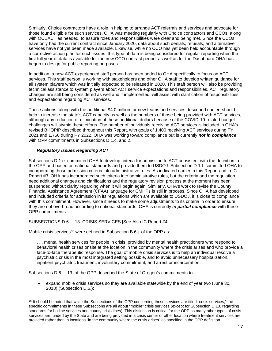Similarly, Choice contractors have a role in helping to arrange ACT referrals and services and advocate for those found eligible for such services. OHA was meeting regularly with Choice contractors and CCOs, along with OCEACT as needed, to assure roles and responsibilities were clear and being met. Since the CCOs have only had the current contract since January 2020, data about such denials, refusals, and alternative services have not yet been made available. Likewise, while no CCO has yet been held accountable through a corrective action plan for such issues, this type of data is being considered for regular reporting when the first full year of data is available for the new CCO contract period, as well as for the Dashboard OHA has begun to design for public reporting purposes.

In addition, a new ACT-experienced staff person has been added to OHA specifically to focus on ACT services. This staff person is working with stakeholders and other OHA staff to develop written guidance for all system players which was initially expected to be released in 2020. This staff person will also be providing technical assistance to system players about ACT service expectations and responsibilities. ACT regulatory changes are still being considered as well and if implemented, will assist with clarification of responsibilities and expectations regarding ACT services.

These actions, along with the additional \$4.0 million for new teams and services described earlier, should help to increase the state's ACT capacity as well as the numbers of those being provided with ACT services, although any reduction or elimination of these additional dollars because of the COVID-19-related budget challenges will stymie these efforts. The number of individuals receiving ACT services is included in OHA's revised BHQPIP described throughout this Report, with goals of 1,400 receiving ACT services during FY 2021 and 1,750 during FY 2022. OHA was working toward compliance but is currently *not in compliance* with OPP commitments in Subsections D.1.c. and 2.

# *Regulatory Issues Regarding ACT*

Subsections D.1.e. committed OHA to develop criteria for admission to ACT consistent with the definition in the OPP and based on national standards and provide them to USDOJ. Subsection D.1.f. committed OHA to incorporating those admission criteria into administrative rules. As indicated earlier in this Report and in IC Report #3, OHA has incorporated such criteria into administrative rules, but the criteria and the regulation need additional changes and clarifications and the regulatory revision process at the moment has been suspended without clarity regarding when it will begin again. Similarly, OHA's work to revise the County Financial Assistance Agreement (CFAA) language for CMHPs is still in process. Since OHA has developed and included criteria for admission in its regulations which are available to USDOJ, it is close to compliance with this commitment. However, since it needs to make some adjustments to its criteria in order to ensure they are not overbroad according to national standards, OHA is currently *in partial compliance* with these OPP commitments.

# SUBSECTIONS D.6. – 13. CRISIS SERVICES [See Also IC Report #4]

Mobile crisis services<sup>[35](#page-16-0)</sup> were defined in Subsection B.6.j. of the OPP as:

. . . mental health services for people in crisis, provided by mental health practitioners who respond to behavioral health crises onsite at the location in the community where the crisis arises and who provide a face-to-face therapeutic response. The goal of mobile crisis services is to help an individual resolve a psychiatric crisis in the most integrated setting possible, and to avoid unnecessary hospitalization, inpatient psychiatric treatment, involuntary commitment, and arrest or incarceration."

Subsections D.6. – 13. of the OPP described the State of Oregon's commitments to:

• expand mobile crisis services so they are available statewide by the end of year two (June 30, 2018) (Subsection D.6.);

<span id="page-16-0"></span><sup>35</sup> It should be noted that while the Subsections of the OPP concerning these services are titled "crisis services," the specific commitments in these Subsections are all about "mobile" crisis services (except for Subsection D.13. regarding standards for hotline services and county crisis lines). This distinction is critical for the OPP as many other types of crisis services are funded by the State and are being provided in a crisis center or other location where treatment services are provided rather than in locations "in the community where the crisis arises" as specified in the OPP definition.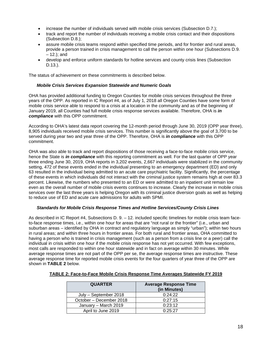- increase the number of individuals served with mobile crisis services (Subsection D.7.);
- track and report the number of individuals receiving a mobile crisis contact and their dispositions (Subsection D.8.);
- assure mobile crisis teams respond within specified time periods, and for frontier and rural areas, provide a person trained in crisis management to call the person within one hour (Subsections D.9. – 12.); and
- develop and enforce uniform standards for hotline services and county crisis lines (Subsection D.13.).

The status of achievement on these commitments is described below.

### *Mobile Crisis Services Expansion Statewide and Numeric Goals*

OHA has provided additional funding to Oregon Counties for mobile crisis services throughout the three years of the OPP. As reported in IC Report #4, as of July 1, 2018 all Oregon Counties have some form of mobile crisis service able to respond to a crisis at a location in the community and as of the beginning of January 2019, all Counties had full mobile crisis response services available. Therefore, OHA is *in compliance* with this OPP commitment.

According to OHA's latest data report covering the 12-month period through June 30, 2019 (OPP year three), 8,905 individuals received mobile crisis services. This number is significantly above the goal of 3,700 to be served during year two and year three of the OPP. Therefore, OHA is *in compliance* with this OPP commitment.

OHA was also able to track and report dispositions of those receiving a face-to-face mobile crisis service, hence the State is *in compliance* with this reporting commitment as well. For the last quarter of OPP year three ending June 30, 2019, OHA reports in 3,202 events, 2,667 individuals were stabilized in the community setting, 472 of these events ended in the individual presenting to an emergency department (ED) and only 63 resulted in the individual being admitted to an acute care psychiatric facility. Significantly, the percentage of these events in which individuals did not interact with the criminal justice system remains high at over 83.3 percent. Likewise, the numbers who presented to an ED or were admitted to an inpatient unit remain low even as the overall number of mobile crisis events continues to increase. Clearly the increase in mobile crisis services over the last three years is helping Oregon with its criminal justice diversion goals as well as helping to reduce use of ED and acute care admissions for adults with SPMI.

#### *Standards for Mobile Crisis Response Times and Hotline Services/County Crisis Lines*

As described in IC Report #4, Subsections D. 9. – 12. included specific timelines for mobile crisis team faceto-face response times, i.e., within one hour for areas that are "not rural or the frontier" (i.e., urban and suburban areas – identified by OHA in contract and regulatory language as simply "urban"); within two hours in rural areas; and within three hours in frontier areas. For both rural and frontier areas, OHA committed to having a person who is trained in crisis management (such as a person from a crisis line or a peer) call the individual in crisis within one hour if the mobile crisis response has not yet occurred. With few exceptions, most calls are responded to within one hour statewide and in fact on average within 30 minutes. While average response times are not part of the OPP per se, the average response times are instructive. These average response time for reported mobile crisis events for the four quarters of year three of the OPP are shown in **TABLE 2** below.

| <b>QUARTER</b>          | <b>Average Response Time</b><br>(in Minutes) |
|-------------------------|----------------------------------------------|
| July - September 2018   | 0:24:22                                      |
| October - December 2018 | 0:27:15                                      |
| January - March 2019    | 0:23:12                                      |
| April to June 2019      | 0:25:27                                      |

#### **TABLE 2: Face-to-Face Mobile Crisis Response Time Averages Statewide FY 2019**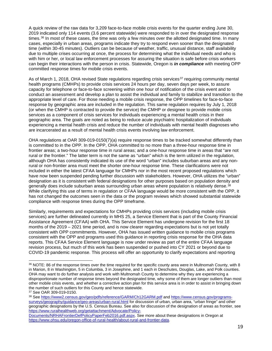A quick review of the raw data for 3,209 face-to-face mobile crisis events for the quarter ending June 30, 2019 indicated only 114 events (3.6 percent statewide) were responded to in over the designated response times.<sup>[36](#page-18-0)</sup> In most of these cases, the time was only a few minutes over the allotted designated time. In many cases, especially in urban areas, programs indicate they try to respond even sooner than the designated time (within 30-45 minutes). Outliers can be because of weather, traffic, unusual distance, staff availability due to multiple crises occurring at once, the process for determining what the individual needs and who is with him or her, or local law enforcement processes for assuring the situation is safe before crisis workers can begin their interactions with the person in crisis. Statewide, Oregon is *in compliance* with meeting OPP committed response times for mobile crisis events.

As of March 1, 2018, OHA revised State regulations regarding crisis services<sup>[37](#page-18-1)</sup> requiring community mental health programs (CMHPs) to provide crisis services 24 hours per day, seven days per week, to assure capacity for telephone or face-to-face screening within one hour of notification of the crisis event and to conduct an assessment and develop a plan to assist the individual and family to stabilize and transition to the appropriate level of care. For those needing a mobile crisis response, the OPP timelines for face-to-face response by geographic area are included in the regulation. This same regulation requires by July 1, 2018 (or when the CMHP is contracted to provide the service) the CMHP or designee to provide mobile crisis services as a component of crisis services for individuals experiencing a mental health crisis in their geographic area. The goals are noted as being to reduce acute psychiatric hospitalization of individuals experiencing a mental health crisis and reduce the number of individuals with mental health diagnoses who are incarcerated as a result of mental health crisis events involving law enforcement.

OHA regulations at OAR 309-019-0150(7)(a) require response times to be tracked somewhat differently than is committed to in the OPP. In the OPP, OHA committed to no more than a three-hour response time in frontier areas; a two-hour response time in rural areas; and a one-hour response time in areas that "are not rural or the frontier." The latter term is not the same as "urban" which is the term utilized in the regulation, although OHA has consistently indicated its use of the word "urban" includes suburban areas and any nonrural or non-frontier area must meet the shorter one-hour response time. These clarifications were not included in either the latest CFAA language for CMHPs nor in the most recent proposed regulations which have now been suspended pending further discussion with stakeholders. However, OHA utilizes the "urban" designation as it is consistent with federal designations for other purposes based on population density and generally does include suburban areas surrounding urban areas where population is relatively dense.<sup>[38](#page-18-2)</sup> While clarifying this use of terms in regulation or CFAA language would be more consistent with the OPP, it has not changed the outcomes seen in the data or the program reviews which showed substantial statewide compliance with response times during the OPP timeframe.

Similarly, requirements and expectations for CMHPs providing crisis services (including mobile crisis services) are further delineated currently in MHS 25, a Service Element that is part of the County Financial Assistance Agreement (CFAA) with OHA. This Service Element has undergone revision for the first 18 months of the 2019 – 2021 time period, and is now clearer regarding expectations but is not yet totally consistent with OPP commitments. However, OHA has issued written guidance to mobile crisis programs consistent with the OPP and programs used this guidance in reporting crisis response for the OHA data reports. This CFAA Service Element language is now under review as part of the entire CFAA language revision process, but much of this work has been suspended or pushed into CY 2021 or beyond due to COVID-19 pandemic response. This process will offer an opportunity to clarify expectations and reporting

<span id="page-18-0"></span><sup>36</sup> NOTE: 86 of the response times over the time required for the specific county area were in Multnomah County, with 8 in Marion, 8 in Washington, 5 in Columbia, 3 in Josephine, and 1 each in Deschutes, Douglas, Lake, and Polk counties. OHA may want to do further analysis and work with Multnomah County to determine why they are experiencing a disproportionate number of response times beyond the designated time, why some of them are longer outliers than most other mobile crisis events, and whether a corrective action plan for this service area is in order to assist in bringing down the number of such outliers for this County and hence statewide. <sup>37</sup> See OAR 309-019-0150.

<span id="page-18-2"></span><span id="page-18-1"></span><sup>38</sup> Se[e https://www2.census.gov/geo/pdfs/reference/GARM/Ch12GARM.pdf](https://www2.census.gov/geo/pdfs/reference/GARM/Ch12GARM.pdf) and [https://www.census.gov/programs](https://www.census.gov/programs-surveys/geography/guidance/geo-areas/urban-rural.html)[surveys/geography/guidance/geo-areas/urban-rural.html](https://www.census.gov/programs-surveys/geography/guidance/geo-areas/urban-rural.html) for discussion of urban, urban area, "urban fringe" and other geographic designations by the U.S. Census Bureau. See also for discussion of the designation of areas as frontier, see [https://www.ruralhealthweb.org/getattachment/Advocate/Policy-](https://www.ruralhealthweb.org/getattachment/Advocate/Policy-Documents/NRHAFrontierDefPolicyPaperFeb2016.pdf.aspx)

[Documents/NRHAFrontierDefPolicyPaperFeb2016.pdf.aspx.](https://www.ruralhealthweb.org/getattachment/Advocate/Policy-Documents/NRHAFrontierDefPolicyPaperFeb2016.pdf.aspx) See more about these designations in Oregon at [https://www.ohsu.edu/oregon-office-of-rural-health/about-rural-and-frontier-data.](https://www.ohsu.edu/oregon-office-of-rural-health/about-rural-and-frontier-data)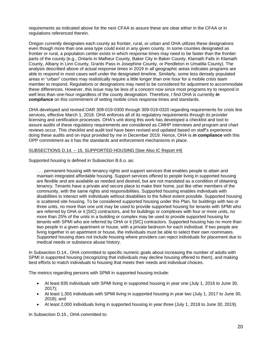requirements as indicated above for the next CFAA to assure these are clear either in the CFAA or in regulations referenced therein.

Oregon currently designates each county as frontier, rural, or urban and OHA utilizes these designations even though more than one area type could exist in any given county. In some counties designated as frontier or rural, a population center exists in which response times may need to be faster than the frontier parts of the county (e.g., Ontario in Malheur County, Baker City in Baker County, Klamath Falls in Klamath County, Albany in Linn County, Grants Pass in Josephine County, or Pendleton in Umatilla County). The analysis described above of actual response times in 2019 in all geographic areas indicates programs are able to respond in most cases well under the designated timeline. Similarly, some less densely populated areas in "urban" counties may realistically require a little longer than one hour for a mobile crisis team member to respond. Regulations or designations may need to be considered for adjustment to accommodate these differences. However, this issue may be less of a concern now since most programs try to respond in well less than one-hour regardless of the county designation. Therefore, I find OHA is currently *in compliance* on this commitment of setting mobile crisis response times and standards.

OHA developed and revised OAR 309-019-0300 through 309-019-0320 regarding requirements for crisis line services, effective March 1, 2018. OHA enforces all of its regulatory requirements through its provider licensing and certification processes. OHA's unit doing this work has developed a checklist and tool to assure audits of these regulatory requirements are considered as CMHP interviews and program and chart reviews occur. This checklist and audit tool have been revised and updated based on staff's experience doing these audits and on input provided by me in December 2019. Hence, OHA is *in compliance* with this OPP commitment as it has the standards and enforcement mechanisms in place.

#### SUBSECTIONS D.14. – 15. SUPPORTED HOUSING [See Also IC Report #4]

Supported housing is defined in Subsection B.6.o. as:

. . . permanent housing with tenancy rights and support services that enables people to attain and maintain integrated affordable housing. Support services offered to people living in supported housing are flexible and are available as needed and desired, but are not mandated as a condition of obtaining tenancy. Tenants have a private and secure place to make their home, just like other members of the community, with the same rights and responsibilities. Supported housing enables individuals with disabilities to interact with individuals without disabilities to the fullest extent possible. Supported housing is scattered site housing. To be considered supported housing under this Plan, for buildings with two or three units, no more than one unit may be used to provide supported housing for tenants with SPMI who are referred by OHA or it [SIC] contractors, and for buildings or complexes with four or more units, no more than 25% of the units in a building or complex may be used to provide supported housing for tenants with SPMI who are referred by OHA or it [SIC] contractors. Supported housing has no more than two people in a given apartment or house, with a private bedroom for each individual. If two people are living together in an apartment or house, the individuals must be able to select their own roommates. Supported housing does not include housing where providers can reject individuals for placement due to medical needs or substance abuse history.

In Subsection D.14., OHA committed to specific numeric goals about increasing the number of adults with SPMI in supported housing (recognizing that individuals may decline housing offered to them), and making best efforts to match individuals to housing that meets their needs and individual choices.

The metrics regarding persons with SPMI in supported housing include:

- At least 835 individuals with SPMI living in supported housing in year one (July 1, 2016 to June 30, 2017);
- At least 1,355 individuals with SPMI living in supported housing in year two (July 1, 2017 to June 30, 2018); and
- At least 2,000 individuals living in supported housing in year three (July 1, 2018 to June 30, 2019).

In Subsection D.15., OHA committed to: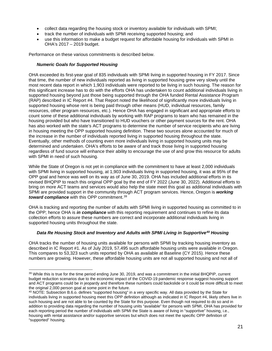- collect data regarding the housing stock or inventory available for individuals with SPMI;
- track the number of individuals with SPMI receiving supported housing; and
- use this information to make a budget request for affordable housing for individuals with SPMI in OHA's 2017 – 2019 budget.

Performance on these various commitments is described below.

#### *Numeric Goals for Supported Housing*

OHA exceeded its first-year goal of 835 individuals with SPMI living in supported housing in FY 2017. Since that time, the number of new individuals reported as living in supported housing grew very slowly until the most recent data report in which 1,903 individuals were reported to be living in such housing. The reason for this significant increase has to do with the efforts OHA has undertaken to count additional individuals living in supported housing beyond just those being supported through the OHA funded Rental Assistance Program (RAP) described in IC Report #4. That Report noted the likelihood of significantly more individuals living in supported housing whose rent is being paid through other means (HUD, individual resources, family resources, other program resources, etc.). Hence OHA has engaged in significant and appropriate efforts to count some of these additional individuals by working with RAP programs to learn who has remained in the housing provided but who have transitioned to HUD vouchers or other payment sources for the rent. OHA has also worked with the state's ACT programs to determine the number of service recipients who are living in housing meeting the OPP supported housing definition. These two sources alone accounted for much of the increase in the number of individuals reported living in supported housing throughout the state. Eventually, other methods of counting even more individuals living in supported housing units may be determined and undertaken. OHA's efforts to be aware of and track those living in supported housing regardless of fund source will enhance their ability to encourage the use of and grow this resource for adults with SPMI in need of such housing.

While the State of Oregon is not yet in compliance with the commitment to have at least 2,000 individuals with SPMI living in supported housing, at 1,903 individuals living in supported housing, it was at 95% of the OPP goal and hence was well on its way as of June 30, 2019. OHA has included additional efforts in its revised BHQPIP to reach this original OPP goal by the end of FY 2022 (June 30, 2022). Additional efforts to bring on more ACT teams and services would also help the state meet this goal as additional individuals with SPMI are provided support in the community through ACT program services. Hence, Oregon is *working toward compliance* with this OPP commitment.[39](#page-20-0)

OHA is tracking and reporting the number of adults with SPMI living in supported housing as committed to in the OPP; hence OHA is *in compliance* with this reporting requirement and continues to refine its data collection efforts to assure these numbers are correct and incorporate additional individuals living in supported housing units throughout the state.

# *Data Re Housing Stock and Inventory and Adults with SPMI Living in Supportive[40](#page-20-1) Housing*

OHA tracks the number of housing units available for persons with SPMI by tracking housing inventory as described in IC Report #1. As of July 2019, 57,495 such affordable housing units were available in Oregon. This compares to 53,323 such units reported by OHA as available at Baseline (CY 2015). Hence these numbers are growing. However, these affordable housing units are not all supported housing and not all of

<span id="page-20-0"></span><sup>&</sup>lt;sup>39</sup> While this is true for the time period ending June 30, 2019, and was a commitment in the initial BHQPIP, current budget reduction scenarios due to the economic impact of the COVID-19 pandemic response suggest housing support and ACT programs could be in jeopardy and therefore these numbers could backslide or it could be more difficult to meet the original 2,000 person goal at some point in the future.

<span id="page-20-1"></span> $40$  NOTE: Subsection B.6.o. defines "supported housing" in a very specific way. All data provided by the State for individuals living in supported housing meet this OPP definition although as indicated in IC Report #4, likely others live in such housing and are not able to be counted by the State for this purpose. Even though not required to do so and in addition to providing data regarding the number of housing units "available" for persons with SPMI, OHA has provided for each reporting period the number of individuals with SPMI the State is aware of living in "supportive" housing, i.e., housing with rental assistance and/or supportive services but which does not meet the specific OPP definition of "supported" housing.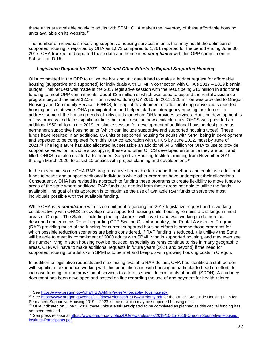these units are available solely to adults with SPMI. OHA makes the inventory of these affordable housing units available on its website.<sup>[41](#page-21-0)</sup>

The number of individuals receiving supportive housing services in units that may not fit the definition of supported housing is reported by OHA as 1,873 compared to 1,361 reported for the period ending June 30, 2017. OHA tracked and reported these data and hence is *in compliance* with this OPP commitment in Subsection D.15.

#### *Legislative Request for 2017 – 2019 and Other Efforts to Expand Supported Housing*

OHA committed in the OPP to utilize the housing unit data it had to make a budget request for affordable housing (supportive and supported) for individuals with SPMI in connection with OHA's 2017 – 2019 biennial budget. This request was made in the 2017 legislative session with the result being \$15 million in additional funding to meet OPP commitments, about \$2.5 million of which was used to expand the rental assistance program beyond the initial \$2.5 million invested during CY 2016. In 2015, \$20 million was provided to Oregon Housing and Community Services (OHCS) for capital development of additional supportive and supported housing units statewide. OHA participated on and helped staff an interagency housing task force<sup>[42](#page-21-1)</sup> to address some of the housing needs of individuals for whom OHA provides services. Housing development is a slow process and takes significant time, but does result in new available units. OHCS was provided an additional \$50 million in the 2019 legislative session for development of additional housing designated as permanent supportive housing units (which can include supportive and supported housing types). These funds have resulted in an additional 65 units of supported housing for adults with SPMI being in development and expected to be completed from this OHA collaboration with OHCS by June 2022, most by June of 2021.[43](#page-21-2) The legislature has also allocated but set aside an additional \$4.5 million for OHA to use to provide support services for individuals occupying these and other OHCS developed units once they are built and filled. OHCS has also created a Permanent Supportive Housing Institute, running from November 2019 through March 2020, to assist 10 entities with project planning and development.<sup>[44](#page-21-3)</sup>

In the meantime, some OHA RAP programs have been able to expand their efforts and could use additional funds to house and support additional individuals while other programs have underspent their allocations. Consequently, OHA has revised its approach to funding these programs to create flexibility to move funds to areas of the state where additional RAP funds are needed from those areas not able to utilize the funds available. The goal of this approach is to maximize the use of available RAP funds to serve the most individuals possible with the available funding.

While OHA is *in compliance* with its commitment regarding the 2017 legislative request and is working collaboratively with OHCS to develop more supported housing units, housing remains a challenge in most areas of Oregon. The State – including the legislature – will have to and was working to do more as described earlier in this Report regarding OPP Section C. Unfortunately, the Rental Assistance Program (RAP) providing much of the funding for current supported housing efforts is among those programs for which possible reduction scenarios are being considered. If RAP funding is reduced, it is unlikely the State will be able to meet its commitment of 2000 adults with SPMI living in supported housing, and may even see the number living in such housing now be reduced, especially as rents continue to rise in many geographic areas. OHA will have to make additional requests in future years (2021 and beyond) if the need for supported housing for adults with SPMI is to be met and keep up with growing housing costs in Oregon.

In addition to legislative requests and maximizing available RAP dollars, OHA has identified a staff person with significant experience working with this population and with housing in particular to head up efforts to increase funding for and provision of services to address social determinants of health (SDOH). A guidance document has been developed and posted on line regarding the use of and payment for health-related

<span id="page-21-0"></span><sup>41</sup> Se[e https://www.oregon.gov/oha/HSD/AMH/Pages/Affordable-Housing.aspx.](https://www.oregon.gov/oha/HSD/AMH/Pages/Affordable-Housing.aspx)

<span id="page-21-1"></span><sup>42</sup> Se[e https://www.oregon.gov/ohcs/DO/docs/Priorities/PSH%20Priority.pdf](https://www.oregon.gov/ohcs/DO/docs/Priorities/PSH%20Priority.pdf) for the OHCS Statewide Housing Plan for<br>Permanent Supportive Housing 2019 -- 2023, some of which may be supported housing units.

<span id="page-21-2"></span> $43$  OHA indicated on June 5, 2020 these units are still anticipated to be completed as planned as this capital funding has not been reduced.

<span id="page-21-3"></span><sup>44</sup> See press release at [https://www.oregon.gov/ohcs/DO/newsreleases/2019/10-15-2019-Oregon-Supportive-Housing-](https://www.oregon.gov/ohcs/DO/newsreleases/2019/10-15-2019-Oregon-Supportive-Housing-Institute-Participants.pdf)[Institute-Participants.pdf.](https://www.oregon.gov/ohcs/DO/newsreleases/2019/10-15-2019-Oregon-Supportive-Housing-Institute-Participants.pdf)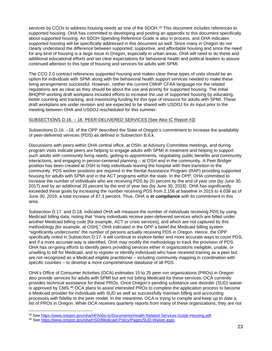services by CCOs to address housing needs as one of the SDOH.<sup>[45](#page-22-0)</sup> This document includes references to supported housing. OHA has committed to developing and posting an appendix to this document specifically about supported housing. An SDOH Spending Reference Guide is also in process, and OHA indicates supported housing will be specifically addressed in this document as well. Since many in Oregon do not clearly understand the difference between supported, supportive, and affordable housing and since the need for any kind of housing is a large issue in Oregon, especially in urban areas, OHA will need to do these and additional educational efforts and set clear expectations for behavioral health and political leaders to assure continued attention to this type of housing and services for adults with SPMI.

The CCO 2.0 contract references supported housing and makes clear these types of units should be an option for individuals with SPMI along with the behavioral health support services needed to make these living arrangements successful. However, neither the current CMHP CFAA language nor the related regulations are as clear as they should be about the use and priority for supported housing. The initial BHQPIP working draft workplans included efforts to increase the use of supported housing by educating, better counting and tracking, and maximizing funding for this type of resource for adults with SPMI. These draft workplans are under revision and are expected to be shared with USDOJ for its input prior to the meeting between OHA and USDOJ rescheduled for this summer.

#### SUBSECTIONS D.16. – 18. PEER-DELIVERED SERVICES [See Also IC Report #3]

Subsections D.16. –18. of the OPP described the State of Oregon's commitment to increase the availability of peer-delivered services (PDS) as defined in Subsection B.6.k.

Discussions with peers within OHA central office, at OSH, at Advisory Committee meetings, and during program visits indicate peers are helping to engage adults with SPMI in treatment and helping to support such adults with community living needs, getting to appointments, negotiating public benefits and community interactions, and engaging in person-centered planning – at OSH and in the community. A Peer Bridger position has been created at OSH to help individuals leaving the hospital with their transition to the community. PDS worker positions are required in the Rental Assistance Program (RAP) providing supported housing for adults with SPMI and in the ACT programs within the state. In the OPP, OHA committed to increase the number of individuals who are receiving PDS by 20 percent by the end of year one (by June 30, 2017) and by an additional 20 percent by the end of year two (by June 30, 2018). OHA has significantly exceeded these goals by increasing the number receiving PDS from 2,156 at baseline in 2015 to 4,038 as of June 30, 2019, a total increase of 87.3 percent. Thus, OHA is *in compliance* with its commitment in this area.

Subsection D.17. and D.18. indicated OHA will measure the number of individuals receiving PDS by using Medicaid billing data, noting that "many individuals receive peer-delivered services which are billed under another Medicaid billing code [for example, ACT or crisis services], and which are not captured by this methodology [for example, at OSH]." OHA indicated in the OPP a belief the Medicaid billing system "significantly undercounts" the number of persons actually receiving PDS in Oregon. Hence, the OPP specifically noted in Subsection D.17. it will continue to explore better and more accurate ways to count PDS, and if a more accurate way is identified, OHA may modify the methodology to track the provision of PDS. OHA has on-going efforts to identify peers providing services either in organizations ineligible, unable, or unwilling to bill for Medicaid, and to register or identify individuals who have received training as a peer but are not recognized as a Medicaid eligible practitioner – including community mapping in coordination with specific counties – to develop a more comprehensive database of all PDS.

OHA's Office of Consumer Activities (OCA) estimates 15 to 25 peer-run organizations (PROs) in Oregon also provide services for adults with SPMI but are not billing Medicaid for these services. OCA currently provides technical assistance for these PROs. Once Oregon's pending substance use disorder (SUD) waiver is approved by CMS,<sup>[46](#page-22-1)</sup> OCA plans to assist interested PROs to complete the application process to become a Medicaid provider for individuals with SUD as well as successfully maintain billing and accounting processes with fidelity to the peer model. In the meantime, OCA is trying to compile and keep up to date a list of PROs in Oregon. While OCA receives quarterly reports from many of these organizations, they are not

<span id="page-22-0"></span><sup>45</sup> See [https://www.oregon.gov/oha/HPA/dsi-tc/Documents/Health-Related-Services-Guide-Housing.pdf.](https://www.oregon.gov/oha/HPA/dsi-tc/Documents/Health-Related-Services-Guide-Housing.pdf)

<span id="page-22-1"></span><sup>46</sup> Se[e https://www.oregon.gov/oha/HSD/Medicaid-Policy/Pages/SUD-Waiver.aspx.](https://www.oregon.gov/oha/HSD/Medicaid-Policy/Pages/SUD-Waiver.aspx)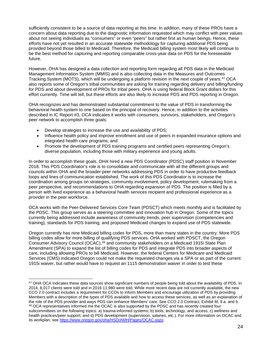sufficiently consistent to be a source of data reporting at this time. In addition, many of these PROs have a concern about data reporting due to the diagnostic information requested which may conflict with peer values about not seeing individuals as "consumers" or even "peers" but rather first as human beings. Hence, these efforts have not yet resulted in an accurate statewide methodology for capturing additional PDS being provided beyond those billed to Medicaid. Therefore, the Medicaid billing system most likely will continue to be the best method for capturing and reporting comparable cross-year data on PDS for the foreseeable future.

However, OHA has designed a data collection and reporting form regarding all PDS data in the Medicaid Management Information System (MMIS) and is also collecting data in the Measures and Outcomes Tracking System (MOTS), which will be undergoing a platform revision in the next couple of years.<sup>[47](#page-23-0)</sup> OCA also reports some of Oregon's tribal communities are asking for training regarding delivery and billing/funding for PDS and about development of PROs for tribal peers. OHA is using federal Block Grant dollars for this effort currently. Time will tell, but these efforts are also likely to increase PDS and PDS reporting in Oregon.

OHA recognizes and has demonstrated substantial commitment to the value of PDS in transforming the behavioral health system to one based on the principal of recovery. Hence, in addition to the activities described in IC Report #3, OCA indicates it works with consumers, survivors, stakeholders, and Oregon's peer network to accomplish three goals:

- Develop strategies to increase the use and availability of PDS;
- Influence health policy and improve enrollment and use of peers in expanded insurance options and integrated health care programs; and
- Promote the development of PDS training programs and certified peers representing Oregon's diverse population, including those with military experience and young adults.

In order to accomplish these goals, OHA hired a new PDS Coordinator (PDSC) staff position in November 2018. This PDS Coordinator's role is to consolidate and communicate with all the different groups and councils within OHA and the broader peer networks addressing PDS in order to have productive feedback loops and lines of communication established. The work of this PDS Coordinator is to increase the coordination among groups on strategies, community involvement, policy development, rulemaking from a peer perspective, and recommendations to OHA regarding expansion of PDS. The position is filled by a person with lived experience as a behavioral health services recipient and professional experience as a provider in the peer workforce.

OCA works with the Peer-Delivered Services Core Team (PDSCT) which meets monthly and is facilitated by the PDSC. This group serves as a steering committee and innovation hub in Oregon. Some of the topics currently being addressed include awareness of community trends, peer supervision (competencies and training), standards for PDS training, and proposed Medicaid changes to expand use of PDS statewide.

Oregon currently has nine Medicaid billing codes for PDS, more than many states in the country. More PDS billing codes allow for more billing of qualifying PDS services. OHA worked with PDSCT, the Oregon Consumer Advisory Council (OCAC), <sup>[48](#page-23-1)</sup> and community stakeholders on a Medicaid 1915i State Plan Amendment (SPA) to expand the list of billing codes for PDS and integrate PDS into broader aspects of care, including allowing PROs to bill Medicaid. However, the federal Centers for Medicare and Medicaid Services (CMS) indicated Oregon could not make the requested changes via a SPA or as part of the current 1915i waiver, but rather would have to request an 1115 demonstration waiver in order to test these

<span id="page-23-1"></span><span id="page-23-0"></span><sup>&</sup>lt;sup>47</sup> OHA OCA indicates these data sources show significant numbers of people being told about the availability of PDS. In 2014, 8,017 clients were told and in 2016 11,980 were told. While more recent data are not currently available, the new CCO 2.0 contract includes a requirement for CCOs to inform Members and encourage utilization of PDS by providing Members with a description of the types of PDS available and how to access these services, as well as an explanation of the role of the PDS provider and ways PDS can enhance Members' care. See CCO 2.0 Contract, Exhibit M, 9.a. and b. <sup>48</sup> OCA representatives informed me the OCAC is also supported by the PDSC and has recently created four subcommittees on the following topics: a) trauma-informed systems; b) tools, technology, and access; c) wellness and health practices/peer support; and d) PDS development (supervision, salaries, etc.). For more information on OCAC and its workplan, see [https://www.oregon.gov/oha/HSD/AMH/Pages/OCAC.aspx.](https://www.oregon.gov/oha/HSD/AMH/Pages/OCAC.aspx)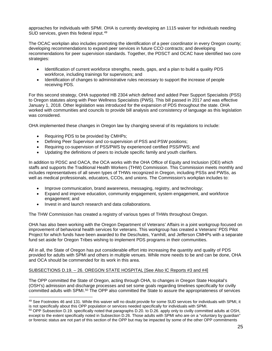approaches for individuals with SPMI. OHA is currently developing an 1115 waiver for individuals needing SUD services, given this federal input.<sup>[49](#page-24-0)</sup>

The OCAC workplan also includes promoting the identification of a peer coordinator in every Oregon county; developing recommendations to expand peer services in future CCO contracts; and developing recommendations for peer supervision standards. Together, the PDSCT and OCAC have identified two core strategies:

- Identification of current workforce strengths, needs, gaps, and a plan to build a quality PDS workforce, including trainings for supervisors; and
- Identification of changes to administrative rules necessary to support the increase of people receiving PDS.

For this second strategy, OHA supported HB 2304 which defined and added Peer Support Specialists (PSS) to Oregon statutes along with Peer Wellness Specialists (PWS). This bill passed in 2017 and was effective January 1, 2018. Other legislation was introduced for the expansion of PDS throughout the state. OHA worked with communities and councils to provide bill analysis and consistency of language as this legislation was considered.

OHA implemented these changes in Oregon law by changing several of its regulations to include:

- Requiring PDS to be provided by CMHPs;
- Defining Peer Supervisor and co-supervision of PSS and PSW positions;
- Requiring co-supervision of PSS/PWS by experienced certified PSS/PWS; and
- Updating the definitions of peers to include specific family and youth clarifiers.

In addition to PDSC and OACA, the OCA works with the OHA Office of Equity and Inclusion (OEI) which staffs and supports the Traditional Health Workers (THW) Commission. This Commission meets monthly and includes representatives of all seven types of THWs recognized in Oregon, including PSSs and PWSs, as well as medical professionals, educators, CCOs, and unions. The Commission's workplan includes to:

- Improve communication, brand awareness, messaging, registry, and technology;
- Expand and improve education, community engagement, system engagement, and workforce engagement; and
- Invest in and launch research and data collaborations.

The THW Commission has created a registry of various types of THWs throughout Oregon.

OHA has also been working with the Oregon Department of Veterans' Affairs in a joint workgroup focused on improvement of behavioral health services for veterans. This workgroup has created a Veterans' PDS Pilot Project for which funds have been awarded to the Deschutes, Yamhill, and Jefferson CMHPs with a separate fund set aside for Oregon Tribes wishing to implement PDS programs in their communities.

All in all, the State of Oregon has put considerable effort into increasing the quantity and quality of PDS provided for adults with SPMI and others in multiple venues. While more needs to be and can be done, OHA and OCA should be commended for its work in this area.

# SUBSECTIONS D.19. – 26. OREGON STATE HOSPITAL [See Also IC Reports #3 and #4]

The OPP committed the State of Oregon, acting through OHA, to changes in Oregon State Hospital's (OSH's) admission and discharge processes and set some goals regarding timelines specifically for civilly committed adults with SPMI.[50](#page-24-1) The OPP also committed the State to assure the appropriateness of services

<span id="page-24-0"></span><sup>49</sup> See Footnotes 46 and 131. While this waiver will no doubt provide for some SUD services for individuals with SPMI, it is not specifically about this OPP population or services needed specifically for individuals with SPMI.

<span id="page-24-1"></span> $50$  OPP Subsection D.19. specifically noted that paragraphs D.20. to D.26. apply only to civilly committed adults at OSH, except to the extent specifically noted in Subsection D.26. Those adults with SPMI who are on a "voluntary by guardian" or forensic status are not part of this section of the OPP but may be impacted by some of the other OPP commitments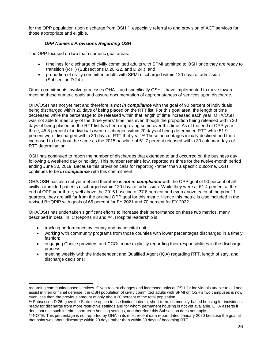for the OPP population upon discharge from OSH,<sup>[51](#page-25-0)</sup> especially referral to and provision of ACT services for those appropriate and eligible.

# *OPP Numeric Provisions Regarding OSH*

The OPP focused on two main numeric goal areas:

- timelines for discharge of civilly committed adults with SPMI admitted to OSH once they are ready to transition (RTT) (Subsections D.20.-22. and D.24.); and
- proportion of civilly committed adults with SPMI discharged within 120 days of admission (Subsection D.24.).

Other commitments involve processes OHA – and specifically OSH – have implemented to move toward meeting these numeric goals and assure documentation of appropriateness of services upon discharge.

OHA/OSH has not yet met and therefore is *not in compliance* with the goal of 90 percent of individuals being discharged within 20 days of being placed on the RTT list. For this goal area, the length of time decreased while the percentage to be released within that length of time increased each year. OHA/OSH was not able to meet any of the three years' timelines even though the proportion being released within 30 days of being placed on the RTT list has been improving some over this time. As of the end of OPP year three, 45.8 percent of individuals were discharged within 20 days of being determined RTT while 51.9 percent were discharged within 30 days of RTT that year.<sup>[52](#page-25-1)</sup> These percentages initially declined and then increased to be about the same as the 2015 baseline of 51.7 percent released within 30 calendar days of RTT determination.

OSH has continued to report the number of discharges that extended to and occurred on the business day following a weekend day or holiday. This number remains low, reported as three for the twelve-month period ending June 30, 2019. Because this provision calls for reporting -rather than a specific outcome, OSH continues to be *in compliance* with this commitment.

OHA/OSH has also not yet met and therefore is *not in compliance* with the OPP goal of 90 percent of all civilly committed patients discharged within 120 days of admission. While they were at 61.4 percent at the end of OPP year three, well above the 2015 baseline of 37.8 percent and even above each of the prior 11 quarters, they are still far from the original OPP goal for this metric. Hence this metric is also included in the revised BHQPIP with goals of 65 percent for FY 2021 and 70 percent for FY 2022.

OHA/OSH has undertaken significant efforts to increase their performance on these two metrics, many described in detail in IC Reports #3 and #4. Hospital leadership is:

- tracking performance by county and by hospital unit;
- working with community programs from those counties with lower percentages discharged in a timely fashion;
- engaging Choice providers and CCOs more explicitly regarding their responsibilities in the discharge process;
- meeting weekly with the Independent and Qualified Agent (IQA) regarding RTT, length of stay, and discharge decisions;

regarding community-based services. Given recent changes and increased units at OSH for individuals unable to aid and assist in their criminal defense, the OSH population of civilly committed adults with SPMI on OSH's two campuses is now even less than the previous amount of only about 20 percent of the total population.

<span id="page-25-0"></span><sup>&</sup>lt;sup>51</sup> Subsection D.26. gave the State the option to use limited, interim, short-term, community-based housing for individuals ready for discharge from more restrictive settings and for whom permanent housing is not yet available. OHA asserts it does not use such interim, short-term housing settings, and therefore this Subsection does not apply.

<span id="page-25-1"></span><sup>&</sup>lt;sup>52</sup> NOTE: This percentage is not reported by OHA in its most recent data report dated January 2020 because the goal at that point was about discharge within 20 days rather than within 30 days of becoming RTT.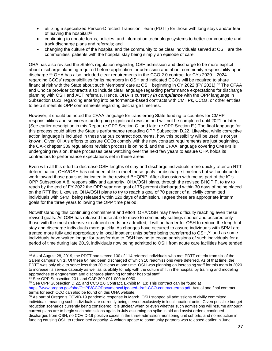- utilizing a specialized Person-Directed Transition Team (PDTT) for those with long stays and/or fear of leaving the hospital;<sup>[53](#page-26-0)</sup>
- continuing to update forms, policies, and information technology systems to better communicate and track discharge plans and referrals; and
- changing the culture of the hospital and the community to be clear individuals served at OSH are the communities' patients with the hospital stay being simply an episode of care.

OHA has also revised the State's regulation regarding OSH admission and discharge to be more explicit about discharge planning required before application for admission and about community responsibility upon discharge.[54](#page-26-1) OHA has also included clear requirements in the CCO 2.0 contract for CYs 2020 – 2024 regarding CCOs' responsibilities for its members in OSH and indicated CCOs will be required to share financial risk with the State about such Members' care at OSH beginning in CY 2022 (FY 2021).[55](#page-26-2) The CFAA and Choice provider contracts also include clear language regarding performance expectations for discharge planning with OSH and ACT referrals. Hence, OHA is currently *in compliance* with the OPP language in Subsection D.22. regarding entering into performance-based contracts with CMHPs, CCOs, or other entities to help it meet its OPP commitments regarding discharge timelines.

However, it should be noted the CFAA language for transferring State funding to counties for CMHP responsibilities and services is undergoing significant revision and will not be completed until 2021 or later. (See earlier description in this Report re OPP Section C. and later re OPP Section E.) The final language for this process could affect the State's performance regarding OPP Subsection D.22. Likewise, while corrective action language is included in these various contract documents, how this possibility will be used is not yet known. Given OHA's efforts to assure CCOs comply with the new contract requirements are just beginning, the OAR chapter 309 regulations revision process is on hold, and the CFAA language covering CMHPs is undergoing revision, these processes bear watching over the next few years to assure OHA holds its contractors to performance expectations set in these areas.

Even with all this effort to decrease OSH lengths of stay and discharge individuals more quickly after an RTT determination, OHA/OSH has not been able to meet these goals for discharge timelines but will continue to work toward those goals as indicated in the revised BHQPIP. After discussion with me as part of the IC's OPP Subsection A.8. responsibility and authority, OHA/OSH plans, through the revised BHQPIP, to try to reach by the end of FY 2022 the OPP year one goal of 75 percent discharged within 30 days of being placed on the RTT list. Likewise, OHA/OSH plans to try to reach a goal of 70 percent of all civilly committed individuals with SPMI being released within 120 days of admission. I agree these are appropriate interim goals for the three years following the OPP time period.

Notwithstanding this continuing commitment and effort, OHA/OSH may have difficulty reaching even these revised goals. As OSH has released those able to move to community settings sooner and assured only those with the most extensive treatment needs are admitted, it will be harder for OSH to reduce the length of stay and discharge individuals more quickly. As changes have occurred to assure individuals with SPMI are treated more fully and appropriately in local inpatient units before being transferred to OSH,<sup>[56](#page-26-3)</sup> and as some individuals have waited longer for transfer due to OSH having to cease admissions of such individuals for a period of time during late 2019, individuals now being admitted to OSH from acute care facilities have tended

<span id="page-26-0"></span><sup>53</sup> As of August 28, 2019, the PDTT had served 100 of 114 referred individuals who met PDTT criteria from six of the Salem campus' units. Of these 84 had been discharged of which 10 readmissions were deferred. As of that time, the PDTT was only able to serve less than 20 clients at one time. OSH was planning on increasing staff for this team in 2020 to increase its service capacity as well as its ability to help with the culture shift in the hospital by training and modeling approaches to engagement and discharge planning for other hospital staff.

<span id="page-26-1"></span><sup>54</sup> See OPP Subsection 20.f. and OAR 309-091-000 to 0050.

<span id="page-26-2"></span><sup>55</sup> See OPP Subsection D.22. and CCO 2.0 Contract, Exhibit M, 13; This contract can be found at [https://www.oregon.gov/oha/OHPB/CCODocuments/Updated-draft-CCO-contract-terms.pdf.](https://www.oregon.gov/oha/OHPB/CCODocuments/Updated-draft-CCO-contract-terms.pdf) Actual and final contract terms for each CCO can also be found on this OHA website.

<span id="page-26-3"></span><sup>&</sup>lt;sup>56</sup> As part of Oregon's COVID-19 pandemic response in March, OSH stopped all admissions of civilly committed individuals meaning such individuals are currently being served exclusively in local inpatient units. Given possible budget reduction scenarios currently being considered, it is unclear when or even whether such admissions will resume although current plans are to begin such admissions again in July assuming no spike in aid and assist orders, continued discharges from OSH, no COVID-19 positive cases in the three admission monitoring unit cohorts, and no reduction in funding causing OSH to reduce bed capacity. A written update to community partners was released earlier in June.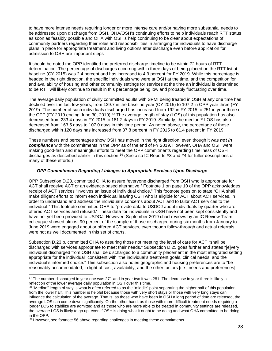to have more intense needs requiring longer or more intense care and/or having more substantial needs to be addressed upon discharge from OSH. OHA/OSH's continuing efforts to help individuals reach RTT status as soon as feasibly possible and OHA with OSH's help continuing to be clear about expectations of community partners regarding their roles and responsibilities in arranging for individuals to have discharge plans in place for appropriate treatment and living options after discharge even before application for admission to OSH are important steps

It should be noted the OPP identified the preferred discharge timeline to be within 72 hours of RTT determination. The percentage of discharges occurring within three days of being placed on the RTT list at baseline (CY 2015) was 2.4 percent and has increased to 4.9 percent for FY 2019. While this percentage is headed in the right direction, the specific individuals who were at OSH at the time, and the competition for and availability of housing and other community settings for services at the time an individual is determined to be RTT will likely continue to result in this percentage being low and probably fluctuating over time.

The average daily population of civilly committed adults with SPMI being treated in OSH at any one time has declined over the last few years, from 139.7 in the baseline year (CY 2015) to 107.2 in OPP year three (FY 2019). The number of such individuals discharged has increased from 192 in FY 2015 to 251 in year three of the OPP (FY 2019 ending June 30, 2019).<sup>[57](#page-27-0)</sup> The average length of stay (LOS) of this population has also decreased from 233.4 days in FY 2015 to 181.2 days in FY 2019. Similarly, the median<sup>[58](#page-27-1)</sup> LOS has also decreased from 163.5 days to 107.0 days in this time period. As noted above, the percentage of those discharged within 120 days has increased from 37.8 percent in FY 2015 to 61.4 percent in FY 2019.

These numbers and percentages show OSH has moved in the right direction, even though it was *not in compliance* with the commitments in the OPP as of the end of FY 2019. However, OHA and OSH were making good-faith and meaningful efforts to meet the OPP commitments regarding timeliness of OSH discharges as described earlier in this section.<sup>[59](#page-27-2)</sup> (See also IC Reports #3 and #4 for fuller descriptions of many of these efforts.)

#### *OPP Commitments Regarding Linkages to Appropriate Services Upon Discharge*

OPP Subsection D.23. committed OHA to assure "everyone discharged from OSH who is appropriate for ACT shall receive ACT or an evidence-based alternative." Footnote 1 on page 10 of the OPP acknowledges receipt of ACT services "involves an issue of individual choice." This footnote goes on to state "OHA shall make diligent efforts to inform each individual leaving OSH who is eligible for ACT about ACT services, in order to understand and address the individual's concerns about ACT and to tailor ACT services to the individual." This footnote committed OHA to "provide data to USDOJ about individuals by quarter who are offered ACT services and refused." These data for individuals in OSH have not been kept consistently and have not yet been provided to USDOJ. However, September 2019 chart reviews by an IC Review Team colleague showed almost 90 percent of the sample of those discharged during six months from January to June 2019 were engaged about or offered ACT services, even though follow-through and actual referrals were not as well documented in this set of charts.

Subsection D.23.b. committed OHA to assuring those not meeting the level of care for ACT "shall be discharged with services appropriate to meet their needs." Subsection D.25 goes further and states "[e]very individual discharged from OSH shall be discharged to a community placement in the most integrated setting appropriate for the individual" consistent with "the individual's treatment goals, clinical needs, and the individual's informed choice." This subsection also notes geographic and housing preferences are to "be reasonably accommodated, in light of cost, availability, and the other factors [i.e., needs and preferences]

<span id="page-27-0"></span><sup>&</sup>lt;sup>57</sup> The number discharged in year one was 271 and in year two it was 281. The decrease in year three is likely a reflection of the lower average daily population in OSH over this time.

<span id="page-27-1"></span><sup>&</sup>lt;sup>58</sup> "Median" length of stay is what is often referred to as the "middle" point separating the higher half of this population from the lower half. This number is helpful because those with very short stays or those with very long stays can influence the calculation of the average. That is, as those who have been in OSH a long period of time are released, the average LOS can come down significantly. On the other hand, as those with more difficult treatment needs requiring a longer LOS to stabilize are admitted and as those who are more able to be treated in community settings are released, the average LOS is likely to go up, even if OSH is doing what it ought to be doing and what OHA committed to be doing in the OPP.

<span id="page-27-2"></span><sup>&</sup>lt;sup>59</sup> However, see footnote 56 above regarding challenges in meeting these commitments.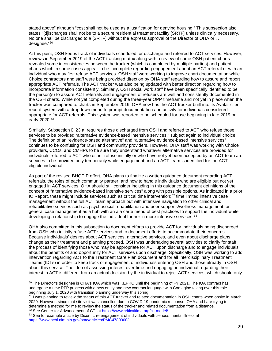stated above" although "cost shall not be used as a justification for denying housing." This subsection also states "[d]ischarges shall not be to a secure residential treatment facility [SRTF] unless clinically necessary. No one shall be discharged to a [SRTF] without the express approval of the Director of OHA or . . . designee."[60](#page-28-0)

At this point, OSH keeps track of individuals scheduled for discharge and referred to ACT services. However, reviews in September 2019 of the ACT tracking matrix along with a review of some OSH patient charts revealed some inconsistencies between the tracker (which is completed by multiple parties) and patient charts which in some cases appear to be incomplete regarding engagement about an ACT referral or with an individual who may first refuse ACT services. OSH staff were working to improve chart documentation while Choice contractors and staff were being provided direction by OHA staff regarding how to assure and report appropriate ACT referrals. The ACT tracker was also being updated with better direction regarding how to incorporate information consistently. Similarly, OSH social work staff have been specifically identified to be the person(s) to assure ACT referrals and engagement of refusers are well and consistently documented in the OSH charts. While not yet completed during the three-year OPP timeframe and not yet in place when the tracker was compared to charts in September 2019, OHA now has the ACT tracker built into its Avatar client record system with a dropdown menu to prompt documentation and activity for individuals considered appropriate for ACT referrals. This system was reported to be scheduled for use beginning in late 2019 or early 2020.[61](#page-28-1)

Similarly, Subsection D.23.a. requires those discharged from OSH and referred to ACT who refuse those services to be provided "alternative evidence-based intensive services," subject again to individual choice. The definition of an "evidence-based alternative" and "alternative evidence-based intensive services" continues to be confusing for OSH and community providers. However, OHA staff was working with Choice providers, CCOs, and CMHPs to be sure they understand whatever alternative services are provided for individuals referred to ACT who either refuse initially or who have not yet been accepted by an ACT team are services to be provided only temporarily while engagement and an ACT team is identified for the ACTeligible individual.

As part of the revised BHQPIP effort, OHA plans to finalize a written guidance document regarding ACT referrals, the roles of each community partner, and how to handle individuals who are eligible but not yet engaged in ACT services. OHA should still consider including in this guidance document definitions of the concept of "alternative evidence-based intensive services" along with possible options. As indicated in a prior IC Report, these might include services such as critical time intervention; $62$  time limited intensive case management without the full ACT team approach but with intensive navigation to other clinical and rehabilitative services such as psychosocial rehabilitation and peer supports/wellness management; or general case management as a hub with an ala carte menu of best practices to support the individual while developing a relationship to engage the individual further in more intensive services.<sup>[63](#page-28-3)</sup>

OHA also committed in this subsection to document efforts to provide ACT for individuals being discharged from OSH who initially refuse ACT services and to document efforts to accommodate their concerns. Because individuals' desires about ACT services, alternative services, and even about discharge plans change as their treatment and planning proceed, OSH was undertaking several activities to clarify for staff the process of identifying those who may be appropriate for ACT upon discharge and to engage individuals about the benefits of and opportunity for ACT services upon discharge. Specifically, OSH was working to add intervention regarding ACT to the Treatment Care Plan document and for all Interdisciplinary Treatment Teams (IDTs) in order to keep track of engagement of individuals entering OSH and those already in OSH about this service. The idea of assessing interest over time and engaging an individual regarding their interest in ACT is different from an actual decision by the individual to reject ACT services, which should only

<span id="page-28-0"></span><sup>&</sup>lt;sup>60</sup> The Director's designee is OHA's IQA which was KEPRO until the beginning of FY 2021. The IQA contract has undergone a new RFP process with a new entity and new contract language with Comagine taking over this role beginning July 1, 2020 with transition planning underway this spring.

<span id="page-28-1"></span> $61$  I was planning to review the status of this ACT tracker and related documentation in OSH charts when onsite in March 2020. However, since that site visit was cancelled due to COVID-19 pandemic response, OHA and I are trying to determine a method for me to review the status of the tracker and related documentation from a distance.<br><sup>62</sup> See Center for Advancement of CTI at <u>https://www.criticaltime.org/cti-model/</u>.

<span id="page-28-3"></span><span id="page-28-2"></span><sup>&</sup>lt;sup>63</sup> See for example article by Dixon, L re engagement of individuals with serious mental illness at [https://www.ncbi.nlm.nih.gov/pmc/articles/PMC4780300/.](https://www.ncbi.nlm.nih.gov/pmc/articles/PMC4780300/)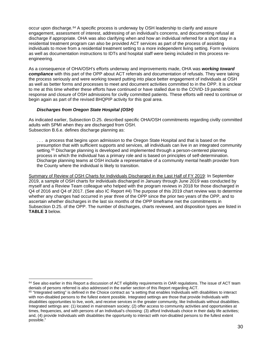occur upon discharge.[64](#page-29-0) A specific process is underway by OSH leadership to clarify and assure engagement, assessment of interest, addressing of an individual's concerns, and documenting refusal at discharge if appropriate. OHA was also clarifying when and how an individual referred for a short stay in a residential treatment program can also be provided ACT services as part of the process of assisting individuals to move from a residential treatment setting to a more independent living setting. Form revisions as well as documentation instructions to IDTs and hospital staff were being included in this process reengineering.

As a consequence of OHA/OSH's efforts underway and improvements made, OHA was *working toward compliance* with this part of the OPP about ACT referrals and documentation of refusals. They were taking the process seriously and were working toward putting into place better engagement of individuals at OSH as well as better forms and processes to meet and document activities committed to in the OPP. It is unclear to me at this time whether these efforts have continued or have stalled due to the COVID-19 pandemic response and closure of OSH admissions for civilly committed patients. These efforts will need to continue or begin again as part of the revised BHQPIP activity for this goal area.

#### *Discharges from Oregon State Hospital (OSH)*

As indicated earlier, Subsection D.25. described specific OHA/OSH commitments regarding civilly committed adults with SPMI when they are discharged from OSH. Subsection B.6.e. defines discharge planning as:

. . . a process that begins upon admission to the Oregon State Hospital and that is based on the presumption that with sufficient supports and services, all individuals can live in an integrated community setting.<sup>[65](#page-29-1)</sup> Discharge planning is developed and implemented through a person-centered planning process in which the individual has a primary role and is based on principles of self-determination. Discharge planning teams at OSH include a representative of a community mental health provider from the County where the individual is likely to transition.

Summary of Review of OSH Charts for Individuals Discharged in the Last Half of FY 2019: In September 2019, a sample of OSH charts for individuals discharged in January through June 2019 was conducted by myself and a Review Team colleague who helped with the program reviews in 2018 for those discharged in Q4 of 2016 and Q4 of 2017. (See also IC Report #4) The purpose of this 2019 chart review was to determine whether any changes had occurred in year three of the OPP since the prior two years of the OPP, and to ascertain whether discharges in the last six months of the OPP timeframe met the commitments in Subsection D.25. of the OPP. The number of discharges, charts reviewed, and disposition types are listed in **TABLE 3** below.

<span id="page-29-0"></span> $64$  See also earlier in this Report a discussion of ACT eligibility requirements in OAR regulations. The issue of ACT team denials of persons referred is also addressed in the earlier section of this Report regarding ACT.

<span id="page-29-1"></span> $65$  "Integrated setting" is defined in the Choice contract as "a setting that enables Individuals with disabilities to interact with non-disabled persons to the fullest extent possible. Integrated settings are those that provide Individuals with disabilities opportunities to live, work, and receive services in the greater community, like Individuals without disabilities. Integrated settings are: (1) located in mainstream society; (2) offer access to community activities and opportunities at times, frequencies, and with persons of an Individual's choosing: (3) afford Individuals choice in their daily life activities; and, (4) provide Individuals with disabilities the opportunity to interact with non-disabled persons to the fullest extent possible."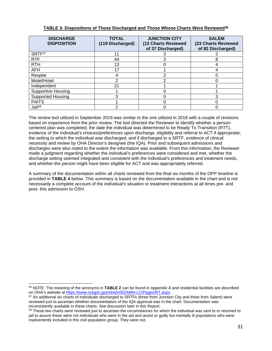| <b>DISCHARGE</b><br><b>DISPOSITION</b> | <b>TOTAL</b><br>(119 Discharged) | <b>JUNCTION CITY</b><br>(12 Charts Reviewed<br>of 37 Discharged) | <b>SALEM</b><br>(23 Charts Reviewed<br>of 82 Discharged) |  |
|----------------------------------------|----------------------------------|------------------------------------------------------------------|----------------------------------------------------------|--|
| SRTF <sup>67</sup>                     | 11                               |                                                                  |                                                          |  |
| <b>RTF</b>                             | 44                               |                                                                  | 8                                                        |  |
| <b>RTH</b>                             | 13                               |                                                                  |                                                          |  |
| AFH                                    | 17                               |                                                                  |                                                          |  |
| Respite                                | 4                                |                                                                  |                                                          |  |
| Motel/Hotel                            | າ                                |                                                                  |                                                          |  |
| Independent                            | 21                               |                                                                  |                                                          |  |
| <b>Supportive Housing</b>              |                                  |                                                                  |                                                          |  |
| Supported Housing                      | 3                                |                                                                  | 3                                                        |  |
| <b>PAITS</b>                           |                                  |                                                                  |                                                          |  |
| Jail <sup>68</sup>                     | າ                                |                                                                  |                                                          |  |

# **TABLE 3: Dispositions of Those Discharged and Those Whose Charts Were Reviewed[66](#page-30-0)**

The review tool utilized in September 2019 was similar to the one utilized in 2018 with a couple of revisions based on experience from the prior review. The tool directed the Reviewer to identify whether a personcentered plan was completed; the date the individual was determined to be Ready To Transition (RTT), evidence of the individual's choices/preferences upon discharge, eligibility and referral to ACT if appropriate; the setting to which the individual was discharged; and if discharged to a SRTF, evidence of clinical necessity and review by OHA Director's designee (the IQA). Prior and subsequent admissions and discharges were also noted to the extent the information was available. From this information, the Reviewer made a judgment regarding whether the individual's preferences were considered and met, whether the discharge setting seemed integrated and consistent with the individual's preferences and treatment needs, and whether the person might have been eligible for ACT and was appropriately referred.

A summary of the documentation within all charts reviewed from the final six months of the OPP timeline is provided in **TABLE 4** below. This summary is based on the documentation available in the chart and is not necessarily a complete account of the individual's situation or treatment interactions at all times pre- and post- this admission to OSH.

<span id="page-30-0"></span><sup>66</sup> NOTE: The meaning of the acronyms in **TABLE 2** can be found in Appendix A and residential facilities are described on OHA's website at [https://www.oregon.gov/oha/HSD/AMH-LC/Pages/RT.aspx.](https://www.oregon.gov/oha/HSD/AMH-LC/Pages/RT.aspx)

<span id="page-30-1"></span><sup>&</sup>lt;sup>67</sup> An additional six charts of individuals discharged to SRTFs (three from Junction City and three from Salem) were reviewed just to ascertain whether documentation of the IQA approval was in the chart. Documentation was inconsistently available in these charts. See discussion later in this Report.

<span id="page-30-2"></span> $68$  These two charts were reviewed just to ascertain the circumstances for which the individual was sent to or returned to jail to assure these were not individuals who were in the aid and assist or guilty but mentally ill populations who were inadvertently included in this civil population group. They were not.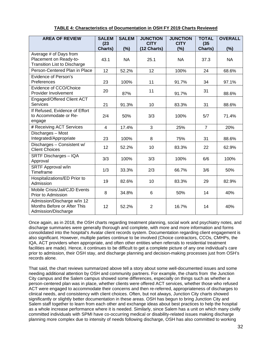| <b>AREA OF REVIEW</b>                                                             | <b>SALEM</b>    | <b>SALEM</b> | <b>JUNCTION</b>            | <b>JUNCTION</b>    | <b>TOTAL</b>    | <b>OVERALL</b> |
|-----------------------------------------------------------------------------------|-----------------|--------------|----------------------------|--------------------|-----------------|----------------|
|                                                                                   | (23)<br>Charts) | (%)          | <b>CITY</b><br>(12 Charts) | <b>CITY</b><br>(%) | (35)<br>Charts) | (%)            |
| Average # of Days from                                                            |                 |              |                            |                    |                 |                |
| Placement on Ready-to-                                                            | 43.1            | <b>NA</b>    | 25.1                       | <b>NA</b>          | 37.3            | <b>NA</b>      |
| <b>Transition List to Discharge</b>                                               |                 |              |                            |                    |                 |                |
| Person-Centered Plan in Place                                                     | 12              | 52.2%        | 12                         | 100%               | 24              | 68.6%          |
| Evidence of Person's<br>Preferences                                               | 23              | 100%         | 11                         | 91.7%              | 34              | 97.1%          |
| Evidence of CCO/Choice<br>Provider Involvement                                    | 20              | 87%          | 11                         | 91.7%              | 31              | 88.6%          |
| Engaged/Offered Client ACT<br><b>Services</b>                                     | 21              | 91.3%        | 10                         | 83.3%              | 31              | 88.6%          |
| If Refused, Evidence of Effort<br>to Accommodate or Re-<br>engage                 | 2/4             | 50%          | 3/3                        | 100%               | 5/7             | 71.4%          |
| # Receiving ACT Services                                                          | $\overline{4}$  | 17.4%        | 3                          | 25%                | $\overline{7}$  | 20%            |
| Discharges - Most<br>Integrated/Appropriate                                       | 23              | 100%         | 8                          | 75%                | 31              | 88.6%          |
| Discharges - Consistent w/<br><b>Client Choices</b>                               | 12              | 52.2%        | 10                         | 83.3%              | 22              | 62.9%          |
| SRTF Discharges - IQA<br>Approval                                                 | 3/3             | 100%         | 3/3                        | 100%               | 6/6             | 100%           |
| SRTF Approval w/in<br>Timeframe                                                   | 1/3             | 33.3%        | 2/3                        | 66.7%              | 3/6             | 50%            |
| Hospitalizations/ED Prior to<br>Admission                                         | 19              | 82.6%        | 10                         | 83.3%              | 29              | 82.9%          |
| Mobile Crisis/Jail/CJD Events<br>Prior to Admission                               | 8               | 34.8%        | 6                          | 50%                | 14              | 40%            |
| Admission/Discharge w/in 12<br>Months Before or After This<br>Admission/Discharge | 12              | 52.2%        | $\overline{2}$             | 16.7%              | 14              | 40%            |

# **TABLE 4: Characteristics of Documentation in OSH FY 2019 Charts Reviewed**

Once again, as in 2018, the OSH charts regarding treatment planning, social work and psychiatry notes, and discharge summaries were generally thorough and complete, with more and more information and forms consolidated into the hospital's Avatar client records system. Documentation regarding client engagement is also significant. However, multiple parties continue to be involved (Choice contractors, CCOs, CMHPs, the IQA, ACT providers when appropriate, and often other entities when referrals to residential treatment facilities are made). Hence, it continues to be difficult to get a complete picture of any one individual's care prior to admission, their OSH stay, and discharge planning and decision-making processes just from OSH's records alone.

That said, the chart reviews summarized above tell a story about some well-documented issues and some needing additional attention by OSH and community partners. For example, the charts from the Junction City campus and the Salem campus showed some differences, especially on things such as whether a person-centered plan was in place, whether clients were offered ACT services, whether those who refused ACT were engaged to accommodate their concerns and then re-referred, appropriateness of discharges to clinical needs, and consistency with client choices. Often, but not always, Junction City charts showed significantly or slightly better documentation in these areas. OSH has begun to bring Junction City and Salem staff together to learn from each other and exchange ideas about best practices to help the hospital as a whole increase performance where it is needed. Similarly, since Salem has a unit on which many civilly committed individuals with SPMI have co-occurring medical or disability-related issues making discharge planning more complex due to intensity of needs following discharge, OSH has also committed to working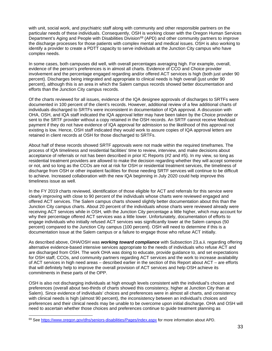with unit, social work, and psychiatric staff along with community and other responsible partners on the particular needs of these individuals. Consequently, OSH is working closer with the Oregon Human Services Department's Aging and People with Disabilities Division<sup>[69](#page-32-0)</sup> (APD) and other community partners to improve the discharge processes for those patients with complex mental and medical issues. OSH is also working to identify a provider to create a PDTT capacity to serve individuals at the Junction City campus who have complex needs.

In some cases, both campuses did well, with overall percentages averaging high. For example, overall, evidence of the person's preferences is in almost all charts. Evidence of CCO and Choice provider involvement and the percentage engaged regarding and/or offered ACT services is high (both just under 90 percent). Discharges being integrated and appropriate to clinical needs is high overall (just under 90 percent), although this is an area in which the Salem campus records showed better documentation and efforts than the Junction City campus records.

Of the charts reviewed for all issues, evidence of the IQA designee approvals of discharges to SRTFs were documented in 100 percent of the client's records. However, additional review of a few additional charts of individuals discharged to SRTFs were inconsistent in documentation of IQA approval. A discussion with OHA, OSH, and IQA staff indicated the IQA approval letter may have been taken by the Choice provider or sent to the SRTF provider without a copy retained in the OSH records. An SRTF cannot receive Medicaid payment if they do not have evidence of IQA approval for admission so the likelihood of this approval not existing is low. Hence, OSH staff indicated they would work to assure copies of IQA approval letters are retained in client records at OSH for those discharged to SRTFs.

About half of these records showed SRTF approvals were not made within the required timeframes. The process of IQA timeliness and residential facilities' time to review, interview, and make decisions about acceptance of referrals or not has been described in prior IC Reports (#2 and #5). In my view, so long as residential treatment providers are allowed to make the decision regarding whether they will accept someone or not, and so long as the CCOs are not at risk for OSH or residential treatment services, the timeliness of discharge from OSH or other inpatient facilities for those needing SRTF services will continue to be difficult to achieve. Increased collaboration with the new IQA beginning in July 2020 could help improve this timeliness issue as well.

In the FY 2019 charts reviewed, identification of those eligible for ACT and referrals for this service were clearly improving with close to 90 percent of the individuals whose charts were reviewed engaged and offered ACT services. The Salem campus charts showed slightly better documentation about this than the Junction City campus charts. About 20 percent of the individuals whose charts were reviewed already were receiving ACT services while in OSH, with the Junction City percentage a little higher, which may account for why their percentage offered ACT services was a little lower. Unfortunately, documentation of efforts to engage individuals who initially refused ACT services was significantly lower at the Salem campus (50 percent) compared to the Junction City campus (100 percent). OSH will need to determine if this is a documentation issue at the Salem campus or a failure to engage those who refuse ACT initially.

As described above, OHA/OSH was *working toward compliance* with Subsection 23.a.ii. regarding offering alternative evidence-based intensive services appropriate to the needs of individuals who refuse ACT and are discharged from OSH. The work OHA was doing to educate, provide guidance to, and set expectations for OSH staff, CCOs, and community partners regarding ACT services and the work to increase availability of ACT services in high need areas – described earlier in the section of this Report about ACT – are efforts that will definitely help to improve the overall provision of ACT services and help OSH achieve its commitments in these parts of the OPP.

OSH is also not discharging individuals at high enough levels consistent with the individual's choices and preferences (overall about two-thirds of charts showed this consistency, higher at Junction City than at Salem). Since evidence of individuals' choices and preferences were in almost all charts, and consistency with clinical needs is high (almost 90 percent), the inconsistency between an individual's choices and preferences and their clinical needs may be unable to be overcome upon initial discharge. OHA and OSH will need to ascertain whether those choices and preferences continue to guide treatment planning as

<span id="page-32-0"></span><sup>69</sup> Se[e https://www.oregon.gov/dhs/seniors-disabilities/Pages/index.aspx](https://www.oregon.gov/dhs/seniors-disabilities/Pages/index.aspx) for more information about APD.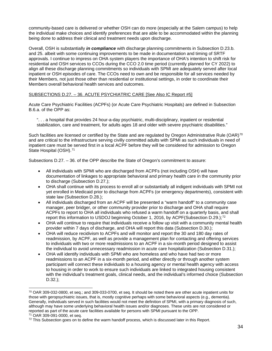community-based care is delivered or whether OSH can do more (especially at the Salem campus) to help the individual make choices and identify preferences that are able to be accommodated within the planning being done to address their clinical and treatment needs upon discharge.

Overall, OSH is substantially *in compliance* with discharge planning commitments in Subsection D.23.b. and 25. albeit with some continuing improvements to be made in documentation and timing of SRTF approvals. I continue to impress on OHA system players the importance of OHA's intention to shift risk for residential and OSH services to CCOs during the CCO 2.0 time period (currently planned for CY 2022) to align all these discharge planning commitments so individuals with SPMI are adequately served after local inpatient or OSH episodes of care. The CCOs need to own and be responsible for all services needed by their Members, not just those other than residential or institutional settings, in order to coordinate their Members overall behavioral health services and outcomes.

#### SUBSECTIONS D.27. – 36. ACUTE PSYCHIATRIC CARE [See Also IC Report #5]

Acute Care Psychiatric Facilities (ACPFs) (or Acute Care Psychiatric Hospitals) are defined in Subsection B.6.a. of the OPP as:

". . . a hospital that provides 24 hour-a-day psychiatric, multi-disciplinary, inpatient or residential stabilization, care and treatment, for adults ages 18 and older with severe psychiatric disabilities."

Such facilities are licensed or certified by the State and are regulated by Oregon Administrative Rule (OAR)<sup>[70](#page-33-0)</sup> and are critical to the infrastructure serving civilly committed adults with SPMI as such individuals in need of inpatient care must be served first in a local ACPF before they will be considered for admission to Oregon State Hospital (OSH).<sup>[71](#page-33-1)</sup>

Subsections D.27. – 36. of the OPP describe the State of Oregon's commitment to assure:

- All individuals with SPMI who are discharged from ACPFs (not including OSH) will have documentation of linkages to appropriate behavioral and primary health care in the community prior to discharge (Subsection D.27.);
- OHA shall continue with its process to enroll all or substantially all indigent individuals with SPMI not yet enrolled in Medicaid prior to discharge from ACPFs (or emergency departments), consistent with state law (Subsection D.28.);
- All individuals discharged from an ACPF will be presented a "warm handoff" to a community case manager, peer bridger, or other community provider prior to discharge and OHA shall require ACPFs to report to OHA all individuals who refused a warm handoff on a quarterly basis, and shall report this information to USDOJ beginning October 1, 2016, by ACPF(Subsection D.29.);<sup>[72](#page-33-2)</sup>
- OHA will continue to require that individuals receive a follow up visit with a community mental health provider within 7 days of discharge, and OHA will report this data (Subsection D.30.);
- OHA will reduce recidivism to ACPFs and will monitor and report the 30 and 180 day rates of readmission, by ACPF, as well as provide a management plan for contacting and offering services to individuals with two or more readmissions to an ACPF in a six-month period designed to assist the individual to avoid unnecessary readmission in acute care hospitalization (Subsection D.31.);
- OHA will identify individuals with SPMI who are homeless and who have had two or more readmissions to an ACPF in a six-month period, and either directly or through another system participant will connect these individuals to a housing agency or mental health agency with access to housing in order to work to ensure such individuals are linked to integrated housing consistent with the individual's treatment goals, clinical needs, and the individual's informed choice (Subsection D.32.);

<span id="page-33-0"></span><sup>70</sup> OAR 309-032-0800, et seq.; and 309-033-0700, et seq. It should be noted there are other acute inpatient units for those with geropsychiatric issues, that is, mostly cognitive perhaps with some behavioral aspects (e.g., dementia). Generally, individuals served in such facilities would not meet the definition of SPMI, with a primary diagnosis of such, although may have some underlying behavioral health issues and/or diagnoses. These units are not considered or reported as part of the acute care facilities available for persons with SPMI pursuant to the OPP.

<span id="page-33-1"></span><sup>71</sup> OAR 309-091-0000, et seq.

<span id="page-33-2"></span> $72$  This Subsection goes on to define the warm handoff process, which is discussed later in this Report.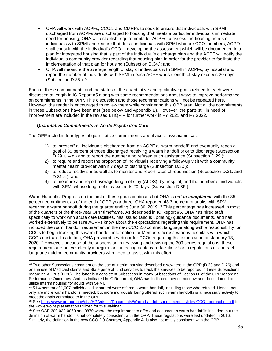- OHA will work with ACPFs, CCOs, and CMHPs to seek to ensure that individuals with SPMI discharged from ACPFs are discharged to housing that meets a particular individual's immediate need for housing, OHA will establish requirements for ACPFs to assess the housing needs of individuals with SPMI and require that, for all individuals with SPMI who are CCO members, ACPFs shall consult with the individual's CCO in developing the assessment which will be documented in a plan for integrated housing that is part of the individual's discharge plan and the ACPF will notify the individual's community provider regarding that housing plan in order for the provider to facilitate the implementation of that plan for housing (Subsection D.34.); and
- OHA will measure the average length of stay of individuals with SPMI in ACPFs, by hospital and report the number of individuals with SPMI in each ACPF whose length of stay exceeds 20 days (Subsection D.35.).[73](#page-34-0)

Each of these commitments and the status of the quantitative and qualitative goals related to each were discussed at length in IC Report #5 along with some recommendations about ways to improve performance on commitments in the OPP. This discussion and those recommendations will not be repeated here. However, the reader is encouraged to review them while considering this OPP area. Not all the commitments in these Subsections have been met (see below and Appendix B). However, the parts still in need of improvement are included in the revised BHQPIP for further work in FY 2021 and FY 2022.

# *Quantitative Commitments re Acute Psychiatric Care*

The OPP includes four types of quantitative commitments about acute psychiatric care:

- 1) to 'present" all individuals discharged from an ACPF a "warm handoff" and eventually reach a goal of 85 percent of those discharged receiving a warm handoff prior to discharge (Subsection D.29.a. – c.) and to report the number who refused such assistance (Subsection D.29.);
- 2) to require and report the proportion of individuals receiving a follow-up visit with a community mental health provider within 7 days of discharge (Subsection D.30.);
- 3) to reduce recidivism as well as to monitor and report rates of readmission (Subsection D.31. and D.31.a.); and
- 4) to measure and report average length of stay (ALOS), by hospital, and the number of individuals with SPMI whose length of stay exceeds 20 days. (Subsection D.35.)

Warm Handoffs: Progress on the first of these goals continues but OHA is *not in compliance* with the 85 percent commitment as of the end of OPP year three. OHA reported 43.3 percent of adults with SPMI received a warm handoff during the quarter ending June 30, 2019.<sup>[74](#page-34-1)</sup> This percentage has increased in most of the quarters of the three-year OPP timeframe. As described in IC Report #5, OHA has hired staff specifically to work with acute care facilities, has issued (and is updating) guidance documents, and has worked extensively to be sure ACPFs know about the expectations regarding this requirement. OHA has included the warm handoff requirement in the new CCO 2.0 contract language along with a responsibility for CCOs to begin tracking this warm handoff information for Members across various hospitals with which CCOs contract. In addition, OHA provided a webinar for CCOs regarding this expectation on January 13, 2020.[75](#page-34-2) However, because of the suspension in reviewing and revising the 309 series regulations, these requirements are not yet clearly in regulations affecting acute care facilities<sup>[76](#page-34-3)</sup> or in regulations or contract language guiding community providers who need to assist with this effort.

<span id="page-34-0"></span> $^{73}$  Two other Subsections comment on the use of interim housing described elsewhere in the OPP (D.33 and D.26) and on the use of Medicaid claims and State general fund services to track the services to be reported in these Subsections regarding ACPFs (D.36). The latter is a consistent Subsection in many Subsections of Section D. of the OPP regarding Performance Outcomes. And, as indicated in IC Report #4, OHA has indicated they do not now and do not intend to utilize interim housing for adults with SPMI.

<span id="page-34-1"></span> $74$  51.4 percent of 1,007 individuals discharged were offered a warm handoff, including those who refused. Hence, not only are more warm handoffs needed, but more individuals being offered such warm handoffs is a necessary activity to meet the goals committed to in the OPP.

<span id="page-34-2"></span><sup>75</sup> Se[e https://www.oregon.gov/oha/HPA/dsi-tc/Documents/Warm-handoff-supplemental-slides-CCO-approaches.pdf](https://www.oregon.gov/oha/HPA/dsi-tc/Documents/Warm-handoff-supplemental-slides-CCO-approaches.pdf) for the PowerPoint presentation utilized for this webinar.

<span id="page-34-3"></span> $^{76}$  See OAR 309-032-0860 and 0870 where the requirement to offer and document a warm handoff is included, but the definition of warm handoff is not completely consistent with the OPP. These regulations were last updated in 2016. Similarly, the definition in the new CCO 2.0 Contract, Appendix A, is also not totally consistent with the OPP.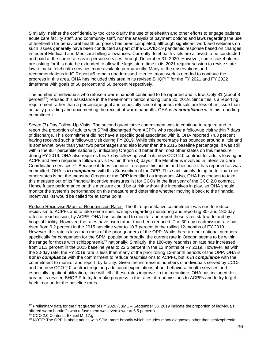Similarly, neither the confidentiality toolkit to clarify the use of telehealth and other efforts to engage patients, acute care facility staff, and community staff, nor the analysis of payment options and laws regarding the use of telehealth for behavioral health purposes has been completed, although significant work and webinars on such issues generally have been conducted as part of the COVID-19 pandemic response based on changes in federal Medicaid and Medicare billing allowances. Currently, telehealth visits are allowed to be conducted and paid at the same rate as in-person services through December 31, 2020. However, some stakeholders are asking for this date be extended to allow the legislature time in its 2021 regular session to revise state law to make telehealth services more available permanently. Many of the observations and recommendations in IC Report #5 remain unaddressed. Hence, more work is needed to continue the progress in this area. OHA has included this area in its revised BHQPIP for the FY 2021 and FY 2022 timeframe with goals of 50 percent and 60 percent respectively.

The number of individuals who refuse a warm handoff continued to be reported and is low. Only 81 (about 8 percent<sup>77</sup>) refused this assistance in the three-month period ending June 30, 2019. Since this is a reporting requirement rather than a percentage goal and especially since it appears refusals are less of an issue than actually providing and documenting the receipt of warm handoffs, OHA is *in compliance* with this reporting commitment.

Seven (7)-Day Follow-Up Visits: The second quantitative commitment was to continue to require and to report the proportion of adults with SPMI discharged from ACPFs who receive a follow-up visit within 7 days of discharge. This commitment did not have a specific goal associated with it. OHA reported 74.3 percent having received such a follow-up visit during FY 2019. While this percentage has bounced around a little and is somewhat lower than year two percentages and also lower than the 2015 baseline percentage, it was still within the 95<sup>th</sup> percentile nationally, indicating Oregon did better than most other states on this measure during FY 2019. OHA also requires this 7-day follow-up visit in its new CCO 2.0 contract for adults leaving an ACPF and even requires a follow-up visit within three (3) days if the Member is involved in Intensive Care Coordination services.[78](#page-35-1) Because it does continue to require this action and because it has reported as was committed, OHA is *in compliance* with this Subsection of the OPP. This said, simply doing better than most other states is not the measure Oregon or the OPP identified as important. Also, OHA has chosen to take this measure out of its financial incentive measures list for CCOs in the first year of the CCO 2.0 contract. Hence future performance on this measure could be at risk without the incentives in play, so OHA should monitor the system's performance on this measure and determine whether moving it back to the financial incentives list would be called for at some point.

Reduce Recidivism/Monitor Readmission Rates: The third quantitative commitment was one to reduce recidivism to ACPFs and to take some specific steps regarding monitoring and reporting 30- and 180-day rates of readmission, by ACPF. OHA has continued to monitor and report these rates statewide and by hospital facility. However, the rates have risen rather than been reduced. The 30-day readmission rate has risen from 9.2 percent in the 2015 baseline year to 10.7 percent in the rolling 12-months of FY 2019. However, this rate is less than most of the prior quarters of the OPP. While there are not national numbers specifically for comparison for the SPMI population broadly, the current rate in Oregon seems to be within the range for those with schizophrenia<sup>[79](#page-35-2)</sup> nationally. Similarly, the 180-day readmission rate has increased from 21.3 percent in the 2015 baseline year to 22.5 percent in the 12 months of FY 2019. However, as with the 30-day rate, the FY 2019 rate is less than many of the prior rolling 12-month periods of the OPP. OHA is *not in compliance* with the commitment to reduce readmissions to ACPFs, but is *in compliance* with the commitment to monitor and report, by facility. Given the increase in numbers of individuals served by CCOs and the new CCO 2.0 contract requiring additional expectations about behavioral health services and especially inpatient utilization, time will tell if these rates improve. In the meantime, OHA has included this area in its revised BHQPIP to try to make progress in the rates of readmissions to ACPFs and to try to get back to or under the baseline rates.

<span id="page-35-0"></span> $77$  Preliminary data for the first quarter of FY 2020 (July 1 – September 30, 2019 indicate the proportion of individuals offered warm handoffs who refuse them was even lower at 6.5 percent).

<span id="page-35-1"></span><sup>78</sup> CCO 2.0 Contract, Exhibit M, 17.g.

<span id="page-35-2"></span> $79$  NOTE: The OPP is about adults with SPMI more broadly which includes many diagnoses other than schizophrenia.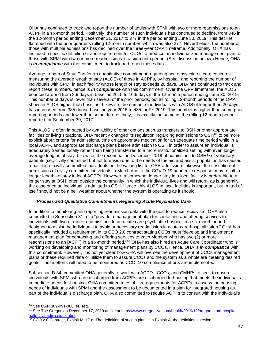OHA has continued to track and report the number of adults with SPMI with two or more readmissions to an ACPF in a six-month period. Positively, the number of such individuals has continued to decline, from 346 in the 12-month period ending December 31, 2017 to 277 in the period ending June 30, 2019. This decline flattened with the prior quarter's rolling 12-month number, which was also 277. Nevertheless, the number of those with multiple admissions has declined over the three-year OPP timeframe. Additionally, OHA has included a specific definition of and requirement for CCOs to produce an individualized management plan for those with SPMI with two or more readmissions in a six-month period. (See discussion below.) Hence, OHA is *in compliance* with the commitment to track and report these data.

Average Length of Stay: The fourth quantitative commitment regarding acute psychiatric care concerns measuring the average length of stay (ALOS) of those in ACPFs, by hospital, and reporting the number of individuals with SPMI in each facility whose length of stay exceeds 20 days. OHA has continued to track and report these numbers, hence is *in compliance* with this commitment. Over the OPP timeframe, the ALOS bounced around from 8.9 days in baseline 2015 to 10.9 days in the 12-month period ending June 30, 2019. This number of days is lower than several of the prior periods, but all rolling 12-month periods of the OPP show an ALOS higher than baseline. Likewise, the number of individuals with ALOS of longer than 20 days has increased from 385 during baseline year 2015 to 435 for FY 2019. This number is higher than some prior reporting periods and lower than some. Interestingly, it is exactly the same as the rolling 12-month period reported for September 30, 2017.

This ALOS is often impacted by availability of other options such as transfers to OSH or other appropriate facilities or living situations. OHA recently changed its regulation regarding admissions to OSH<sup>[80](#page-36-0)</sup> to be more explicit about criteria for admissions, time on appropriate medication for an adequate time period while in a local ACPF, and appropriate discharge plans before admission to OSH in order to assure an individual is adequately treated locally rather than being transferred to a more institutionalized setting with even longer average lengths of stay. Likewise, the recent halt in December 2019 of admissions to  $\mathsf{OSH}^{81}$  $\mathsf{OSH}^{81}$  $\mathsf{OSH}^{81}$  of voluntary patients (i.e., civilly committed but not forensic) due to the needs of the aid and assist population has caused a backlog of civilly committed individuals on the waiting list for OSH admission. Likewise, the cessation of admissions of civilly committed individuals in March due to the COVID-19 pandemic response, may result in longer lengths of stay in local ACPFs. However, a somewhat longer stay in a local facility is preferable to a longer stay at OSH, often outside the community in which the individual lives and will return, as is generally the case once an individual is admitted to OSH. Hence, this ALOS in local facilities is important, but in and of itself should not be a bell weather about whether the system is operating as it should.

## *Process and Qualitative Commitments Regarding Acute Psychiatric Care*

In addition to monitoring and reporting readmission data with the goal to reduce recidivism, OHA also committed in Subsection 31.b. to "provide a management plan for contacting and offering services to individuals with two or more readmissions to an acute care psychiatric hospital in a six-month period designed to assist the individuals to avoid unnecessary readmission in acute care hospitalization." OHA has specifically included a requirement in its CCO 2.0 contract stating CCOs must "develop and implement a management plan for contacting and offering services to each Member who has two (2) or more readmissions to an [ACPF] in a six-month period."<sup>[82](#page-36-2)</sup> OHA has also hired an Acute Care Coordinator who is working on developing and monitoring of management plans by CCOs. Hence, OHA is *in compliance* with this commitment. However, it is not yet clear how OHA will oversee the development of CCOs management plans or these required data or utilize them to assure CCOs and the system as a whole are meeting desired goals. These efforts will need to be monitored as CCO 2.0 compliance efforts are implemented.

Subsection D.34. committed OHA generally to work with ACPFs, CCOs, and CMHPs to seek to ensure individuals with SPMI who are discharged from ACPFs are discharged to housing that meets the individual's immediate needs for housing. OHA committed to establish requirements for ACPFs to assess the housing needs of individuals with SPMI and the assessment to be documented in a plan for integrated housing as part of the individual's discharge plan. OHA also committed to require ACPFs to consult with the individual's

<span id="page-36-0"></span><sup>80</sup> See OAR 309-091-000, et. seq.

<span id="page-36-1"></span><sup>&</sup>lt;sup>81</sup> See The Oregonian December 17, 2019 article at [https://www.oregonlive.com/health/2019/12/oregon-state-hospital](https://www.oregonlive.com/health/2019/12/oregon-state-hospital-halts-civil-admissions.html)[halts-civil-admissions.html.](https://www.oregonlive.com/health/2019/12/oregon-state-hospital-halts-civil-admissions.html)

<span id="page-36-2"></span><sup>82</sup> CCO 2.0 Contract, Exhibit M, 17.d. The definition of such a plan is in Exhibit A, the definitions section.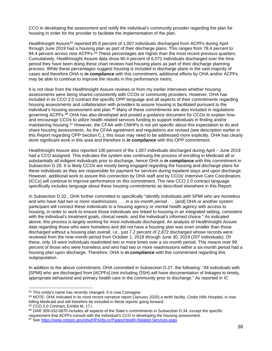CCO in developing the assessment and notify the individual's community provider regarding the plan for housing in order for the provider to facilitate the implementation of the plan.

HealthInsight Assure<sup>[83](#page-37-0)</sup> reported 85.8 percent of 1,007 individuals discharged from ACPFs during April through June 2019 had a housing plan as part of their discharge plans. This ranges from 78.4 percent to 94.4 percent across nine ACPFs.<sup>[84](#page-37-1)</sup> These percentages are higher than the most recent previous quarters. Cumulatively, HealthInsight Assure data show 90.4 percent of 6,071 individuals discharged over the time period they have been doing these chart reviews had housing plans as part of their discharge planning process. While these percentages suggest housing is included in discharge plans in the vast majority of cases and therefore OHA is *in compliance* with this commitment, additional efforts by OHA and/or ACPFs may be able to continue to improve the results in this performance metric.

It is not clear from the HealthInsight Assure reviews or from my earlier interviews whether housing assessments were being shared consistently with CCOs or community providers. However, OHA has included in its CCO 2.0 contract the specific OPP language and all aspects of their commitments regarding housing assessments and collaboration with providers to assure housing is facilitated pursuant to the individual's housing assessment and plan.<sup>[85](#page-37-2)</sup> Many of these commitments are also included in regulations governing ACPFs.<sup>[86](#page-37-3)</sup> OHA has also developed and posted a guidance document for CCOs to explain how and encourage CCOs to utilize health related services funding to support individuals in finding and/or maintaining housing.<sup>[87](#page-37-4)</sup> However, the CFAA with CMHPs is not yet specific about this expectation to do and share housing assessments. As the CFAA agreement and regulations are revised (see description earlier in this Report regarding OPP Section C.), this issue may need to be addressed more explicitly. OHA has clearly done significant work in this area and therefore is *in compliance* with this OPP commitment.

HealthInsight Assure also reported 100 percent of the 1,007 individuals discharged during April – June 2019 had a CCO assigned. This indicates the system was continuing the process of enrolling in Medicaid all or substantially all indigent individuals prior to discharge, hence OHA is *in compliance* with this commitment in Subsection D.28. It is likely CCOs are mostly being engaged regarding the housing and discharge plans for these individuals as they are responsible for payment for services during inpatient stays and upon discharge. However, additional work to assure this connection by OHA staff and by CCOs' Intensive Care Coordinators (ICCs) will continue to improve performance on this commitment. The new CCO 2.0 contract language specifically includes language about these housing commitments as described elsewhere in this Report.

In Subsection D.32., OHA further committed to specifically "identify individuals with SPMI *who are homeless and who have had two or more readmissions . . . in a six-month period . . .* [and] OHA or another system participant will connect these individuals to a housing agency or mental health agency with access to housing, in order to work to ensure those individuals are linked to housing in an integrated setting, consistent with the individual's treatment goals, clinical needs, and the individual's informed choice." As indicated above, this process is largely working for most individuals discharged. An analysis of HealthInsight Assure data regarding those who were homeless and did not have a housing plan was even smaller than those discharged without a housing plan overall, i.e., just 7.2 percent of 2,872 discharged whose records were reviewed from the nine-month period from October 1, 2018 through June 30, 2019 (207 individuals). Of these, only 19 were individuals readmitted two or more times over a six-month period. This means over 99 percent of those who were homeless and who had two or more readmissions within a six-month period had a housing plan upon discharge. Therefore, OHA is *in compliance* with this commitment regarding this subpopulation.

In addition to the above commitment, OHA committed in Subsection D.27. the following: "All individuals with [SPMI] who are discharged from [ACPFs] (not including OSH) will have documentation of linkages to timely, appropriate behavioral and primary health care in the community prior to discharge." As reported in IC

<span id="page-37-0"></span><sup>83</sup> This entity's name has recently changed. It is now Comagine.

<span id="page-37-1"></span><sup>84</sup> NOTE: OHA indicated in its most recent narrative report (January 2020) a tenth facility, Cedar Hills Hospital, is now billing Medicaid and will therefore be included in these reports going forward.

<span id="page-37-2"></span><sup>85</sup> CCO 2.0 Contract, Exhibit M, 17.i.

<span id="page-37-4"></span><span id="page-37-3"></span><sup>&</sup>lt;sup>86</sup> OAR 309-032-0870 includes all aspects of the State's commitments in Subsection D.34. except the specific<br>requirement that ACPFs consult with the individual's CCO in developing the housing assessment. <sup>87</sup> Se[e https://www.oregon.gov/oha/HPA/dsi-tc/Pages/Health-Related-Services.aspx.](https://www.oregon.gov/oha/HPA/dsi-tc/Pages/Health-Related-Services.aspx)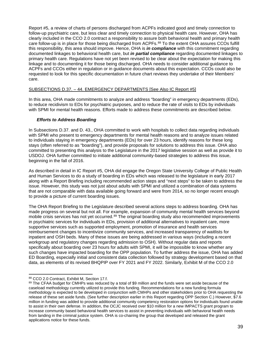Report #5, a review of charts of persons discharged from ACPFs indicated good and timely connection to follow-up psychiatric care, but less clear and timely connection to physical health care. However, OHA has clearly included in the CCO 2.0 contract a responsibility to assure both behavioral health and primary health care follow-up is in place for those being discharged from ACPFs.<sup>[88](#page-38-0)</sup> To the extent OHA assures CCOs fulfill this responsibility, this area should improve. Hence, OHA is *in compliance* with this commitment regarding documented linkages to behavioral health care, but *in partial compliance* regarding documented linkages to primary health care. Regulations have not yet been revised to be clear about the expectation for making this linkage and to documenting it for those being discharged. OHA needs to consider additional guidance to ACPFs and CCOs either in regulation or in guidance documents about this expectation. CCOs could also be requested to look for this specific documentation in future chart reviews they undertake of their Members' care.

## SUBSECTIONS D.37. – 44. EMERGENCY DEPARTMENTS [See Also IC Report #5]

In this area, OHA made commitments to analyze and address "boarding" in emergency departments (EDs), to reduce recidivism to EDs for psychiatric purposes, and to reduce the rate of visits to EDs by individuals with SPMI for mental health reasons. Efforts made to address these commitments are described below.

## *Efforts to Address Boarding*

In Subsections D.37. and D. 43., OHA committed to work with hospitals to collect data regarding individuals with SPMI who present to emergency departments for mental health reasons and to analyze issues related to individuals staying in emergency departments (EDs) for over 23 hours, identify reasons for these long stays (often referred to as "boarding"), and provide proposals for solutions to address this issue. OHA also committed to presenting this analysis to the Legislature in the 2017 legislative session as well as provide it to USDOJ. OHA further committed to initiate additional community-based strategies to address this issue, beginning in the fall of 2016.

As described in detail in IC Report #5, OHA did engage the Oregon State University College of Public Health and Human Services to do a study of boarding in EDs which was released to the legislature in early 2017 along with a Report Briefing including recommended action steps and "next steps" to be taken to address the issue. However, this study was not just about adults with SPMI and utilized a combination of data systems that are not comparable with data available going forward and were from 2014, so no longer recent enough to provide a picture of current boarding issues.

The OHA Report Briefing to the Legislature described several actions steps to address boarding. OHA has made progress on several but not all. For example, expansion of community mental health services beyond mobile crisis services has not yet occurred.<sup>[89](#page-38-1)</sup> The original boarding study also recommended improvements in psychiatric services for individuals in EDs, provision of additional alternatives to inpatient care, more supportive services such as supported employment, promotion of insurance and health services reimbursement changes to incentivize community services, and increased transparency of waitlists for inpatient and OSH beds. Many of these issues are being addressed in various ways (including a recent workgroup and regulatory changes regarding admission to OSH). Without regular data and reports specifically about boarding over 23 hours for adults with SPMI, it will be impossible to know whether any such changes have impacted boarding for the OPP population. To further address the issue, OHA has added ED Boarding, especially initial and consistent data collection followed by strategy development based on that data, as elements of its revised BHQPIP over FY 2021 and FY 2022. Similarly, Exhibit M of the CCO 2.0

<span id="page-38-0"></span><sup>88</sup> CCO 2.0 Contract, Exhibit M, Section 17.f.

<span id="page-38-1"></span><sup>89</sup> The CFAA budget for CMHPs was reduced by a total of \$9 million and the funds were set aside because of the caseload methodology currently utilized to provide this funding. Recommendations for a new funding formula methodology is expected to be developed in conjunction with CMHPs and other stakeholders prior to OHA requesting the release of these set aside funds. (See further description earlier in this Report regarding OPP Section C.) However, \$7.6 million in funding was added to provide additional community competency restoration options for individuals found unable to assist in their own defense. In addition, the OCJC received over \$10 million for a new IMPACTS grant program to increase community based behavioral health services to assist in preventing individuals with behavioral health needs from landing in the criminal justice system. OHA is co-chairing the group that developed and released the grant applications notice for these funds.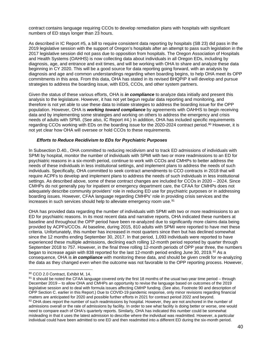contract contains language requiring CCOs to develop remediation plans with hospitals with significant numbers of ED stays longer than 23 hours.

As described in IC Report #5, a bill to require consistent data reporting by hospitals (SB 23) did pass in the 2019 legislative session with the support of Oregon's hospitals after an attempt to pass such legislation in the 2017 legislative session did not pass due to opposition from hospitals. The Oregon Association of Hospitals and Health Systems (OAHHS) is now collecting data about individuals in all Oregon EDs, including by diagnosis, age, and entrance and exit times, and will be working with OHA to share and analyze these data beginning in CY 2020. This will be a good source for data reporting going forward, with an analysis by diagnosis and age and common understandings regarding when boarding begins, to help OHA meet its OPP commitments in this area. From this data, OHA has stated in its revised BHQPIP it will develop and pursue strategies to address the boarding issue, with EDS, CCOs, and other system partners.

Given the status of these various efforts, OHA is *in compliance* to analyze data initially and present this analysis to the legislature. However, it has not yet begun regular data reporting and monitoring, and therefore is not yet able to use these data to initiate strategies to address the boarding issue for the OPP population. However, OHA is *working toward compliance* by agreements with OAHHS to begin receiving data and by implementing some strategies and working on others to address the emergency and crisis needs of adults with SPMI. (See also, IC Report #4.) In addition, OHA has included specific requirements regarding CCOs working with EDs on the boarding issue for the 2020-2024 contract period.<sup>[90](#page-39-0)</sup> However, it is not yet clear how OHA will oversee or hold CCOs to these requirements.

## *Efforts to Reduce Recidivism to EDs for Psychiatric Purposes*

In Subsection D.40., OHA committed to reducing recidivism and to track ED admissions of individuals with SPMI by hospital, monitor the number of individuals with SPMI with two or more readmissions to an ED for psychiatric reasons in a six-month period, continue to work with CCOs and CMHPs to better address the needs of these individuals in less institutional settings, and implement plans to address the needs of such individuals. Specifically, OHA committed to seek contract amendments to CCO contracts in 2018 that will require ACPFs to develop and implement plans to address the needs of such individuals in less institutional settings. As described above, some of these contract changes are included for CCOs in 2020 – 2024. Since CMHPs do not generally pay for inpatient or emergency department care, the CFAA for CMHPs does not adequately describe community providers' role in reducing ED use for psychiatric purposes or in addressing boarding issues. However, CFAA language regarding CMHPs' role in providing crisis services and the increases in such services should help to alleviate emergency room use.<sup>[91](#page-39-1)</sup>

OHA has provided data regarding the number of individuals with SPMI with two or more readmissions to an ED for psychiatric reasons. In its most recent data and narrative reports, OHA indicated these numbers at baseline and throughout the OPP period have been re-analyzed due to significantly more claims data being provided by ACPFs/CCOs. At baseline, during 2015, 810 adults with SPMI were reported to have met these criteria. Unfortunately, this number has increased in most quarters since then but has declined somewhat since the 12 months ending September 30, 2017. In that period, 1,093 individuals were reported to have experienced these multiple admissions, declining each rolling 12-month period reported by quarter through September 2018 to 757. However, in the final three rolling 12-month periods of OPP year three, the numbers began to increase again with 838 reported for the last 12-month period ending June 30, 2019.<sup>[92](#page-39-2)</sup> As a consequence, OHA is *in compliance* with monitoring these data, and should be given credit for re-analyzing the data as they changed even when the outcome was not favorable to the OPP reporting process. However,

<span id="page-39-0"></span><sup>90</sup> CCO 2.0 Contract, Exhibit M, 14.

<span id="page-39-2"></span><span id="page-39-1"></span> $91$  It should be noted the CFAA language covered only the first 18 months of the usual two-year time period – through December 2019 – to allow OHA and CMHPs an opportunity to revise the language based on outcomes of the 2019 legislative session and to deal with formula issues affecting CMHP funding. (See also, Footnote 90 and description of OPP Section C. earlier in this Report.) Due to COVID-19 pandemic response, only minor revisions regarding financial matters are anticipated for 2020 and possible further efforts in 2021 for contract period 2022 and beyond. 92 OHA does report the number of such readmissions by hospital. However, they are not anchored in the number of admissions overall or the rate of admissions by facility. In order to see what facility is doing better or worse, one would need to compare each of OHA's quarterly reports. Similarly, OHA has indicated this number could be somewhat misleading in that it uses the latest admission to describe where the individual was readmitted. However, a particular individual could have been admitted to one ED and then readmitted into a different ED during the six-month period.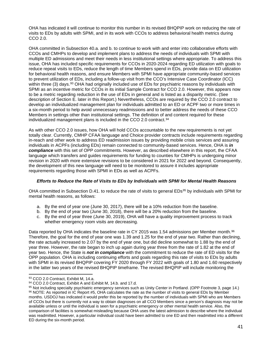OHA has indicated it will continue to monitor this number in its revised BHQPIP work on reducing the rate of visits to EDs by adults with SPMI, and in its work with CCOs to address behavioral health metrics during CCO 2.0.

OHA committed in Subsection 40.a. and b. to continue to work with and enter into collaborative efforts with CCOs and CMHPs to develop and implement plans to address the needs of individuals with SPMI with multiple ED admissions and meet their needs in less institutional settings where appropriate. To address this issue, OHA has included specific requirements for CCOs in 2020-2024 regarding ED utilization with goals to reduce repeat visits to EDs, reduce the length of time Members spend in EDs, provide data on ED utilization for behavioral health reasons, and ensure Members with SPMI have appropriate community-based services to prevent utilization of EDs, including a follow-up visit from the CCO's Intensive Case Coordinator (ICC) within three (3) days.<sup>[93](#page-40-0)</sup> OHA had originally included use of EDs for psychiatric reasons by individuals with SPMI as an incentive metric for CCOs in its initial Sample Contract for CCO 2.0. However, this appears now to be a metric regarding reduction in the use of EDs in general and is listed as a disparity metric. (See description of Section E. later in this Report.) Nevertheless, CCOs are required by the CCO 2.0 contract to develop an individualized management plan for individuals admitted to an ED or ACPF two or more times in a six-month period to help avoid unnecessary readmissions and to better address the needs of these CCO Members in settings other than institutional settings. The definition of and content required for these individualized management plans is included in the CCO 2.0 contract.<sup>[94](#page-40-1)</sup>

As with other CCO 2.0 issues, how OHA will hold CCOs accountable to the new requirements is not yet totally clear. Currently, CMHP CFAA language and Choice provider contracts include requirements regarding in-reach and other work to address ED readmission issues by providing mobile crisis services and assuring individuals in ACPFs (including EDs) remain connected to community-based services. Hence, OHA is *in compliance* with this set of OPP commitments. However, as described elsewhere in this report, the CFAA language which transfers and guides requirements for funding to counties for CMHPs is undergoing minor revision in 2020 with more extensive revisions to be considered in 2021 for 2022 and beyond. Consequently, the development of this new language will need to be monitored to assure it includes appropriate requirements regarding those with SPMI in EDs as well as ACPFs.

#### *Efforts to Reduce the Rate of Visits to EDs by Individuals with SPMI for Mental Health Reasons*

OHA committed in Subsection D.41. to reduce the rate of visits to general EDs<sup>[95](#page-40-2)</sup> by individuals with SPMI for mental health reasons, as follows:

- a. By the end of year one (June 30, 2017), there will be a 10% reduction from the baseline.
- b. By the end of year two (June 30, 2018), there will be a 20% reduction from the baseline.
- c. By the end of year three (June 30, 2019), OHA will have a quality improvement process to track whether emergency room visits are decreasing.

Data reported by OHA indicates the baseline rate in CY 2015 was 1.54 admissions per Member month.<sup>[96](#page-40-3)</sup> Therefore, the goal for the end of year one was 1.39 and 1.25 for the end of year two. Rather than declining, the rate actually increased to 2.07 by the end of year one, but did decline somewhat to 1.88 by the end of year three. However, the rate began to inch up again during year three from the rate of 1.82 at the end of year two. Hence, the State is *not in compliance* with the commitment to reduce the rate of ED visits for the OPP population. OHA is including continuing efforts and goals regarding this rate of visits to EDs by adults with SPMI in its revised BHQPIP covering FY 2020 through FY 2022 with goals of 1.80 and 1.60 respectively in the latter two years of the revised BHQPIP timeframe. The revised BHQPIP will include monitoring the

<span id="page-40-0"></span><sup>93</sup> CCO 2.0 Contract, Exhibit M, 14.a.

<span id="page-40-1"></span><sup>94</sup> CCO 2.0 Contract, Exhibit A and Exhibit M, 14.b. and 17.d.

<span id="page-40-3"></span><span id="page-40-2"></span><sup>95</sup> Not including specialty psychiatric emergency services such as Unity Center in Portland. (OPP Footnote 3, page 14.) 96 NOTE: As reported in IC Report #5, OHA calculates the rate as the number of visits to general EDs by Member months. USDOJ has indicated it would prefer this be reported by the number of individuals with SPMI who are Members of CCOs but there is currently not a way to obtain diagnoses on all CCO Members since a person's diagnosis may not be available unless or until the individual is seen for a psychiatric emergency or other mental health service. Also, the comparison of facilities is somewhat misleading because OHA uses the latest admission to describe where the individual was readmitted. However, a particular individual could have been admitted to one ED and then readmitted into a different ED during the six-month period.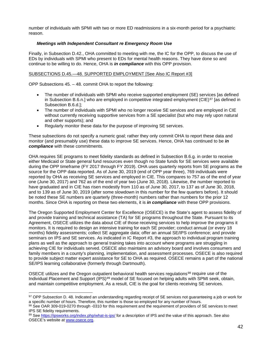number of individuals with SPMI with two or more ED readmissions in a six-month period for a psychiatric reason.

## *Meetings with Independent Consultant re Emergency Room Use*

Finally, in Subsection D.42., OHA committed to meeting with me, the IC for the OPP, to discuss the use of EDs by individuals with SPMI who present to EDs for mental health reasons. They have done so and continue to be willing to do. Hence, OHA is *in compliance* with this OPP provision.

## SUBSECTIONS D.45.—48. SUPPORTED EMPLOYMENT [See Also IC Report #3]

OPP Subsections 45. – 48. commit OHA to report the following:

- The number of individuals with SPMI who receive supported employment (SE) services [as defined in Subsection B.6.n.] who are employed in competitive integrated employment (CIE) $97$  [as defined in Subsection B.6.d.];
- The number of individuals with SPMI who no longer receive SE services and are employed in CIE without currently receiving supportive services from a SE specialist (but who may rely upon natural and other supports); and
- Regularly monitor these data for the purpose of improving SE services.

These subsections do not specify a numeric goal; rather they only commit OHA to report these data and monitor (and presumably use) these data to improve SE services. Hence, OHA has continued to be *in compliance* with these commitments.

OHA requires SE programs to meet fidelity standards as defined in Subsection B.6.g. in order to receive either Medicaid or State general fund resources even though no State funds for SE services were available during the OPP timeframe (FY 2017 through FY 2019). OHA uses quarterly reports from SE programs as the source for the OPP data reported. As of June 30, 2019 (end of OPP year three), 769 individuals were reported by OHA as receiving SE services and employed in CIE. This compares to 757 as of the end of year one (June 30, 2017) and 762 as of the end of year two (June 30, 2018). Likewise, the number reported to have graduated and in CIE has risen modestly from 110 as of June 30, 2017, to 137 as of June 30, 2018, and to 139 as of June 30, 2019 (after some slowdown in this number for the few quarters before). It should be noted these SE numbers are quarterly (three-month) numbers rather than numbers for the prior 12 months. Since OHA is reporting on these two elements, it is *in compliance* with these OPP provisions.

The Oregon Supported Employment Center for Excellence (OSECE) is the State's agent to assess fidelity of and provide training and technical assistance (TA) for SE programs throughout the State. Pursuant to its Agreement, OSECE utilizes the data about CIE of those receiving services to help improve the programs it monitors. It is required to design an intensive training for each SE provider; conduct annual (or every 18 months) fidelity assessments; collect SE aggregate data; offer an annual SE/IPS conference; and provide seminars on IPS and SE services. As indicated in IC Report #3, the approach to individual program training plans as well as the approach to general training takes into account where programs are struggling in achieving CIE for individuals served. OSECE also maintains an advisory board and involves consumers and family members in a county's planning, implementation, and assessment processes. OSECE is also required to provide subject matter expert assistance for SE to OHA as required. OSECE remains a part of the national SE/IPS learning collaborative (formerly through Dartmouth).

OSECE utilizes and the Oregon outpatient behavioral health services regulations<sup>[98](#page-41-1)</sup> require use of the Individual Placement and Support (IPS)<sup>[99](#page-41-2)</sup> model of SE focused on helping adults with SPMI seek, obtain, and maintain competitive employment. As a result, CIE is the goal for clients receiving SE services.

<span id="page-41-2"></span>99 Se[e https://ipsworks.org/index.php/what-is-ips/](https://ipsworks.org/index.php/what-is-ips/) for a description of IPS and the value of this approach. See also OSECE's website at [www.osece.org.](http://www.osece.org/)

<span id="page-41-0"></span><sup>97</sup> OPP Subsection D. 48. Indicated an understanding regarding receipt of SE services not guaranteeing a job or work for a specific number of hours. Therefore, this number is those so employed for any number of hours.

<span id="page-41-1"></span><sup>98</sup> See OAR 309-019-0270 through -0310 for this requirement and the requirement of providers of SE services to meet IPS SE fidelity requirements.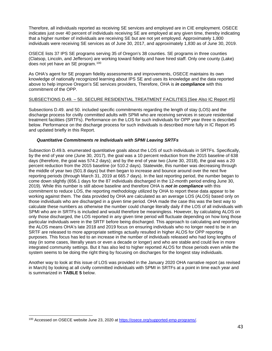Therefore, all individuals reported as receiving SE services and employed are in CIE employment. OSECE indicates just over 40 percent of individuals receiving SE are employed at any given time, thereby indicating that a higher number of individuals are receiving SE but are not yet employed. Approximately 1,800 individuals were receiving SE services as of June 30, 2017, and approximately 1,830 as of June 30, 2019.

OSECE lists 37 IPS SE programs serving 35 of Oregon's 38 counties. SE programs in three counties (Clatsop, Lincoln, and Jefferson) are working toward fidelity and have hired staff. Only one county (Lake) does not yet have an SE program.<sup>[100](#page-42-0)</sup>

As OHA's agent for SE program fidelity assessments and improvements, OSECE maintains its own knowledge of nationally recognized learning about IPS SE and uses its knowledge and the data reported above to help improve Oregon's SE services providers, Therefore, OHA is *in compliance* with this commitment of the OPP.

## SUBSECTIONS D.49. – 50. SECURE RESIDENTIAL TREATMENT FACILITIES [See Also IC Report #5]

Subsections D.49. and 50. included specific commitments regarding the length of stay (LOS) and the discharge process for civilly committed adults with SPMI who are receiving services in secure residential treatment facilities (SRTFs). Performance on the LOS for such individuals for OPP year three is described below. Performance on the discharge process for such individuals is described more fully in IC Report #5 and updated briefly in this Report.

## *Quantitative Commitments re Individuals with SPMI Leaving SRTFs*

Subsection D.49.b. enumerated quantitative goals about the LOS of such individuals in SRTFs. Specifically, by the end of year one (June 30, 2017), the goal was a 10 percent reduction from the 2015 baseline of 638 days (therefore, the goal was 574.2 days); and by the end of year two (June 30, 2018), the goal was a 20 percent reduction from the 2015 baseline (or 510.2 days). Statewide, this number was decreasing through the middle of year two (501.8 days) but then began to increase and bounce around over the next five reporting periods (through March 31, 2019 at 665.7 days). In the last reporting period, the number began to come down slightly (656.1 days for the 87 individuals discharged in the 12-month period ending June 30, 2019). While this number is still above baseline and therefore OHA is *not in compliance* with this commitment to reduce LOS, the reporting methodology utilized by OHA to report these data appear to be working against them. The data provided by OHA are calculated as an average LOS (ALOS) based only on those individuals who are discharged in a given time period. OHA made the case this was the best way to calculate these numbers as otherwise the number could change literally daily if the LOS of all individuals with SPMI who are in SRTFs is included and would therefore be meaningless. However, by calculating ALOS on only those discharged, the LOS reported in any given time period will fluctuate depending on how long those particular individuals were in the SRTF before being discharged. This approach to calculating and reporting the ALOS means OHA's late 2018 and 2019 focus on ensuring individuals who no longer need to be in an SRTF are released to more appropriate settings actually resulted in higher ALOS for OPP reporting purposes. This focus has led to an increase in the number of individuals released who had long lengths of stay (in some cases, literally years or even a decade or longer) and who are stable and could live in more integrated community settings. But it has also led to higher reported ALOS for those periods even while the system seems to be doing the right thing by focusing on discharges for the longest stay individuals.

Another way to look at this issue of LOS was provided in the January 2020 OHA narrative report (as revised in March) by looking at all civilly committed individuals with SPMI in SRTFs at a point in time each year and is summarized in **TABLE 5** below.

<span id="page-42-0"></span><sup>100</sup> Accessed on OSECE website June 23, 2020 at [https://osece.org/supported-emp-programs/.](https://osece.org/supported-emp-programs/)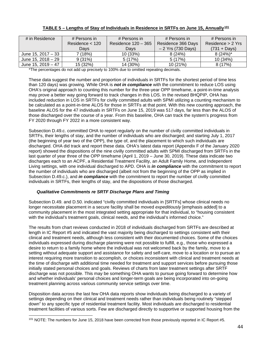| # in Residence       | # Persons in      | # Persons in          | # Persons in        | # Persons in        |
|----------------------|-------------------|-----------------------|---------------------|---------------------|
|                      | Residence $<$ 120 | Residence $120 - 365$ | Residence 366 Days  | Residence $> 2$ Yrs |
|                      | Days              | Days                  | $-2$ Yrs (730 Days) | $(731 + Days)$      |
| June 15, 2017 - 33   | 7 (18%)           | 10 (33%)              | 8(24%)              | $8(24%)^*$          |
| June 15, 2018 $- 29$ | 9(31%)            | 5(17%)                | 5(17%)              | 10 (34%)            |
| June 15, 2019 $-47$  | 15 (32%)          | 14 (30%)              | 10(21%)             | 8(17%)              |

## **TABLE 5 – Lengths of Stay of Individuals in Residence in SRTFs on June 15, Annually[101](#page-43-0)**

\*The percentages do not add up precisely to 100% due to omitted repeating decimals.

These data suggest the number and proportion of individuals in SRTFs for the shortest period of time less than 120 days) was growing. While OHA is *not in compliance* with the commitment to reduce LOS using OHA's original approach to counting this number for the three-year OPP timeframe, a point-in-time analysis may prove a better way going forward to track changes in this LOS. In the revised BHQPIP, OHA has included reduction in LOS in SRTFs for civilly committed adults with SPMI utilizing a counting mechanism to be calculated as a point-in-time ALOS for those in SRTFs at that point. With this new counting approach, the baseline ALOS for the 47 individuals in SRTFs on June 15, 2019 was 517 days, far less than the ALOS of those discharged over the course of a year. From this baseline, OHA can track the system's progress from FY 2020 through FY 2022 in a more consistent way.

Subsection D.49.c. committed OHA to report regularly on the number of civilly committed individuals in SRTFs, their lengths of stay, and the number of individuals who are discharged; and starting July 1, 2017 (the beginning of year two of the OPP), the type of, and the placement to which such individuals are discharged. OHA did track and report these data. OHA's latest data report (Appendix F of the January 2020 report) showed the dispositions of the nine civilly committed adults with SPMI discharged from SRTFs in the last quarter of year three of the OPP timeframe (April 1, 2019 – June 30, 2019). These data indicate two discharges each to an ACPF, a Residential Treatment Facility, an Adult Family Home, and Independent Living settings, with one individual discharged to APD. OHA is *in compliance* with the commitment to report the number of individuals who are discharged (albeit not from the beginning of the OPP as implied in Subsection D.49.c.), and *in compliance* with the commitment to report the number of civilly committed individuals in SRTFs, their lengths of stay, and the dispositions of those discharged.

## *Qualitative Commitments re SRTF Discharge Plans and Timing*

Subsection D.49. and D.50. indicated "civilly committed individuals in [SRTFs] whose clinical needs no longer necessitate placement in a secure facility shall be moved *expeditiously* [emphasis added] to a community placement in the most integrated setting appropriate for that individual, to "housing consistent with the individual's treatment goals, clinical needs, and the individual's informed choice."

The results from chart reviews conducted in 2018 of individuals discharged from SRTFs are described at length in IC Report #5 and indicated the vast majority being discharged to settings consistent with their clinical and treatment needs, although less consistent with their documented choices. Some of the choices individuals expressed during discharge planning were not possible to fulfill, e.g., those who expressed a desire to return to a family home where the individual was not welcomed back by the family, move to a setting without adequate support and assistance for safety and self-care, move to a location or to pursue an interest requiring more transition to accomplish, or choices inconsistent with clinical and treatment needs at the time of discharge with additional time needed for treatment and support services before pursuing those initially stated personal choices and goals. Reviews of charts from later treatment settings after SRTF discharge was not possible. This may be something OHA wants to pursue going forward to determine how and whether individuals' personal choices and longer-term goals are being incorporated into on-going treatment planning across various community service settings over time.

Disposition data across the last few OHA data reports show individuals being discharged to a variety of settings depending on their clinical and treatment needs rather than individuals being routinely "stepped down" to any specific type of residential treatment facility. Most individuals are discharged to residential treatment facilities of various sorts. Few are discharged directly to supportive or supported housing from the

<span id="page-43-0"></span><sup>&</sup>lt;sup>101</sup> NOTE: The numbers for June 15, 2018 have been corrected from those previously reported in IC Report #5.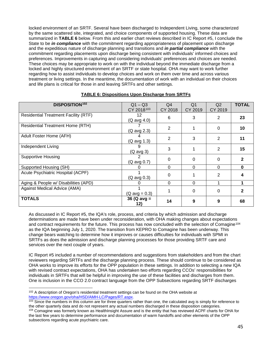locked environment of an SRTF. Several have been discharged to Independent Living, some characterized by the same scattered site, integrated, and choice components of supported housing. These data are summarized in **TABLE 6** below. From this and earlier chart reviews described in IC Report #5, I conclude the State to be *in compliance* with the commitment regarding appropriateness of placement upon discharge and the expeditious nature of discharge planning and transitions and *in partial compliance* with the commitment regarding placements upon discharge being consistent with individuals' informed choices and preferences. Improvements in capturing and considering individuals' preferences and choices are needed. These choices may be appropriate to work on with the individual beyond the immediate discharge from a locked and highly structured environment of an SRTF or state hospital. OHA may want to work further regarding how to assist individuals to develop choices and work on them over time and across various treatment or living settings. In the meantime, the documentation of work with an individual on their choices and life plans is critical for those in and leaving SRTFs and other settings.

| <b>DISPOSITION<sup>102</sup></b>            | $Q1 - Q3$               | Q4       | Q <sub>1</sub> | Q <sub>2</sub> | <b>TOTAL</b> |
|---------------------------------------------|-------------------------|----------|----------------|----------------|--------------|
|                                             | CY 2018103              | CY 2018  | CY 2019        | CY 2019        |              |
|                                             |                         |          |                |                |              |
| <b>Residential Treatment Facility (RTF)</b> | 12                      | 6        | 3              | 2              | 23           |
|                                             | (Q avg 4.0)             |          |                |                |              |
| <b>Residential Treatment Home (RTH)</b>     |                         |          |                |                |              |
|                                             | (Q avg 2.3)             | 2        |                | 0              | 10           |
| Adult Foster Home (AFH)                     |                         |          |                |                |              |
|                                             |                         | 2        | 3              | $\overline{2}$ | 11           |
|                                             | (Q avg 1.3)             |          |                |                |              |
| Independent Living                          | 9                       |          |                |                |              |
|                                             | (Q avg 3)               | 3        |                | $\overline{2}$ | 15           |
|                                             |                         |          |                |                |              |
| <b>Supportive Housing</b>                   |                         | $\Omega$ | 0              | 0              | 2            |
|                                             | (Q avg 0.7)             |          |                |                |              |
| Supported Housing (SH)                      |                         | $\Omega$ | $\Omega$       | 0              | 0            |
| Acute Psychiatric Hospital (ACPF)           |                         |          |                |                |              |
|                                             |                         | $\Omega$ |                | 2              |              |
|                                             | (Q avg 0.3)             |          |                |                |              |
| Aging & People w/ Disabilities (APD)        | 0                       | $\Omega$ | $\Omega$       |                |              |
| Against Medical Advice (AMA)                |                         |          |                |                |              |
|                                             |                         |          | 0              | 0              | 2            |
|                                             | $(Q \text{ avg} = 0.3)$ |          |                |                |              |
| <b>TOTALS</b>                               | 36 ( $Q$ avg =          | 14       | 9              | 9              | 68           |
|                                             | 12)                     |          |                |                |              |
|                                             |                         |          |                |                |              |

## **TABLE 6: Dispositions Upon Discharge from SRTFs**

As discussed in IC Report #5, the IQA's role, process, and criteria by which admission and discharge determinations are made have been under reconsideration, with OHA making changes about expectations and contract requirements for the future. This process has now concluded with the selection of Comagine<sup>[104](#page-44-2)</sup> as the IQA beginning July 1, 2020. The transition from KEPRO to Comagine has been underway. This change bears watching to determine how it improves or causes difficulties for individuals with SPMI in SRTFs as does the admission and discharge planning processes for those providing SRTF care and services over the next couple of years.

IC Report #5 included a number of recommendations and suggestions from stakeholders and from the chart reviewers regarding SRTFs and the discharge planning process. These should continue to be considered as OHA works to improve its efforts for the OPP population in these settings. In addition to selecting a new IQA with revised contract expectations, OHA has undertaken two efforts regarding CCOs' responsibilities for individuals in SRTFs that will be helpful in improving the use of these facilities and discharges from them. One is inclusion in the CCO 2.0 contract language from the OPP Subsections regarding SRTF discharges

<span id="page-44-0"></span><sup>&</sup>lt;sup>102</sup> A description of Oregon's residential treatment settings can be found on the OHA website at [https://www.oregon.gov/oha/HSD/AMH-LC/Pages/RT.aspx.](https://www.oregon.gov/oha/HSD/AMH-LC/Pages/RT.aspx)

<span id="page-44-1"></span> $103$  Since the numbers in this column are for three quarters rather than one, the calculated avg is simply for reference to the other quarterly data and do not represent any actual numbers discharged in these disposition categories.

<span id="page-44-2"></span><sup>&</sup>lt;sup>104</sup> Comagine was formerly known as HealthInsight Assure and is the entity that has reviewed ACPF charts for OHA for the last few years to determine performance and documentation of warm handoffs and other elements of the OPP subsections regarding acute psychiatric care.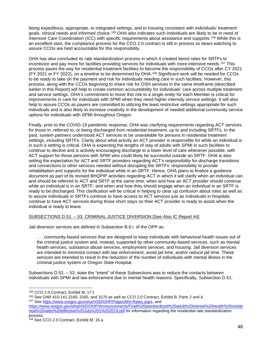being expeditious, appropriate, to integrated settings, and to housing consistent with individuals' treatment goals, clinical needs and informed choice.<sup>[105](#page-45-0)</sup> OHA also indicates such individuals are likely to be in need of Intensive Care Coordination (ICC) with specific requirements about assistance and supports.[106](#page-45-1) While this is an excellent start, the compliance process for the CCO 2.0 contract is still in process so bears watching to assure CCOs are held accountable for this responsibility.

OHA has also concluded its rate standardization process in which it created tiered rates for SRTFs to incentivize and pay more for facilities providing services for individuals with more intensive needs.[107](#page-45-2) This process paves the way for residential treatment facilities to become the responsibility of CCOs after CY 2021 (FY 2021 or FY 2022), on a timeline to be determined by OHA.[108](#page-45-3) Significant work will be needed for CCOs to be ready to take on the payment and risk for individuals needing care in such facilities. However, this process, along with the CCOs beginning to share risk for OSH services in the same timeframe (described earlier in this Report) will help to create common accountability for individuals' care across multiple treatment and service settings. OHA's commitment to move this risk to a single entity for each Member is critical for improvements in care for individuals with SPMI when they need higher intensity service settings. It will also help to assure CCOs as payers are committed to utilizing the least restrictive settings appropriate for such individuals and is also likely to increase creativity in the development of needed additional community service options for individuals with SPMI throughout Oregon.

Finally, prior to the COVID-19 pandemic response, OHA was clarifying requirements regarding ACT services for those in, referred to, or being discharged from residential treatment, up to and including SRTFs. In the past, system partners understood ACT services to be unavailable for persons in residential treatment settings, including SRTFs. Clarity about what activity an ACT provider is responsible for while an individual is in such a setting is critical. OHA is expecting the lengths of stay of adults with SPMI in such facilities to continue to decline and is actively encouraging discharge to a lower level of care whenever possible, with ACT support for those persons with SPMI who could likely be successful outside an SRTF. OHA is also setting the expectation for ACT and SRTF providers regarding ACT's responsibility for discharge transitions and connections to other services needed without disrupting the SRTFs' responsibility to provide rehabilitation and supports for the individual while in an SRTF. Hence, OHA plans to finalize a guidance document as part of its revised BHQPIP activities regarding ACT in which it will clarify when an individual can and should be referred to ACT and SRTF at the same time; when and how an ACT provider should continue while an individual is in an SRTF; and when and how they should engage when an individual in an SRTF is ready to be discharged. This clarification will be critical in helping to clear up confusion about roles as well as to assure individuals in SRTFs continue to have access to ACT services just as individuals in hospitals continue to have ACT services during those short stays so their ACT provider is ready to assist when the individual is ready to leave.

## SUBSECTIONS D.51. – 53. CRIMINAL JUSTICE DIVERSION [See Also IC Report #4]

Jail diversion services are defined in Subsection B.6.i. of the OPP as:

. . . community-based services that are designed to keep individuals with behavioral health issues out of the criminal justice system and, instead, supported by other community-based services, such as mental health services, substance abuse services, employment services, and housing. Jail diversion services are intended to minimize contact with law enforcement, avoid jail time, and/or reduce jail time. These services are intended to result in the reduction of the number of individuals with mental illness in the criminal justice system or Oregon State Hospital.

Subsections D.51. – 53. state the "intent" of these Subsections was to reduce the contacts between individuals with SPMI and law enforcement due to mental health reasons. Specifically, Subsection D.51.

<sup>105</sup> CCO 2.0 Contract, Exhibit M, 17.f.

<span id="page-45-1"></span><span id="page-45-0"></span> $106$  See OAR 410-141-3160, 3165, and 3170 as well as CCO 2.0 Contract, Exhibit B, Parts 2 and 4. <sup>107</sup> See [https://www.oregon.gov/oha/HSD/OHP/Pages/MH-Rates.aspx,](https://www.oregon.gov/oha/HSD/OHP/Pages/MH-Rates.aspx) and

<span id="page-45-2"></span>[https://www.oregon.gov/oha/HSD/OHP/Announcements/Final%20standardized%20adult%20mental%20health%20reside](https://www.oregon.gov/oha/HSD/OHP/Announcements/Final%20standardized%20adult%20mental%20health%20residential%20rates%20effective%20July%201%202019.pdf) [ntial%20rates%20effective%20July%201%202019.pdf](https://www.oregon.gov/oha/HSD/OHP/Announcements/Final%20standardized%20adult%20mental%20health%20residential%20rates%20effective%20July%201%202019.pdf) for information regarding the residential rate standardization process.

<span id="page-45-3"></span><sup>&</sup>lt;sup>108</sup> See CCO 2.0 Contract, Exhibit M, 16.a.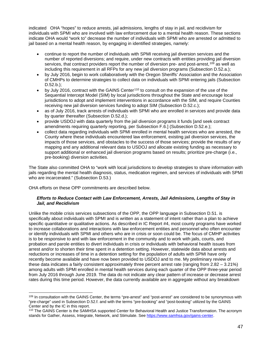indicated OHA "hopes" to reduce arrests, jail admissions, lengths of stay in jail, and recidivism for individuals with SPMI who are involved with law enforcement due to a mental health reason. These sections indicate OHA would "work to" decrease the number of individuals with SPMI who are arrested or admitted to jail based on a mental health reason, by engaging in identified strategies, namely:

- continue to report the number of individuals with SPMI receiving jail diversion services and the number of reported diversions; and require, under new contracts with entities providing jail diversion services, that contract providers report the number of diversion pre- and post-arrest,<sup>[109](#page-46-0)</sup> as well as including this requirement in all RFPs for any new jail diversion programs (Subsection D.52.a.);
- by July 2016, begin to work collaboratively with the Oregon Sheriffs' Association and the Association of CMHPs to determine strategies to collect data on individuals with SPMI entering jails (Subsection D.52.b.);
- by July 2016, contract with the GAINS Center[110](#page-46-1) to consult on the expansion of the use of the Sequential Intercept Model (SIM) by local jurisdictions throughout the State and encourage local jurisdictions to adopt and implement interventions in accordance with the SIM, and require Counties receiving new jail diversion services funding to adopt SIM (Subsection D.52.c.);
- as of July 2016, track arrests of individuals with SPMI who are enrolled in services and provide data by quarter thereafter (Subsection D.52.d.);
- provide USDOJ with data quarterly from the jail diversion programs it funds [and seek contract amendments requiring quarterly reporting, per Subsection F.6.] (Subsection D.52.e.);
- collect data regarding individuals with SPMI enrolled in mental health services who are arrested, the County where these individuals encountered law enforcement, existing jail diversion services, the impacts of those services, and obstacles to the success of those services; provide the results of any mapping and any additional relevant data to USDOJ and allocate existing funding as necessary to support additional or enhanced jail diversion programs based on results; prioritize pre-charge (i.e., pre-booking) diversion activities.

The State also committed OHA to "work with local jurisdictions to develop strategies to share information with jails regarding the mental health diagnosis, status, medication regimen, and services of individuals with SPMI who are incarcerated." (Subsection D.53.)

OHA efforts on these OPP commitments are described below.

## *Efforts to Reduce Contact with Law Enforcement, Arrests, Jail Admissions, Lengths of Stay in Jail, and Recidivism*

Unlike the mobile crisis services subsections of the OPP, the OPP language in Subsection D.51. is specifically about individuals with SPMI and is written as a statement of intent rather than a plan to achieve specific quantitative or qualitative actions. As described in IC Report #4, most county programs have worked to increase collaborations and interactions with law enforcement entities and personnel who often encounter or identify individuals with SPMI and others who are in crisis or soon could be. The focus of CMHP activities is to be responsive to and with law enforcement in the community and to work with jails, courts, and probation and parole entities to divert individuals in crisis or individuals with behavioral health issues from arrest and/or to shorten their time spent in a detention setting. However, statewide data about arrests and reductions or increases of time in a detention setting for the population of adults with SPMI have only recently become available and have now been provided to USDOJ and to me. My preliminary review of these data indicates a fairly consistent approximately three percent arrest rate (ranging from 2.82 – 3.21%) among adults with SPMI enrolled in mental health services during each quarter of the OPP three-year period from July 2016 through June 2019. The data do not indicate any clear pattern of increase or decrease arrest rates during this time period. However, the data currently available are in aggregate without any breakdown

<span id="page-46-0"></span><sup>&</sup>lt;sup>109</sup> In consultation with the GAINS Center, the terms "pre-arrest" and "post-arrest" are considered to be synonymous with "pre-charge" used in Subsection D.52.f. and with the terms "pre-booking" and "post-booking" utilized by the GAINS Center and by the IC in this report.

<span id="page-46-1"></span><sup>&</sup>lt;sup>110</sup> The GAINS Center is the SAMHSA supported Center for Behavioral Health and Justice Transformation. The acronym stands for Gather, Assess, Integrate, Network, and Stimulate. Se[e https://www.samhsa.gov/gains-center.](https://www.samhsa.gov/gains-center)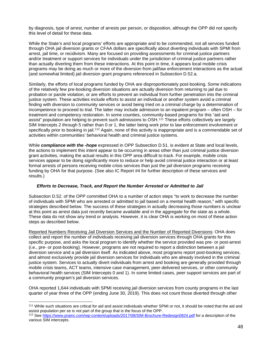by diagnosis, type of arrest, number of arrests per person, or disposition, although the OPP did not specify this level of detail for these data.

While the State's and local programs' efforts are appropriate and to be commended, not all services funded through OHA jail diversion grants or CFAA dollars are specifically about diverting individuals with SPMI from arrest, jail time, or recidivism. Many are focused on providing assessments for criminal justice partners and/or treatment or support services for individuals under the jurisdiction of criminal justice partners rather than actually diverting them from these interactions. At this point in time, it appears local mobile crisis programs may be doing as much or more of the diversion from jail/law enforcement interactions as the actual (and somewhat limited) jail diversion grant programs referenced in Subsection D.52.a.

Similarly, the efforts of local programs funded by OHA are disproportionately post-booking. Some indications of the relatively few pre-booking diversion situations are actually diversion from returning to jail due to probation or parole violation, or are efforts to prevent an individual from further penetration into the criminal justice system. These activities include efforts to assist an individual or another system avoid a criminal finding with diversion to community services or avoid being tried on a criminal charge by a determination of incompetence to proceed to trial. The latter may include admission to an inpatient program – often OSH – for treatment and competency restoration. In some counties, community-based programs for this "aid and assist" population are helping to prevent such admissions to OSH.<sup>[111](#page-47-0)</sup> These efforts collectively are largely SIM Intercepts 2 through 5 rather than 0 or 1, the latter being work prior to law enforcement involvement or specifically prior to booking in jail.<sup>[112](#page-47-1)</sup> Again, none of this activity is inappropriate and is a commendable set of activities within communities' behavioral health and criminal justice systems.

While *compliance with the -hope* expressed in OPP Subsection D.51. is evident at State and local levels, the actions to implement this intent appear to be occurring in areas other than just criminal justice diversion grant activities, making the actual results in this OPP area difficult to track. For example, mobile crisis services appear to be doing significantly more to reduce or help avoid criminal justice interaction or at least formal arrests of persons receiving mobile crisis services than just the jail diversion programs receiving funding by OHA for that purpose. (See also IC Report #4 for further description of these services and results.)

## *Efforts to Decrease, Track, and Report the Number Arrested or Admitted to Jail*

Subsection D.52. of the OPP committed OHA to a number of action steps "to work to decrease the number of individuals with SPMI who are arrested or admitted to jail based on a mental health reason," with specific strategies described below. The success of these strategies in actually decreasing those numbers is unclear at this point as arrest data just recently became available and in the aggregate for the state as a whole. These data do not show any trend or analysis. However, it is clear OHA is working on most of these action steps as described below.

Reported Numbers Receiving Jail Diversion Services and the Number of Reported Diversions: OHA does collect and report the number of individuals receiving jail diversion services through OHA grants for this specific purpose, and asks the local program to identify whether the service provided was pre- or post-arrest (i.e., pre- or post-booking). However, programs are not required to report a distinction between a jail diversion service and a jail diversion itself. As indicated above, most programs report post-booking services, and almost exclusively provide jail diversion services for individuals who are already involved in the criminal justice system. Services to actually divert individuals from arrest and booking are generally provided through mobile crisis teams, ACT teams, intensive case management, peer-delivered services, or other community behavioral health services (SIM Intercepts 0 and 1). In some limited cases, peer support services are part of a community program's jail diversion services.

OHA reported 1,644 individuals with SPMI receiving jail diversion services from county programs in the last quarter of year three of the OPP (ending June 30, 2019). This does not count those diverted through other

<span id="page-47-0"></span><sup>111</sup> While such situations are critical for aid and assist individuals whether SPMI or not, it should be noted that the aid and assist population per se is not part of the group that is the focus of the OPP.

<span id="page-47-1"></span><sup>&</sup>lt;sup>112</sup> See<https://www.prainc.com/wp-content/uploads/2017/08/SIM-Brochure-Redesign0824.pdf> for a description of the various SIM intercepts.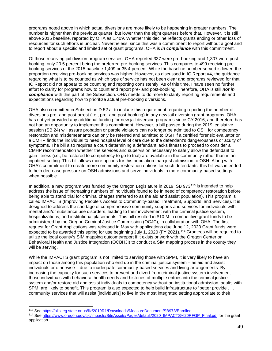programs noted above in which actual diversions are more likely to be happening in greater numbers. The number is higher than the previous quarter, but lower than the eight quarters before that. However, it is still above 2015 baseline, reported by OHA as 1,409. Whether this decline reflects grants ending or other loss of resources for such efforts is unclear. Nevertheless, since this was a commitment to report without a goal and to report about a specific and limited set of grant programs, OHA is *in compliance* with this commitment.

Of those receiving jail division program services, OHA reported 337 were pre-booking and 1,307 were postbooking, only 20.5 percent being the preferred pre-booking services. This compares to 499 receiving prebooking services of the 2015 baseline 1,409 or 35.4 percent. While the baseline number served is lower, the proportion receiving pre-booking services was higher. However, as discussed in IC Report #4, the guidance regarding what is to be counted as which type of service has not been clear and programs reviewed for that IC Report did not appear to be counting and reporting consistently. As of this time, I have seen no further effort to clarify for programs how to count and report pre- and post-booking. Therefore, OHA is still *not in compliance* with this part of the Subsection. OHA needs to do more to clarify reporting requirements and expectations regarding how to prioritize actual pre-booking diversions.

OHA also committed in Subsection D.52.a. to include this requirement regarding reporting the number of diversions pre- and post-arrest (i.e., pre- and post-booking) in any new jail diversion grant programs. OHA has not yet provided any additional funding for new jail diversion programs since CY 2016, and therefore has not had an opportunity to implement this commitment. However, a bill passed during the 2019 legislative session (SB 24) will assure probation or parole violators can no longer be admitted to OSH for competency restoration and misdemeanants can only be referred and admitted to OSH if a certified forensic evaluator or a CMHP finds the individual to need hospital level of care due to the defendant's dangerousness or acuity of symptoms. The bill also requires a court determining a defendant lacks fitness to proceed to consider a CMHP recommendation whether the services and supervision necessary to safely allow the defendant to gain fitness (i.e., be restored to competency to go to trial) are available in the community rather than in an inpatient setting. This bill allows more options for this population than just admission to OSH. Along with OHA's commitment to create more community restoration options for such defendants, this bill was intended to help decrease pressure on OSH admissions and serve individuals in more community-based settings when possible.

In addition, a new program was funded by the Oregon Legislature in 2019. SB 973<sup>[113](#page-48-0)</sup> is intended to help address the issue of increasing numbers of individuals found to be in need of competency restoration before being able to stand trial for criminal charges (referred to as the aid and assist population). This program is called IMPACTS (Improving People's Access to Community-based Treatment, Supports, and Services). It is designed to address the shortage of comprehensive community supports and services for individuals with mental and/or substance use disorders, leading to their involvement with the criminal justice system, hospitalizations, and institutional placements. This bill resulted in \$10 M in competitive grant funds to be administered by the Oregon Criminal Justice Commission (OCJC), in collaboration with OHA. The first request for Grant Applications was released in May with applications due June 12, 2020.Grant funds were expected to be awarded this spring for use beginning July 1, 2020 (FY 2021).[114](#page-48-1) Grantees will be required to utilize the local county's SIM mapping outcome/report if it exists or work with the Oregon Center on Behavioral Health and Justice Integration (OCBHJI) to conduct a SIM mapping process in the county they will be serving.

While the IMPACTS grant program is not limited to serving those with SPMI, it is very likely to have an impact on those among this population who end up in the criminal justice system – as aid and assist individuals or otherwise – due to inadequate community-based services and living arrangements. By increasing the capacity for such services to prevent and divert from criminal justice system involvement those individuals with behavioral health needs and histories of multiple entries into the criminal justice system and/or restore aid and assist individuals to competency without an institutional admission, adults with SPMI are likely to benefit. This program is also expected to help build infrastructure to "better provide . . . community services that will assist [individuals] to live in the most integrated setting appropriate to their

<span id="page-48-0"></span><sup>113</sup> See [https://olis.leg.state.or.us/liz/2019R1/Downloads/MeasureDocument/SB973/Enrolled.](https://olis.leg.state.or.us/liz/2019R1/Downloads/MeasureDocument/SB973/Enrolled)

<span id="page-48-1"></span><sup>114</sup> See [https://www.oregon.gov/cjc/impacts/SiteAssets/Pages/default/2020\\_IMPACTS%20RFGP\\_Final.pdf](https://www.oregon.gov/cjc/impacts/SiteAssets/Pages/default/2020_IMPACTS%20RFGP_Final.pdf) for the grant application.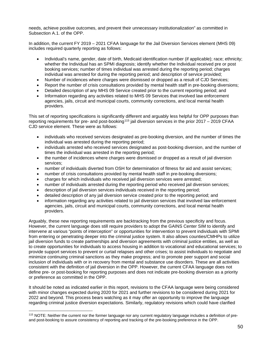needs, achieve positive outcomes, and prevent their unnecessary institutionalization" as committed in Subsection A.1. of the OPP.

In addition, the current FY 2019 – 2021 CFAA language for the Jail Diversion Services element (MHS 09) includes required quarterly reporting as follows:

- Individual's name, gender, date of birth, Medicaid identification number (if applicable); race; ethnicity; whether the Individual has an SPMI diagnosis; identify whether the Individual received pre or post booking services; number of times individual was arrested during the reporting period; charges individual was arrested for during the reporting period; and description of service provided;
- Number of incidences where charges were dismissed or dropped as a result of CJD Services;
- Report the number of crisis consultations provided by mental health staff in pre-booking diversions;
- Detailed description of any MHS 09 Service created prior to the current reporting period; and
- Information regarding any activities related to MHS 09 Services that involved law enforcement agencies, jails, circuit and municipal courts, community corrections, and local mental health providers.

This set of reporting specifications is significantly different and arguably less helpful for OPP purposes than reporting requirements for pre- and post-booking<sup>[115](#page-49-0)</sup> jail diversion services in the prior 2017 – 2019 CFAA CJD service element. These were as follows:

- individuals who received services designated as pre-booking diversion, and the number of times the individual was arrested during the reporting period;
- individuals arrested who received services designated as post-booking diversion, and the number of times the individual was arrested in the reporting period;
- the number of incidences where charges were dismissed or dropped as a result of jail diversion services;
- number of individuals diverted from OSH for determination of fitness for aid and assist services;
- number of crisis consultations provided by mental health staff in pre-booking diversions;
- charges for which individuals who received jail diversion services were arrested;
- number of individuals arrested during the reporting period who received jail diversion services;
- description of jail diversion services individuals received in the reporting period;
- detailed description of any jail diversion service created prior to the reporting period; and
- information regarding any activities related to jail diversion services that involved law enforcement agencies, jails, circuit and municipal courts, community corrections, and local mental health providers.

Arguably, these new reporting requirements are backtracking from the previous specificity and focus. However, the current language does still require providers to adopt the GAINS Center SIM to identify and intervene at various "points of interception" or opportunities for intervention to prevent individuals with SPMI from entering or penetrating deeper into the criminal justice system. It also allows counties/CMHPs to utilize jail diversion funds to create partnerships and diversion agreements with criminal justice entities, as well as to create opportunities for individuals to access housing in addition to vocational and educational services; to provide support services to prevent or curtail relapses and other crises; to assist individuals to negotiate and minimize continuing criminal sanctions as they make progress; and to promote peer support and social inclusion of individuals with or in recovery from mental and substance use disorders. These are all activities consistent with the definition of jail diversion in the OPP. However, the current CFAA language does not define pre- or post-booking for reporting purposes and does not indicate pre-booking diversion as a priority or preference as committed in the OPP.

It should be noted as indicated earlier in this report, revisions to the CFAA language were being considered with minor changes expected during 2020 for 2021 and further revisions to be considered during 2021 for 2022 and beyond. This process bears watching as it may offer an opportunity to improve the language regarding criminal justice diversion expectations. Similarly, regulatory revisions which could have clarified

<span id="page-49-0"></span><sup>115</sup> NOTE: Neither the current nor the former language nor any current regulatory language includes a definition of preand post-booking to assure consistency of reporting and tracking of the pre-booking preference in the OPP.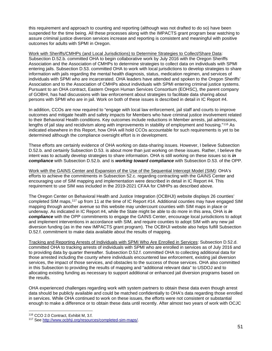this requirement and approach to counting and reporting (although was not drafted to do so) have been suspended for the time being. All these processes along with the IMPACTS grant program bear watching to assure criminal justice diversion services increase and reporting is consistent and meaningful with positive outcomes for adults with SPMI in Oregon.

Work with Sheriffs/CMHPs (and Local Jurisdictions) to Determine Strategies to Collect/Share Data: Subsection D.52.b. committed OHA to begin collaborative work by July 2016 with the Oregon Sheriffs Association and the Association of CMHPs to determine strategies to collect data on individuals with SPMI entering jails. Subsection D.53. committed OHA to work with local jurisdictions to develop strategies to share information with jails regarding the mental health diagnosis, status, medication regimen, and services of individuals with SPMI who are incarcerated. OHA leaders have attended and spoken to the Oregon Sheriffs' Association and to the Association of CMHPs about individuals with SPMI entering criminal justice systems. Pursuant to an OHA contract, Eastern Oregon Human Services Consortium (EOHSC), the parent company of GOBHI, has had discussions with law enforcement about strategies to facilitate data sharing about persons with SPMI who are in jail. Work on both of these issues is described in detail in IC Report #4.

In addition, CCOs are now required to "engage with local law enforcement, jail staff and courts to improve outcomes and mitigate health and safety impacts for Members who have criminal justice involvement related to their Behavioral Health conditions. Key outcomes include reductions in Member arrests, jail admissions, lengths of jail stay and recidivism along with improvements in stability of employment and housing."<sup>[116](#page-50-0)</sup> As indicated elsewhere in this Report, how OHA will hold CCOs accountable for such requirements is yet to be determined although the compliance oversight effort is in development.

These efforts are certainly evidence of OHA working on data-sharing issues. However, I believe Subsection D.52.b. and certainly Subsection D.53. is about more than just working on these issues. Rather, I believe the intent was to actually develop strategies to share information. OHA is still working on these issues so is *in compliance* with Subsection D.52.b. and is *working toward compliance* with Subsection D.53. of the OPP.

Work with the GAINS Center and Expansion of the Use of the Sequential Intercept Model (SIM): OHA's efforts to achieve the commitments in Subsection 52.c. regarding contracting with the GAINS Center and encouraging use of SIM mapping and implementation were described in detail in IC Report #4. This requirement to use SIM was included in the 2019-2021 CFAA for CMHPs as described above.

The Oregon Center on Behavioral Health and Justice Integration (OCBHJI) website displays 26 counties' completed SIM maps,[117](#page-50-1) up from 11 at the time of IC Report #14. Additional counties may have engaged SIM mapping through another avenue so this website may undercount counties with SIM maps in place or underway. As indicated in IC Report #4, while the State might be able to do more in this area, OHA is *in compliance* with the OPP commitments to engage the GAINS Center, encourage local jurisdictions to adopt and implement interventions in accordance with SIM, and require counties to adopt SIM with any new jail diversion funding (as in the new IMPACTS grant program). The OCBHJI website also helps fulfill Subsection D.52.f. commitment to make data available about the results of mapping.

Tracking and Reporting Arrests of Individuals with SPMI Who Are Enrolled in Services: Subsection D.52.d. committed OHA to tracking arrests of individuals with SPMI who are enrolled in services as of July 2016 and to providing data by quarter thereafter. Subsection D.52.f. committed OHA to collecting additional data for those arrested including the county where individuals encountered law enforcement, existing jail diversion services, the impact of those services, and obstacles to the success of those services. OHA also committed in this Subsection to providing the results of mapping and "additional relevant data" to USDOJ and to allocating existing funding as necessary to support additional or enhanced jail diversion programs based on the results.

OHA experienced challenges regarding work with system partners to obtain these data even though arrest data should be publicly available and could be matched confidentially to OHA's data regarding those enrolled in services. While OHA continued to work on these issues, the efforts were not consistent or substantial enough to make a difference or to obtain these data until recently. After almost two years of work with OCJC

<span id="page-50-0"></span><sup>116</sup> CCO 2.0 Contract, Exhibit M, 3.f.

<span id="page-50-1"></span><sup>117</sup> See [http://www.ocbhji.org/resources/completed-sim-maps/.](http://www.ocbhji.org/resources/completed-sim-maps/)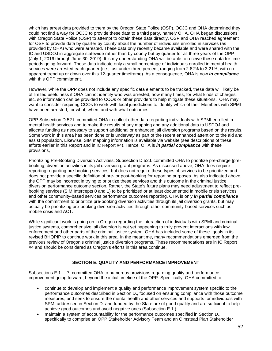which has arrest data provided to them by the Oregon State Police (OSP), OCJC and OHA determined they could not find a way for OCJC to provide these data to a third party, namely OHA. OHA began discussions with Oregon State Police (OSP) to attempt to obtain these data directly. OSP and OHA reached agreement for OSP to provide data by quarter by county about the number of individuals enrolled in services (as provided by OHA) who were arrested. These data only recently became available and were shared with the IC and USDOJ in aggregate statewide rather than by county but by quarter for all three years of the OPP (July 1, 2016 through June 30, 2019). It is my understanding OHA will be able to receive these data for time periods going forward. These data indicate only a small percentage of individuals enrolled in mental health services were arrested each quarter (i.e., just under three percent, ranging from 2.82% to 3.21%, with no apparent trend up or down over this 12-quarter timeframe). As a consequence, OHA is now *in compliance* with this OPP commitment.

However, while the OPP does not include any specific data elements to be tracked, these data will likely be of limited usefulness if OHA cannot identify who was arrested, how many times, for what kinds of charges, etc. so information can be provided to CCOs or other providers to help mitigate these situations. OHA may want to consider requiring CCOs to work with local jurisdictions to identify which of their Members with SPMI have been arrested, for what, when, and with what outcomes.

OPP Subsection D.52.f. committed OHA to collect other data regarding individuals with SPMI enrolled in mental health services and to make the results of any mapping and any additional data to USDOJ and allocate funding as necessary to support additional or enhanced jail diversion programs based on the results. Some work in this area has been done or is underway as part of the recent enhanced attention to the aid and assist population. Likewise, SIM mapping information is available via website (see descriptions of these efforts earlier in this Report and in IC Report #4). Hence, OHA is *in partial compliance* with these provisions,

Prioritizing Pre-Booking Diversion Activities: Subsection D.52.f. committed OHA to prioritize pre-charge [prebooking] diversion activities in its jail diversion grant programs. As discussed above, OHA does require reporting regarding pre-booking services, but does not require these types of services to be prioritized and does not provide a specific definition of pre- or post-booking for reporting purposes. As also indicated above, the OPP may be incorrect in trying to prioritize these services and this outcome in the criminal justice diversion performance outcome section. Rather, the State's future plans may need adjustment to reflect prebooking services (SIM Intercepts 0 and 1) to be prioritized or at least documented in mobile crisis services and other community-based services performance outcomes reporting. OHA is only *in partial compliance* with the commitment to prioritize pre-booking diversion activities through its jail diversion grants, but may actually be prioritizing pre-booking diversion activities through other community-based services such as mobile crisis and ACT.

While significant work is going on in Oregon regarding the interaction of individuals with SPMI and criminal justice systems, comprehensive jail diversion is not yet happening to truly prevent interactions with law enforcement and other parts of the criminal justice system. OHA has included some of these -goals in its revised BHQPIP to continue work in this area. In the meantime, many recommendations emerged from the previous review of Oregon's criminal justice diversion programs. These recommendations are in IC Report #4 and should be considered as Oregon's efforts in this area continue.

## **SECTION E. QUALITY AND PERFORMANCE IMPROVEMENT**

Subsections E.1. – 7. committed OHA to numerous provisions regarding quality and performance improvement going forward, beyond the initial timeline of the OPP. Specifically, OHA committed to:

- continue to develop and implement a quality and performance improvement system specific to the performance outcomes described in Section D., focused on ensuring compliance with those outcome measures; and seek to ensure the mental health and other services and supports for individuals with SPMI addressed in Section D. and funded by the State are of good quality and are sufficient to help achieve good outcomes and avoid negative ones (Subsection E.1.);
- maintain a system of accountability for the performance outcomes specified in Section D., specifically to comprise an OPP Stakeholder Advisory Team and an Olmstead Plan Stakeholder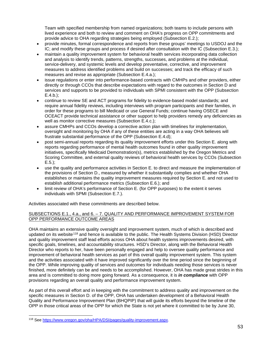Team with specified membership from named organizations; both teams to include persons with lived experience and both to review and comment on OHA's progress on OPP commitments and provide advice to OHA regarding strategies being employed (Subsection E.2.);

- provide minutes, formal correspondence and reports from these groups' meetings to USDOJ and the IC; and modify these groups and process if desired after consultation with the IC (Subsection E.3.);
- maintain a quality improvement system for behavioral health services incorporating data collection and analysis to identify trends, patterns, strengths, successes, and problems at the individual, service-delivery, and systemic levels and develop preventative, corrective, and improvement measures to address identified problems and build on successes; and track the efficacy of such measures and revise as appropriate (Subsection E.4.a.);
- issue regulations or enter into performance-based contracts with CMHPs and other providers, either directly or through CCOs that describe expectations with regard to the outcomes in Section D and services and supports to be provided to individuals with SPMI consistent with the OPP (Subsection E.4.b.);
- continue to review SE and ACT programs for fidelity to evidence-based model standards; and require annual fidelity reviews, including interviews with program participants and their families, in order for these programs to bill Medicaid or use General Funds; continue having OSECE and OCEACT provide technical assistance or other support to help providers remedy any deficiencies as well as monitor corrective measures (Subsection E.4.c.);
- assure CMHPs and CCOs develop a corrective action plan with timelines for implementation, oversight and monitoring by OHA if any of these entities are acting in a way OHA believes will frustrate substantial performance of the OPP (Subsection E.4.d);
- post semi-annual reports regarding its quality improvement efforts under this Section E. along with reports regarding performance of mental health outcomes found in other quality improvement initiatives, specifically Medicaid Demonstration(s), metrics established by the Oregon Metrics and Scoring Committee, and external quality reviews of behavioral health services by CCOs (Subsection E.5.);
- use the quality and performance activities in Section E. to direct and measure the implementation of the provisions of Section D., measured by whether it substantially complies and whether OHA establishes or maintains the quality improvement measures required by Section E. and not used to establish additional performance metrics (Subsection E.6.); and
- limit review of OHA's performance of Section E. (for OPP purposes) to the extent it serves individuals with SPMI (Subsection E.7.).

Activities associated with these commitments are described below.

## SUBSECTIONS E.1., 4.a., and 6. – 7. QUALITY AND PERFORMANCE IMPROVEMENT SYSTEM FOR OPP PERFORMANCE OUTCOME AREAS

OHA maintains an extensive quality oversight and improvement system, much of which is described and updated on its website<sup>[118](#page-52-0)</sup> and hence is available to the public. The Health Systems Division (HSD) Director and quality improvement staff lead efforts across OHA about health systems improvements desired, with specific goals, timelines, and accountability structures. HSD's Director, along with the Behavioral Health Director who reports to her, have been personally engaged and help to oversee quality performance and improvement of behavioral health services as part of this overall quality improvement system. This system and the activities associated with it have improved significantly over the time period since the beginning of the OPP. While improving quality of services and outcomes for individuals needing those services is never finished, more definitely can be and needs to be accomplished. However, OHA has made great strides in this area and is committed to doing more going forward. As a consequence, it is *in compliance* with OPP provisions regarding an overall quality and performance improvement system.

As part of this overall effort and in keeping with the commitment to address quality and improvement on the specific measures in Section D. of the OPP, OHA has undertaken development of a Behavioral Health Quality and Performance Improvement Plan (BHQPIP) that will guide its efforts beyond the timeline of the OPP in those critical areas of the OPP for which the State is not yet where it committed to be by June 30,

<span id="page-52-0"></span><sup>118</sup> See [https://www.oregon.gov/oha/HPA/DSI/pages/quality-improvement.aspx.](https://www.oregon.gov/oha/HPA/DSI/pages/quality-improvement.aspx)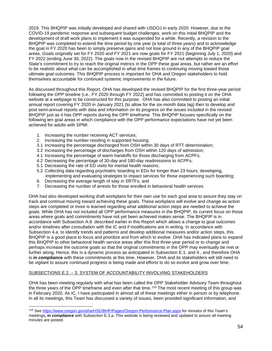2019. This BHQPIP was initially developed and shared with USDOJ in early 2020. However, due to the COVID-19 pandemic response and subsequent budget challenges, work on this initial BHQPIP and the development of draft work plans to implement it was suspended for a while. Recently, a revision to the BHQPIP was completed to extend the time period by one year (a total of three years) and to acknowledge the goal in FY 2020 has been to simply preserve gains and not lose ground in any of the BHQPIP goal areas. Goals originally set for FY 2020 and FY 2021 are now goals for FY 2021 (beginning July 1, 2020) and FY 2022 (ending June 30, 2022). The goals now in the revised BHQPIP are not attempts to reduce the State's commitment to try to reach the original metrics in the OPP these goal areas, but rather are an effort to be realistic about what can be accomplished in what time frames to continuing moving toward those ultimate goal outcomes. This BHQPIP process is important for OHA and Oregon stakeholders to hold themselves accountable for continued systemic improvements in the future.

As discussed throughout this Report, OHA has developed the revised BHQPIP for the first three-year period following the OPP timeline (i.e., FY 2020 through FY 2022) and has committed to posting it on the OHA website at a webpage to be constructed for this purpose. OHA has also committed to posting an initial annual report covering FY 2020 in January 2021 (to allow for the six-month data lag) then to develop and post semi-annual reports with data and information on its progress on the issues included in the revised BHQPIP just as it has OPP reports during the OPP timeframe. This BHQPIP focuses specifically on the following ten goal areas in which compliance with the OPP performance expectations have not yet been achieved for adults with SPMI:

- 1. Increasing the number receiving ACT services;
- 2. Increasing the number residing in supported housing;
- 3.1 Increasing the percentage discharged from OSH within 30 days of RTT determination;
- 3.2 Increasing the percentage of discharges from OSH within 120 days of admission;
- 4.1 Increasing the percentage of warm handoffs for those discharging from ACPFs;
- 4.2 Decreasing the percentage of 30-day and 180-day readmissions to ACPFs;
- 5.1 Decreasing the rate of ED visits for mental health reasons;
- 5.2 Collecting data regarding psychiatric boarding in EDs for longer than 23 hours; developing, implementing and evaluating strategies to impact services for those experiencing such boarding;
- 6. Decreasing the average length of stay in SRTFs; and
- 7. Decreasing the number of arrests for those enrolled in behavioral health services

OHA had also developed working draft workplans for their own use for each goal area to assure they stay on track and continue moving toward achieving these goals. These workplans will evolve and change as action steps are completed or more is learned regarding what additional action steps are needed to achieve the goals. While OHA has not included all OPP performance measures in the BHQPIP, its current focus on those areas where goals and commitments have not yet been achieved makes sense. The BHQPIP is in accordance with Subsection A.8. described earlier in this Report which allows a change to goal outcomes and/or timelines after consultation with the IC and if modifications are in writing. In accordance with Subsection 4.a. to identify trends and patterns and develop additional measures and/or action steps, this BHQPIP is a good place to focus and prioritize and from which to evolve. OHA has indicated plans to expand this BHQPIP to other behavioral health service areas after this first three-year period or to change and perhaps increase the outcome goals so that the original commitments in the OPP may eventually be met or further along. Hence, this is a dynamic process as anticipated in Subsection E.1. and 4., and therefore OHA is *in compliance* with these commitments at this time. However, OHA and its stakeholders will still need to be vigilant to assure continued progress is being made and efforts to do so evolve and grow over time.

## SUBSECTIONS E.2. – 3. SYSTEM OF ACCOUNTABILITY INVOLVING STAKEHOLDERS

OHA has been meeting regularly with what has been called the OPP Stakeholder Advisory Team throughout the three years of the OPP timeframe and even after that time.<sup>[119](#page-53-0)</sup> The most recent meeting of this group was in February 2020. As IC, I have participated in almost all of these meetings either in person or by telephone. In all its meetings, this Team has discussed a variety of issues, been provided significant information, and

<span id="page-53-0"></span><sup>119</sup> See<https://www.oregon.gov/oha/HSD/BHP/Pages/Oregon-Performance-Plan.aspx> for minutes of this Team's meetings*, in compliance* with Subsection E.3.a. This website is being reviewed and updated to assure all meeting minutes are posted.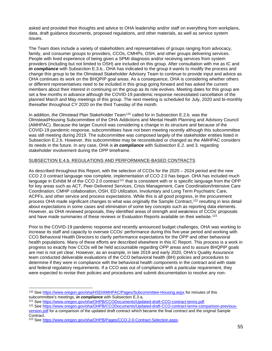asked and provided their thoughts and advice to OHA leadership and/or staff on everything from workplans, data, draft guidance documents, proposed regulations, and other materials, as well as service system issues.

The Team does include a variety of stakeholders and representatives of groups ranging from advocacy, family, and consumer groups to providers, CCOs, CMHPs, OSH, and other groups delivering services. People with lived experience of being given a SPMI diagnosis and/or receiving services from system providers (including but not limited to OSH) are included on this group. After consultation with me as IC and *in compliance* with Subsection E.3.b., OHA has indicated to the group it wants to modify the process and change this group to be the Olmstead Stakeholder Advisory Team to continue to provide input and advice as OHA continues its work on the BHQPIP goal areas. As a consequence, OHA is considering whether others or different representatives need to be included in this group going forward and has asked the current members about their interest in continuing on the group as its role evolves. Meeting dates for this group are set a few months in advance although the COVID-19 pandemic response necessitated cancellation of the planned March and May meetings of this group. The next meeting is scheduled for July, 2020 and bi-monthly thereafter throughout CY 2020 on the third Tuesday of the month.

In addition, the Olmstead Plan Stakeholder Team<sup>[120](#page-54-0)</sup> called for in Subsection E.2.b. was the Olmstead/Housing Subcommittee of the OHA Addictions and Mental Health Planning and Advisory Council (AMHPAC). Because the larger Council was considering a change in its structure and because of the COVID-19 pandemic response, subcommittees have not been meeting recently although this subcommittee was still meeting during 2019. The subcommittee was composed largely of the stakeholder entities listed in Subsection E.2.b. However, this subcommittee may be reconstituted or changed as the AMHPAC considers its needs in the future. In any case, OHA is *in compliance* with Subsection E.2. and 3. regarding stakeholder involvement during the OPP timeframe.

## SUBSECTION E.4.b. REGULATIONS AND PERFORMANCE-BASED CONTRACTS

As described throughout this Report, with the selection of CCOs for the 2020 – 2024 period and the new CCO 2.0 contract language now complete, implementation of CCO 2.0 has begun. OHA has included much language in Exhibit M of the CCO 2.0 contract<sup>[121](#page-54-1)</sup> that is consistent with or is specific language from the OPP for key areas such as ACT, Peer-Delivered Services, Crisis Management, Care Coordination/Intensive Care Coordination, CMHP collaboration, OSH, ED Utilization, Involuntary and Long Term Psychiatric Care, ACPFs, and other service and process expectations. While this is all good progress, in the procurement process OHA made significant changes to what was originally the Sample Contract,<sup>[122](#page-54-2)</sup> resulting in less detail about expectations in some cases and elimination of some key concepts such as reporting data elements. However, as OHA reviewed proposals, they identified areas of strength and weakness of CCOs' proposals and have made summaries of these reviews or Evaluation Reports available on their website.<sup>[123](#page-54-3)</sup>

Prior to the COVID-19 pandemic response and recently announced budget challenges, OHA was working to increase its staff and capacity to oversee CCOs' performance during this five-year period and working with CCO Behavioral Health Directors to clarify performance expectations for the OPP and other behavioral health populations. Many of these efforts are described elsewhere in this IC Report. This process is a work in progress so exactly how CCOs will be held accountable regarding OPP areas and to assure BHQPIP goals are met is not yet clear. However, as an example, in late 2019 and early 2020, OHA's Quality Assurance team conducted deliverable evaluations of the CCO behavioral health (BH) policies and procedures to determine if they were in compliance with the behavioral health components in the contract and with state and federal regulatory requirements. If a CCO was out of compliance with a particular requirement, they were expected to revise their policies and procedures and submit documentation to resolve any non-

<span id="page-54-0"></span><sup>120</sup> See<https://www.oregon.gov/oha/HSD/AMHPAC/Pages/Subcommittee-Housing.aspx> for minutes of this subcommittee's meetings, *in compliance* with Subsection E.3.a.

<span id="page-54-1"></span><sup>121</sup> See [https://www.oregon.gov/oha/OHPB/CCODocuments/Updated-draft-CCO-contract-terms.pdf.](https://www.oregon.gov/oha/OHPB/CCODocuments/Updated-draft-CCO-contract-terms.pdf)

<span id="page-54-2"></span><sup>122</sup> See [https://www.oregon.gov/oha/OHPB/CCODocuments/Updated-draft-CCO-contract-terms-comparison-previous](https://www.oregon.gov/oha/OHPB/CCODocuments/Updated-draft-CCO-contract-terms-comparison-previous-version.pdf)[version.pdf](https://www.oregon.gov/oha/OHPB/CCODocuments/Updated-draft-CCO-contract-terms-comparison-previous-version.pdf) for a comparison of the updated draft contract which became the final contract and the original Sample Contract.

<span id="page-54-3"></span><sup>123</sup> See [https://www.oregon.gov/oha/OHPB/Pages/CCO-2-0-Contract-Selection.aspx.](https://www.oregon.gov/oha/OHPB/Pages/CCO-2-0-Contract-Selection.aspx)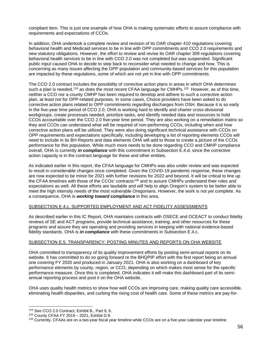compliant item. This is just one example of how OHA is making systematic efforts to assure compliance with requirements and expectations of CCOs.

In addition, OHA undertook a complete review and revision of its OAR chapter 410 regulations covering behavioral health and Medicaid services to be in line with OPP commitments and CCO 2.0 requirements and new statutory obligations. However, the effort to review and revise its OAR chapter 309 regulations covering behavioral health services to be in line with CCO 2.0 was not completed but was suspended. Significant public input caused OHA to decide to step back to reconsider what needed to change and how. This is concerning as many issues affecting the OPP population and community-based services for this population are impacted by these regulations, some of which are not yet in line with OPP commitments.

The CCO 2.0 contract includes the possibility of corrective action plans in areas in which OHA determines such a plan is needed,  $124$  as does the most recent CFAA language for CMHPs.  $125$  However, as of this time, neither a CCO nor a county CMHP has been required to develop and adhere to such a corrective action plan, at least not for OPP-related purposes. In some cases, Choice providers have been asked to do corrective action plans related to OPP commitments regarding discharges from OSH. Because it is so early in the five-year time period of CCO 2.0, OHA is working hard to identify and charter cross-divisional workgroups, create processes needed, prioritize tasks, and identify needed data and resources to hold CCOs accountable over the CCO 2.0 five-year time period. They are also working on a remediation matrix so they and CCOs can understand what will be required of non-performing CCOs, including when and how corrective action plans will be utilized. They were also doing significant technical assistance with CCOs on OPP requirements and expectations specifically, including developing a list of reporting elements CCOs will need to include in its BH Reports and data elements OHA will add to those to create a picture of the CCOs performance for this population. While much more needs to be done regarding CCO and CMHP compliance overall, OHA is currently *in compliance* with this commitment in Subsection E.4.d. since the corrective action capacity is in the contract language for these and other entities.

As indicated earlier in this report, the CFAA language for CMHPs was also under review and was expected to result in considerable changes once completed. Given the COVID-19 pandemic response, these changes are now expected to be minor for 2021 with further revisions for 2022 and beyond. It will be critical to line up the CFAA timelines with those of the CCOs' contracts<sup>[126](#page-55-2)</sup> and to assure CMHPs understand their roles and expectations as well. All these efforts are laudable and will help to align Oregon's system to be better able to meet the high intensity needs of the most vulnerable Oregonians. However, the work is not yet complete. As a consequence, OHA is *working toward compliance* in this area.

## SUBSECTION E.4.c. SUPPORTED EMPLOYMENT AND ACT FIDELITY ASSESSMENTS

As described earlier in this IC Report, OHA maintains contracts with OSECE and OCEACT to conduct fidelity reviews of SE and ACT programs, provide technical assistance, training, and other resources for these programs and assure they are operating and providing services in keeping with national evidence-based fidelity standards. OHA is *in compliance* with these commitments in Subsection E.4.c.

#### SUBSECTION E.5. TRANSPARENCY: POSTING MINUTES AND REPORTS ON OHA WEBSITE

OHA committed to transparency of its quality improvement efforts by posting semi-annual reports on its website. It has committed to do so going forward re the BHQPIP effort with the first report being an annual one covering FY 2020 and produced in January 2021. OHA is also working on a dashboard of key performance elements by county, region, or CCO, depending on which makes most sense for the specific performance measure. Once this is completed, OHA indicates it will make this dashboard part of its semiannual reporting process and post it on the OHA website.

OHA uses quality health metrics to show how well CCOs are improving care, making quality care accessible, eliminating health disparities, and curbing the rising cost of health care. Some of these metrics are pay-for-

<span id="page-55-0"></span><sup>124</sup> See CCO 2.0 Contract, Exhibit B., Part 9, 6.

<span id="page-55-1"></span><sup>125</sup> County CFAA FY 2019 – 2021, Exhibit D.9.

<span id="page-55-2"></span> $126$  Currently, CFAAs are on a two-year fiscal year timeline while CCOs are on a five-year calendar year timeline.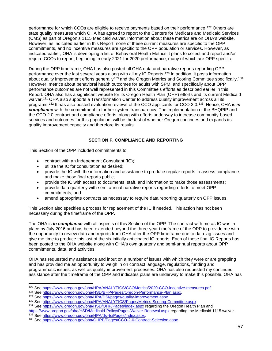performance for which CCOs are eligible to receive payments based on their performance.<sup>[127](#page-56-0)</sup> Others are state quality measures which OHA has agreed to report to the Centers for Medicare and Medicaid Services (CMS) as part of Oregon's 1115 Medicaid waiver. Information about these metrics are on OHA's website. However, as indicated earlier in this Report, none of these current measures are specific to the OPP commitments, and no incentive measures are specific to the OPP population or services. However, as indicated earlier, OHA is developing a list of Behavioral Health Metrics it plans to collect and report and/or require CCOs to report, beginning in early 2021 for 2020 performance, many of which are OPP specific.

During the OPP timeframe, OHA has also posted all OHA data and narrative reports regarding OPP performance over the last several years along with all my IC Reports.[128](#page-56-1) In addition, it posts information about quality improvement efforts generally<sup>[129](#page-56-2)</sup> and the Oregon Metrics and Scoring Committee specifically.<sup>[130](#page-56-3)</sup> However, metrics about behavioral health outcomes for adults with SPMI and specifically about OPP performance outcomes are not well represented in this Committee's efforts as described earlier in this Report. OHA also has a significant website for its Oregon Health Plan (OHP) efforts and its current Medicaid waiver.<sup>[131](#page-56-4)</sup> OHA also supports a Transformation Center to address quality improvement across all its programs.[132](#page-56-5) It has also posted evaluation reviews of the CCO applicants for CCO 2.0.[133](#page-56-6) Hence, OHA is *in compliance* with the commitment to further system transparency. The implementation of the BHQPIP and the CCO 2.0 contract and compliance efforts, along with efforts underway to increase community-based services and outcomes for this population, will be the test of whether Oregon continues and expands its quality improvement capacity and therefore its results.

## **SECTION F. COMPLIANCE AND REPORTING**

This Section of the OPP included commitments to:

- contract with an Independent Consultant (IC);
- utilize the IC for consultation as desired;
- provide the IC with the information and assistance to produce regular reports to assess compliance and make those final reports public;
- provide the IC with access to documents, staff, and information to make those assessments;
- provide data quarterly with semi-annual narrative reports regarding efforts to meet OPP commitments; and
- amend appropriate contracts as necessary to require data reporting quarterly on OPP issues.

This Section also specifies a process for replacement of the IC if needed. This action has not been necessary during the timeframe of the OPP.

The OHA is *in compliance* with all aspects of this Section of the OPP. The contract with me as IC was in place by July 2016 and has been extended beyond the three-year timeframe of the OPP to provide me with the opportunity to review data and reports from OHA after the OPP timeframe due to data lag issues and give me time to produce this last of the six initially anticipated IC reports. Each of these final IC Reports has been posted to the OHA website along with OHA's own quarterly and semi-annual reports about OPP commitments, data, and activities.

OHA has requested my assistance and input on a number of issues with which they were or are grappling and has provided me an opportunity to weigh in on contract language, regulations, funding and programmatic issues, as well as quality improvement processes. OHA has also requested my continued assistance after the timeframe of the OPP and indicates plans are underway to make this possible. OHA has

<span id="page-56-5"></span><https://www.oregon.gov/oha/HSD/Medicaid-Policy/Pages/Waiver-Renewal.aspx> regarding the Medicaid 1115 waiver. <sup>132</sup> See [https://www.oregon.gov/oha/HPA/dsi-tc/Pages/index.aspx.](https://www.oregon.gov/oha/HPA/dsi-tc/Pages/index.aspx)

<span id="page-56-0"></span><sup>127</sup> See [https://www.oregon.gov/oha/HPA/ANALYTICS/CCOMetrics/2020-CCO-incentive-measures.pdf.](https://www.oregon.gov/oha/HPA/ANALYTICS/CCOMetrics/2020-CCO-incentive-measures.pdf)

<span id="page-56-1"></span><sup>128</sup> See [https://www.oregon.gov/oha/HSD/BHP/Pages/Oregon-Performance-Plan.aspx.](https://www.oregon.gov/oha/HSD/BHP/Pages/Oregon-Performance-Plan.aspx)

<sup>129</sup> See [https://www.oregon.gov/oha/HPA/DSI/pages/quality-improvement.aspx.](https://www.oregon.gov/oha/HPA/DSI/pages/quality-improvement.aspx)

<sup>130</sup> See [https://www.oregon.gov/oha/HPA/ANALYTICS/Pages/Metrics-Scoring-Committee.aspx.](https://www.oregon.gov/oha/HPA/ANALYTICS/Pages/Metrics-Scoring-Committee.aspx)

<span id="page-56-4"></span><span id="page-56-3"></span><span id="page-56-2"></span><sup>131</sup> See<https://www.oregon.gov/oha/HSD/OHP/Pages/index.aspx> regarding the Oregon Health Plan and

<span id="page-56-6"></span><sup>133</sup> See [https://www.oregon.gov/oha/OHPB/Pages/CCO-2-0-Contract-Selection.aspx.](https://www.oregon.gov/oha/OHPB/Pages/CCO-2-0-Contract-Selection.aspx)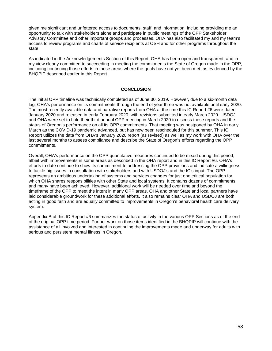given me significant and unfettered access to documents, staff, and information, including providing me an opportunity to talk with stakeholders alone and participate in public meetings of the OPP Stakeholder Advisory Committee and other important groups and processes. OHA has also facilitated my and my team's access to review programs and charts of service recipients at OSH and for other programs throughout the state.

As indicated in the Acknowledgements Section of this Report, OHA has been open and transparent, and in my view clearly committed to succeeding in meeting the commitments the State of Oregon made in the OPP, including continuing those efforts in those areas where the goals have not yet been met, as evidenced by the BHQPIP described earlier in this Report.

## **CONCLUSION**

The initial OPP timeline was technically completed as of June 30, 2019. However, due to a six-month data lag, OHA's performance on its commitments through the end of year three was not available until early 2020. The most recently available data and narrative reports from OHA at the time this IC Report #6 were dated January 2020 and released in early February 2020, with revisions submitted in early March 2020. USDOJ and OHA were set to hold their third annual OPP meeting in March 2020 to discuss these reports and the status of Oregon's performance on all its OPP commitments. That meeting was postponed by OHA in early March as the COVID-19 pandemic advanced, but has now been rescheduled for this summer. This IC Report utilizes the data from OHA's January 2020 report (as revised) as well as my work with OHA over the last several months to assess compliance and describe the State of Oregon's efforts regarding the OPP commitments.

Overall, OHA's performance on the OPP quantitative measures continued to be mixed during this period, albeit with improvements in some areas as described in the OHA report and in this IC Report #6. OHA's efforts to date continue to show its commitment to addressing the OPP provisions and indicate a willingness to tackle big issues in consultation with stakeholders and with USDOJ's and the IC's input. The OPP represents an ambitious undertaking of systems and services changes for just one critical population for which OHA shares responsibilities with other State and local systems. It contains dozens of commitments, and many have been achieved. However, additional work will be needed over time and beyond the timeframe of the OPP to meet the intent in many OPP areas. OHA and other State and local partners have laid considerable groundwork for these additional efforts. It also remains clear OHA and USDOJ are both acting in good faith and are equally committed to improvements in Oregon's behavioral health care delivery system.

Appendix B of this IC Report #6 summarizes the status of activity in the various OPP Sections as of the end of the original OPP time period. Further work on those items identified in the BHQPIP will continue with the assistance of all involved and interested in continuing the improvements made and underway for adults with serious and persistent mental illness in Oregon.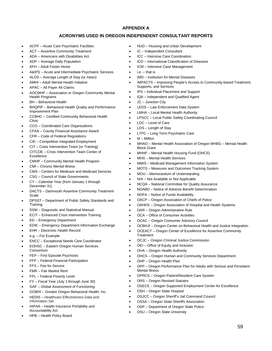#### **APPENDIX A**

## **ACRONYMS USED IN OREGON INDEPENDENT CONSULTANT REPORTS**

- ACPF Acute Care Psychiatric Facilities
- ACT Assertive Community Treatment
- ADA Americans with Disabilities Act
- ADP Average Daily Population
- AFH Adult Foster Home
- A&IPS Acute and Intermediate Psychiatric Services
- ALOS Average Length of Stay (or mean)
- AMHI Adult Mental Health Initiative
- APAC All Payer All Claims
- AOCMHP Association or Oregon Community Mental Health Programs
- BH Behavioral Health
- BHQPIP Behavioral Health Quality and Performance Improvement Plan
- CCBHC Certified Community Behavioral Health Clinic
- CCO Coordinated Care Organizations
- CFAA County Financial Assistance Award
- CFR Code of Federal Regulations
- CIE Competitive Integrated Employment
- CIT Crisis Intervention Team (or Training)
- CITCOE Crisis Intervention Team Center of Excellence
- CMHP Community Mental Health Program
- CMI Chronic Mental Illness
- CMS Centers for Medicare and Medicaid Services
- CSG Council of State Governments
- CY Calendar Year (from January 1 through December 31)
- DACTS Dartmouth Assertive Community Treatment Scale
- DPSST Department of Public Safety Standards and **Training**
- DSM Diagnostic and Statistical Manual
- ECIT Enhanced Crisis Intervention Training
- ED Emergency Department
- EDIE Emergency Department Information Exchange
- EHR Electronic Health Record
- e.g. For Example
- ENCC Exceptional Needs Care Coordinator
- EOHSC Eastern Oregon Human Services
- Consortium • FEP – First Episode Psychosis
- FFP Federal Financial Participation
- FFS Fee for Service
- FMR Fair Market Rent
- FPL Federal Poverty Level
- FY Fiscal Year (July 1 through June 30)
- GAF Global Assessment of Functioning
- GOBHI Greater Oregon Behavioral Health, Inc.
- HEDIS Healthcare Effectiveness Data and Information Set
- HIPAA Health Insurance Portability and Accountability Act
- HPB Health Policy Board
- HUD Housing and Urban Development
- IC Independent Consultant
- ICC Intensive Care Coordination
- ICD International Classification of Diseases
- ICM Intensive Case Management
- $i.e. that is$
- IMD Institution for Mental Diseases
- IMPACTS Improving People's Access to Community-based Treatment, Supports, and Services
- IPS Individual Placement and Support
	- IQA Independent and Qualified Agent
- JC Junction City
- LEDS Law Enforcement Data System
- LMHA Local Mental Health Authority
- LPSCC Local Public Safety Coordinating Council
- LOC Level of Care
- LOS Length of Stay
- LTPC Long Term Psychiatric Care
- $M -$  Million
- MHAO Mental Health Association of Oregon MHBG Mental Health Block Grant
- MHHF Mental Health Housing Fund (OHCS)
- MHS Mental Health Services
- MMIS Medicaid Management Information System
- MOTS Measures and Outcomes Tracking System
- MOU Memorandum of Understanding
- N/A Not Available or Not Applicable
- NCQA National Committee for Quality Assurance
- NOABD Notice of Adverse Benefit Determination
- NOFA Notice of Funds Availability
- OACP Oregon Association of Chiefs of Police
- OAHHS Oregon Association of Hospital and Health Systems
- OAR Oregon Administrative Rule
- OCA Office of Consumer Activities
- OCAC Oregon Consumer Advisory Council
- OCBHJI Oregon Center on Behavioral Health and Justice Integration
- OCEACT Oregon Center of Excellence for Assertive Community
- **Treatment** • OCJC – Oregon Criminal Justice Commission
- OEI Office of Equity and Inclusion
- 
- OHA Oregon Health Authority
- OHCS Oregon Human and Community Services Department
- OHP Oregon Health Plan
- OPP Oregon Performance Plan for Adults with Serious and Persistent Mental Illness
- OPRCS Oregon Patient/Resident Care System
- ORS Oregon Revised Statutes
- OSECE Oregon Supported Employment Center for Excellence
- OSH Oregon State Hospital
- OSJCC Oregon Sheriff's Jail Command Council
- OSSA Oregon State Sheriffs Association
- OSP Department of Oregon State Police
- OSU Oregon State University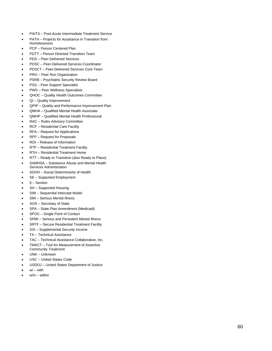- PAITS Post-Acute Intermediate Treatment Service
- PATH Projects for Assistance in Transition from Homelessness
- PCP Person Centered Plan
- PDTT Person Directed Transition Team
- PDS Peer -Delivered Services
- PDSC Peer -Delivered Services Coordinator
- PDSCT Peer -Delivered Services Core Team
- PRO Peer Run Organization
- PSRB Psychiatric Security Review Board
- PSS Peer Support Specialist
- PWS Peer Wellness Specialists
- QHOC Quality Health Outcomes Committee
- QI Quality Improvement
- Q PIP – Quality and Performance Improvement Plan
- QMHA Qualified Mental Health Associate
- QMHP Qualified Mental Health Professional
- RAC Rules Advisory Committee
- RCF Residential Care Facility
- RFA Request for Applications
- RFP Request for Proposals
- ROI Release of Information
- RTF Residential Treatment Facility
- RTH Residential Treatment Home
- RTT Ready to Transition (also Ready to Place)
- SAMHSA Substance Abuse and Mental Health Services Administration
- SDOH Social Determinants of Health
- SE Supported Employment
- § Section
- SH Supported Housing
- SIM Sequential Intercept Model
- SMI Serious Mental Illness
- SOS Secretary of State
- SPA State Plan Amendment (Medicaid)
- SPOC Single Point of Contact
- SPMI Serious and Persistent Mental Illness
- SRTF Secure Residential Treatment Facility
- SSI Supplemental Security Income
- TA Technical Assistance
- TAC Technical Assistance Collaborative, Inc.
- TMACT Tool for Measurement of Assertive
- Community Treatment
- UNK Unknown
- USC United States Code
- USDOJ United States Department of Justice
- $\bullet$   $\quad$   $\mathsf{w}/\mathsf{-}$  with
- w/in within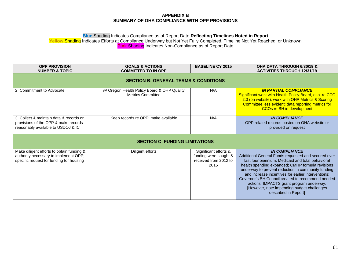## **APPENDIX B SUMMARY OF OHA COMPLIANCE WITH OPP PROVISIONS**

## **Blue** Shading Indicates Compliance as of Report Date **Reflecting Timelines Noted in Report**

**Yellow** Shading Indicates Efforts at Compliance Underway but Not Yet Fully Completed, Timeline Not Yet Reached, or Unknown **Pink** Shading Indicates Non-Compliance as of Report Date

| <b>OPP PROVISION</b><br><b>NUMBER &amp; TOPIC</b>                                                                              | <b>GOALS &amp; ACTIONS</b><br><b>COMMITTED TO IN OPP</b>                | <b>BASELINE CY 2015</b>                                                         | <b>OHA DATA THROUGH 6/30/19 &amp;</b><br><b>ACTIVITIES THROUGH 12/31/19</b>                                                                                                                                                                                                                                                                                                                                                                                             |  |  |
|--------------------------------------------------------------------------------------------------------------------------------|-------------------------------------------------------------------------|---------------------------------------------------------------------------------|-------------------------------------------------------------------------------------------------------------------------------------------------------------------------------------------------------------------------------------------------------------------------------------------------------------------------------------------------------------------------------------------------------------------------------------------------------------------------|--|--|
|                                                                                                                                | <b>SECTION B: GENERAL TERMS &amp; CONDITIONS</b>                        |                                                                                 |                                                                                                                                                                                                                                                                                                                                                                                                                                                                         |  |  |
| 2. Commitment to Advocate                                                                                                      | w/ Oregon Health Policy Board & OHP Quality<br><b>Metrics Committee</b> | N/A                                                                             | <b>IN PARTIAL COMPLIANCE</b><br>Significant work with Health Policy Board, esp. re CCO<br>2.0 (on website); work with OHP Metrics & Scoring<br>Committee less evident; data reporting metrics for<br><b>CCOs re BH in development</b>                                                                                                                                                                                                                                   |  |  |
| 3. Collect & maintain data & records on<br>provisions of the OPP & make records<br>reasonably available to USDOJ & IC          | Keep records re OPP; make available                                     | N/A                                                                             | <b>IN COMPLIANCE</b><br>OPP related records posted on OHA website or<br>provided on request                                                                                                                                                                                                                                                                                                                                                                             |  |  |
| <b>SECTION C: FUNDING LIMITATIONS</b>                                                                                          |                                                                         |                                                                                 |                                                                                                                                                                                                                                                                                                                                                                                                                                                                         |  |  |
| Make diligent efforts to obtain funding &<br>authority necessary to implement OPP;<br>specific request for funding for housing | Diligent efforts                                                        | Significant efforts &<br>funding were sought &<br>received from 2012 to<br>2015 | <b>IN COMPLIANCE</b><br>Additional General Funds requested and secured over<br>last four biennium; Medicaid and total behavioral<br>health spending expanded; CMHP formula revisions<br>underway to prevent reduction in community funding<br>and increase incentives for earlier interventions;<br>Governor's BH Council created to recommend needed<br>actions; IMPACTS grant program underway.<br>[However, note impending budget challenges<br>described in Report] |  |  |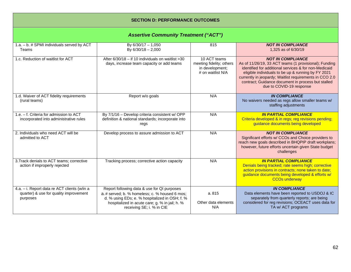# **SECTION D: PERFORMANCE OUTCOMES**

| <b>Assertive Community Treatment ("ACT")</b>                                                       |                                                                                                                                                                                                                               |                                                                                  |                                                                                                                                                                                                                                                                                                                                               |  |
|----------------------------------------------------------------------------------------------------|-------------------------------------------------------------------------------------------------------------------------------------------------------------------------------------------------------------------------------|----------------------------------------------------------------------------------|-----------------------------------------------------------------------------------------------------------------------------------------------------------------------------------------------------------------------------------------------------------------------------------------------------------------------------------------------|--|
| 1.a. - b. # SPMI individuals served by ACT<br>Teams                                                | By 6/30/17 - 1,050<br>By 6/30/18 - 2,000                                                                                                                                                                                      | 815                                                                              | <b>NOT IN COMPLIANCE</b><br>1,325 as of 6/30/19                                                                                                                                                                                                                                                                                               |  |
| 1.c. Reduction of waitlist for ACT                                                                 | After $6/30/18 -$ if 10 individuals on waitlist > 30<br>days, increase team capacity or add teams                                                                                                                             | 10 ACT teams<br>meeting fidelity; others<br>in development;<br># on waitlist N/A | <b>NOT IN COMPLIANCE</b><br>As of 11/26/19, 33 ACT teams (1 provisional); Funding<br>identified for additional services & for non-Medicaid<br>eligible individuals to be up & running by FY 2021<br>currently in jeopardy; Waitlist requirements in CCO 2.0<br>contract; Guidance document in process but stalled<br>due to COVID-19 response |  |
| 1.d. Waiver of ACT fidelity requirements<br>(rural teams)                                          | Report w/o goals                                                                                                                                                                                                              | N/A                                                                              | <b>IN COMPLIANCE</b><br>No waivers needed as regs allow smaller teams w/<br>staffing adjustments                                                                                                                                                                                                                                              |  |
| 1.e. - f. Criteria for admission to ACT<br>incorporated into administrative rules                  | By 7/1/16 - Develop criteria consistent w/ OPP<br>definition & national standards; incorporate into<br>regs                                                                                                                   | N/A                                                                              | <b>IN PARTIAL COMPLIANCE</b><br>Criteria developed & in regs; reg revisions pending;<br>guidance documents being developed                                                                                                                                                                                                                    |  |
| 2. Individuals who need ACT will be<br>admitted to ACT                                             | Develop process to assure admission to ACT                                                                                                                                                                                    | N/A                                                                              | <b>NOT IN COMPLIANCE</b><br>Significant efforts w/ CCOs and Choice providers to<br>reach new goals described in BHQPIP draft workplans;<br>however, future efforts uncertain given State budget<br>challenges                                                                                                                                 |  |
| 3. Track denials to ACT teams; corrective<br>action if improperly rejected                         | Tracking process; corrective action capacity                                                                                                                                                                                  | N/A                                                                              | <b>IN PARTIAL COMPLIANCE</b><br>Denials being tracked; rate seems high; corrective<br>action provisions in contracts; none taken to date;<br>guidance documents being developed & efforts w/<br><b>CCOs underway</b>                                                                                                                          |  |
| 4.a. - i. Report data re ACT clients (w/in a<br>quarter) & use for quality improvement<br>purposes | Report following data & use for QI purposes<br>a.# served; b. % homeless; c. % housed 6 mos;<br>d. % using EDs; e. % hospitalized in OSH; f. %<br>hospitalized in acute care; g. % in jail; h. %<br>receiving SE; i. % in CIE | a. 815<br>Other data elements<br>N/A                                             | <b>IN COMPLIANCE</b><br>Data elements have been reported to USDOJ & IC<br>separately from quarterly reports; are being<br>considered for reg revisions; OCEACT uses data for<br>TA w/ ACT programs                                                                                                                                            |  |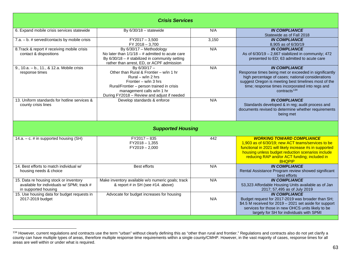<span id="page-62-0"></span>

| <b>Crisis Services</b>                                                                                       |                                                                                                                                                                                                                                      |       |                                                                                                                                                                                                                                                                           |  |
|--------------------------------------------------------------------------------------------------------------|--------------------------------------------------------------------------------------------------------------------------------------------------------------------------------------------------------------------------------------|-------|---------------------------------------------------------------------------------------------------------------------------------------------------------------------------------------------------------------------------------------------------------------------------|--|
| 6. Expand mobile crisis services statewide                                                                   | By $6/30/18 -$ statewide                                                                                                                                                                                                             | N/A   | <b>IN COMPLIANCE</b><br>Statewide as of Fall 2018                                                                                                                                                                                                                         |  |
| $7.a. - b.$ # served/contacts by mobile crisis                                                               | $FY2017 - 3,500$<br>FY 2018 - 3,700                                                                                                                                                                                                  | 3,150 | <b>IN COMPLIANCE</b><br>8,905 as of 6/30/19                                                                                                                                                                                                                               |  |
| 8. Track & report # receiving mobile crisis<br>contact & dispositions                                        | By 6/30/17 - Methodology<br>No later than $1/1/18 - #$ admitted to acute care<br>By $6/30/18 - #$ stabilized in community setting<br>rather than arrest, ED, or ACPF admission                                                       | N/A   | <b>IN COMPLIANCE</b><br>As of $6/30/19 - 2,667$ stabilized in community; 472<br>presented to ED; 63 admitted to acute care                                                                                                                                                |  |
| 9., 10.a. - b., 11., & 12.a. Mobile crisis<br>response times                                                 | By $6/30/17 -$<br>Other than Rural & Frontier - w/in 1 hr<br>Rural – $w/in 2 hrs$<br>Frontier – w/in 3 hrs<br>Rural/Frontier - person trained in crisis<br>management calls w/in 1 hr<br>During FY2018 - Review and adjust if needed | N/A   | <b>IN COMPLIANCE</b><br>Response times being met or exceeded in significantly<br>high percentage of cases; national considerations<br>suggest Oregon is meeting best timelines most of the<br>time; response times incorporated into regs and<br>contracts <sup>134</sup> |  |
| 13. Uniform standards for hotline services &<br>county crisis lines                                          | Develop standards & enforce                                                                                                                                                                                                          | N/A   | <b>IN COMPLIANCE</b><br>Standards developed & in reg; audit process and<br>documents revised to determine whether requirements<br>being met                                                                                                                               |  |
|                                                                                                              | <b>Supported Housing</b>                                                                                                                                                                                                             |       |                                                                                                                                                                                                                                                                           |  |
| 14.a. $-$ c. # in supported housing (SH)                                                                     | $FY2017 - 835$<br>$FY2018 - 1,355$<br>$FY2019 - 2,000$                                                                                                                                                                               | 442   | <b>WORKING TOWARD COMPLIANCE</b><br>1,903 as of 6/30/19; new ACT teams/services to be<br>functional in 2021 will likely increase #s in supported<br>housing unless budget reduction scenarios include<br>reducing RAP and/or ACT funding; included in<br><b>BHQPIP</b>    |  |
| 14. Best efforts to match individual w/<br>housing needs & choice                                            | <b>Best efforts</b>                                                                                                                                                                                                                  | N/A   | <b>IN COMPLIANCE</b><br>Rental Assistance Program review showed significant<br>best efforts                                                                                                                                                                               |  |
| 15. Data re housing stock or inventory<br>available for individuals w/ SPMI; track #<br>in supported housing | Make inventory available w/o numeric goals; track<br>& report # in SH (see #14. above)                                                                                                                                               | N/A   | <b>IN COMPLIANCE</b><br>53,323 Affordable Housing Units available as of Jan<br>2017; 57,495 as of July 2019                                                                                                                                                               |  |
| 15. Use housing data for budget requests in<br>2017-2019 budget                                              | Advocate for budget increases for housing                                                                                                                                                                                            | N/A   | <b>IN COMPLIANCE</b><br>Budget request for 2017-2019 was broader than SH;<br>\$4.5 M received for 2019 - 2021 set aside for support<br>services for those in new OHCS units likely to be<br>largely for SH for individuals with SPMI                                      |  |

<sup>&</sup>lt;sup>134</sup> However, current regulations and contracts use the term "urban" without clearly defining this as "other than rural and frontier." Regulations and contracts also do not yet clarify a county can have multiple types of areas, therefore multiple response time requirements within a single county/CMHP. However, in the vast majority of cases, response times for all areas are well within or under what is required.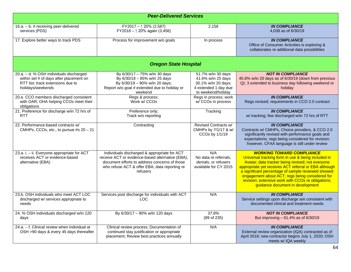| <b>Peer-Delivered Services</b>                                                                                                               |                                                                                                                                                                                                                |                                                                                                               |                                                                                                                                                                                                                                                                                                                                                                                                        |  |
|----------------------------------------------------------------------------------------------------------------------------------------------|----------------------------------------------------------------------------------------------------------------------------------------------------------------------------------------------------------------|---------------------------------------------------------------------------------------------------------------|--------------------------------------------------------------------------------------------------------------------------------------------------------------------------------------------------------------------------------------------------------------------------------------------------------------------------------------------------------------------------------------------------------|--|
| 16.a. - b. # receiving peer-delivered<br>services (PDS)                                                                                      | FY2017 - $\uparrow$ 20% (2,587)<br>FY2018 - 1 20% again (3,456)                                                                                                                                                | 2,156                                                                                                         | <b>IN COMPLIANCE</b><br>4,038 as of 6/30/19                                                                                                                                                                                                                                                                                                                                                            |  |
| 17. Explore better ways to track PDS                                                                                                         | Process for improvement w/o goals                                                                                                                                                                              | In process                                                                                                    | <b>IN COMPLIANCE</b><br>Office of Consumer Activities is exploring &<br>collaborates re additional data possibilities                                                                                                                                                                                                                                                                                  |  |
|                                                                                                                                              | <b>Oregon State Hospital</b>                                                                                                                                                                                   |                                                                                                               |                                                                                                                                                                                                                                                                                                                                                                                                        |  |
| 20.a. - d. % OSH individuals discharged<br>within set # of days after placement on<br>RTT list; track extensions due to<br>holidays/weekends | By 6/30/17 - 75% w/in 30 days<br>By 6/30/18 - 85% w/in 25 days<br>By 6/30/19 - 90% w/in 20 days;<br>Report w/o goal # extended due to holiday or<br>weekend                                                    | 51.7% w/in 30 days<br>41.6% w/in 25 days<br>30.1% w/in 20 days;<br>4 extended 1 day due<br>to weekend/holiday | <b>NOT IN COMPLIANCE</b><br>45.8% w/in 20 days as of 6/30/19 (down from previous<br>Q); 3 extended to business day following weekend or<br>holidav                                                                                                                                                                                                                                                     |  |
| 20.e. CCO members discharged consistent<br>with OAR; OHA helping CCOs meet their<br>obligations                                              | Regs & process;<br>Work w/ CCOs                                                                                                                                                                                | Regs in process; work<br>w/CCOs in process                                                                    | <b>IN COMPLIANCE</b><br>Regs revised; requirements in CCO 2.0 contract                                                                                                                                                                                                                                                                                                                                 |  |
| 21. Preference for discharge w/in 72 hrs of<br><b>RTT</b>                                                                                    | Preference only;<br>Track w/o reporting                                                                                                                                                                        | Tracking                                                                                                      | <b>IN COMPLIANCE</b><br>w/ tracking; few discharged w/in 72 hrs of RTT                                                                                                                                                                                                                                                                                                                                 |  |
| 22. Performance-based contracts w/<br>CMHPs, CCOs, etc., to pursue #s 20 - 21                                                                | Contracting                                                                                                                                                                                                    | <b>Revised Contracts w/</b><br>CMHPs by 7/1/17 & w/<br>CCOs by 1/1/19                                         | <b>IN COMPLIANCE</b><br>Contracts w/ CMHPs, Choice providers, & CCO 2.0<br>significantly revised with performance goals and<br>expectations; regs being considered for revision;<br>however, CFAA language is still under review                                                                                                                                                                       |  |
| 23.a. i. - ii. Everyone appropriate for ACT<br>receives ACT or evidence-based<br>alternative (EBA)                                           | Individuals discharged & appropriate for ACT<br>receive ACT or evidence-based alternative (EBA);<br>document efforts to address concerns of those<br>who refuse ACT & offer EBA; data reporting re<br>refusers | N/A<br>No data re referrals,<br>denials, or refusers<br>available for CY 2015                                 | <b>WORKING TOWARD COMPLIANCE</b><br>Universal tracking form in use & being included in<br>Avatar; data tracker being revised; not everyone<br>appropriate yet receives ACT referral or EBA although<br>a significant percentage of sample reviewed showed<br>engagement about ACT; regs being considered for<br>revision; extensive work with CCOs re obligations;<br>guidance document in development |  |
| 23.b. OSH individuals who meet ACT LOC<br>discharged w/ services appropriate to<br>needs                                                     | Services post discharge for individuals with ACT<br><b>LOC</b>                                                                                                                                                 | N/A                                                                                                           | <b>IN COMPLIANCE</b><br>Service settings upon discharge are consistent with<br>documented clinical and treatment needs                                                                                                                                                                                                                                                                                 |  |
| 24. % OSH individuals discharged w/in 120<br>days                                                                                            | By 6/30/17 - 90% w/in 120 days                                                                                                                                                                                 | 37.8%<br>(89 of 235)                                                                                          | <b>NOT IN COMPLIANCE</b><br>But improving - 61.4% as of 6/30/19                                                                                                                                                                                                                                                                                                                                        |  |
| 24.a. - f. Clinical review when individual at<br>OSH >90 days & every 45 days thereafter                                                     | Clinical review process; Documentation of<br>continued stay justification or appropriate<br>placement; Review best practices annually                                                                          | N/A                                                                                                           | <b>IN COMPLIANCE</b><br>External review organization (IQA) contracted as of<br>April 2018; new contractor begins July 1, 2020; OSH<br>meets w/ IQA weekly                                                                                                                                                                                                                                              |  |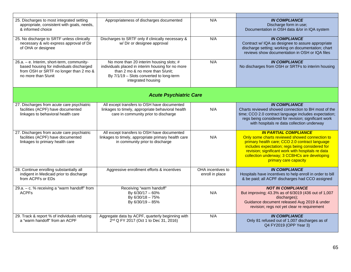| 25. Discharges to most integrated setting<br>appropriate, consistent with goals, needs,<br>& informed choice                                            | Appropriateness of discharges documented                                                                                                                                                            | N/A                                  | <b>IN COMPLIANCE</b><br>Discharge form in use;<br>Documentation in OSH data &/or in IQA system                                                                                                                                                                                                                    |
|---------------------------------------------------------------------------------------------------------------------------------------------------------|-----------------------------------------------------------------------------------------------------------------------------------------------------------------------------------------------------|--------------------------------------|-------------------------------------------------------------------------------------------------------------------------------------------------------------------------------------------------------------------------------------------------------------------------------------------------------------------|
| 25. No discharge to SRTF unless clinically<br>necessary & w/o express approval of Dir<br>of OHA or designee                                             | Discharges to SRTF only if clinically necessary &<br>w/ Dir or designee approval                                                                                                                    | N/A                                  | <b>IN COMPLIANCE</b><br>Contract w/ IQA as designee to assure appropriate<br>discharge setting; working on documentation; chart<br>reviews show documentation in OSH or IQA files                                                                                                                                 |
| 26.a. - e. Interim, short-term, community-<br>based housing for individuals discharged<br>from OSH or SRTF no longer than 2 mo &<br>no more than 5/unit | No more than 20 interim housing slots; #<br>individuals placed in interim housing for no more<br>than 2 mo & no more than 5/unit;<br>By 7/1/19 - Slots converted to long-term<br>integrated housing | N/A                                  | <b>IN COMPLIANCE</b><br>No discharges from OSH or SRTFs to interim housing                                                                                                                                                                                                                                        |
|                                                                                                                                                         | <b>Acute Psychiatric Care</b>                                                                                                                                                                       |                                      |                                                                                                                                                                                                                                                                                                                   |
| 27. Discharges from acute care psychiatric<br>facilities (ACPF) have documented<br>linkages to behavioral health care                                   | All except transfers to OSH have documented<br>linkages to timely, appropriate behavioral health<br>care in community prior to discharge                                                            | N/A                                  | <b>IN COMPLIANCE</b><br>Charts reviewed showed connection to BH most of the<br>time; CCO 2.0 contract language includes expectation;<br>regs being considered for revision; significant work<br>with hospitals re data collection underway                                                                        |
| 27. Discharges from acute care psychiatric<br>facilities (ACPF) have documented<br>linkages to primary health care                                      | All except transfers to OSH have documented<br>linkages to timely, appropriate primary health care<br>in community prior to discharge                                                               | N/A                                  | <b>IN PARTIAL COMPLIANCE</b><br>Only some charts reviewed showed connection to<br>primary health care; CCO 2.0 contract language<br>includes expectation; regs being considered for<br>revision; significant work with hospitals re data<br>collection underway; 3 CCBHCs are developing<br>primary care capacity |
| 28. Continue enrolling substantially all<br>indigent in Medicaid prior to discharge<br>from ACPFs or EDs                                                | Aggressive enrollment efforts & incentives                                                                                                                                                          | OHA incentives to<br>enroll in place | <b>IN COMPLIANCE</b><br>Hospitals have incentives to help enroll in order to bill<br>& be paid; all ACPF discharges had CCO assigned                                                                                                                                                                              |
| 29.a. - c. % receiving a "warm handoff" from<br><b>ACPFs</b>                                                                                            | Receiving "warm handoff"<br>By 6/30/17 - 60%<br>By 6/30/18 - 75%<br>By 6/30/19 - 85%                                                                                                                | N/A                                  | <b>NOT IN COMPLIANCE</b><br>But improving; 43.3% as of 6/3019 (436 out of 1,007<br>discharges);<br>Guidance document released Aug 2019 & under<br>revision; regs not yet clear re requirement                                                                                                                     |
| 29. Track & report % of individuals refusing<br>a "warm handoff" from an ACPF                                                                           | Aggregate data by ACPF, quarterly beginning with<br>2 <sup>nd</sup> Q FY 2017 (Oct 1 to Dec 31, 2016)                                                                                               | N/A                                  | <b>IN COMPLIANCE</b><br>Only 81 refused out of 1,007 discharges as of<br>Q4 FY2019 (OPP Year 3)                                                                                                                                                                                                                   |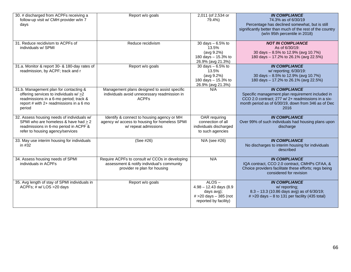| 30. # discharged from ACPFs receiving a<br>follow-up visit w/ CMH provider w/in 7<br>days                                                                                       | Report w/o goals                                                                                                             | 2,011 (of 2,534 or<br>79.4%)                                                                                | <b>IN COMPLIANCE</b><br>74.3% as of 6/30/19<br>Percentage has declined somewhat, but is still<br>significantly better than much of the rest of the country<br>(w/in 95th percentile in 2018)  |
|---------------------------------------------------------------------------------------------------------------------------------------------------------------------------------|------------------------------------------------------------------------------------------------------------------------------|-------------------------------------------------------------------------------------------------------------|-----------------------------------------------------------------------------------------------------------------------------------------------------------------------------------------------|
| 31. Reduce recidivism to ACPFs of<br>individuals w/ SPMI                                                                                                                        | Reduce recidivism                                                                                                            | 30 days $-6.5%$ to<br>13.5%<br>(avg 9.2%)<br>180 days - 15.3% to<br>26.9% (avg 21.3%)                       | <b>NOT IN COMPLIANCE</b><br>As of 6/30/19:<br>30 days - 8.5% to 12.9% (avg 10.7%)<br>180 days - 17.2% to 26.1% (avg 22.5%)                                                                    |
| 31.a. Monitor & report 30- & 180-day rates of<br>readmission, by ACPF; track and r                                                                                              | Report w/o goals                                                                                                             | 30 days $-6.5%$ to<br>13.5%<br>(avg 9.2%)<br>180 days - 15.3% to<br>26.9% (avg 21.3%)                       | <b>IN COMPLIANCE</b><br>w/ reporting; 6/30/19:<br>30 days - 8.5% to 12.9% (avg 10.7%)<br>180 days - 17.2% to 26.1% (avg 22.5%)                                                                |
| 31.b. Management plan for contacting &<br>offering services to individuals w/ >2<br>readmissions in a 6-mo period; track &<br>report # with 2+ readmissions in a 6 mo<br>period | Management plans designed to assist specific<br>individuals avoid unnecessary readmission in<br><b>ACPFs</b>                 | N/A                                                                                                         | <b>IN COMPLIANCE</b><br>Specific management plan requirement included in<br>CCO 2.0 contract; 277 w/ 2+ readmissions in a six-<br>month period as of 6/30/19, down from 346 as of Dec<br>2016 |
| 32. Assess housing needs of individuals w/<br>SPMI who are homeless & have had $\geq 2$<br>readmissions in 6-mo period in ACPF &<br>refer to housing agency/services            | Identify & connect to housing agency or MH<br>agency w/ access to housing for homeless SPMI<br>w/ repeat admissions          | OAR requiring<br>connection of all<br>individuals discharged<br>to such agencies                            | <b>IN COMPLIANCE</b><br>Over 99% of such individuals had housing plans upon<br>discharge                                                                                                      |
| 33. May use interim housing for individuals<br>in #32                                                                                                                           | (See #26)                                                                                                                    | N/A (see #26)                                                                                               | <b>IN COMPLIANCE</b><br>No discharges to interim housing for individuals<br>described                                                                                                         |
| 34. Assess housing needs of SPMI<br>individuals in ACPFs                                                                                                                        | Require ACPFs to consult w/ CCOs in developing<br>assessment & notify individual's community<br>provider re plan for housing | N/A                                                                                                         | <b>IN COMPLIANCE</b><br>IQA contract, CCO 2.0 contract, CMHPs CFAA, &<br>Choice providers facilitate these efforts; regs being<br>considered for revision                                     |
| 35. Avg length of stay of SPMI individuals in<br>ACPFs; # w/ LOS > 20 days                                                                                                      | Report w/o goals                                                                                                             | $ALOS -$<br>$4.98 - 12.43$ days $(8.9)$<br>days avg);<br>$# > 20$ days $-385$ (not<br>reported by facility) | <b>IN COMPLIANCE</b><br>w/ reporting;<br>$8.3 - 13.3$ (10.86 days avg) as of 6/30/19;<br>$# > 20$ days $- 8$ to 131 per facility (435 total)                                                  |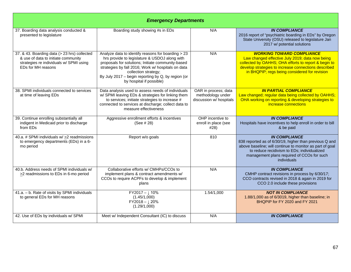| <b>Emergency Departments</b>                                                                                                                         |                                                                                                                                                                                                                                                                                                                          |                                                                      |                                                                                                                                                                                                                                                        |  |
|------------------------------------------------------------------------------------------------------------------------------------------------------|--------------------------------------------------------------------------------------------------------------------------------------------------------------------------------------------------------------------------------------------------------------------------------------------------------------------------|----------------------------------------------------------------------|--------------------------------------------------------------------------------------------------------------------------------------------------------------------------------------------------------------------------------------------------------|--|
| 37. Boarding data analysis conducted &<br>presented to legislature                                                                                   | Boarding study showing #s in EDs                                                                                                                                                                                                                                                                                         | N/A                                                                  | <b>IN COMPLIANCE</b><br>2016 report of "psychiatric boarding in EDs" by Oregon<br>State University (OSU) released to legislature Jan<br>2017 w/ potential solutions                                                                                    |  |
| 37. & 43. Boarding data (> 23 hrs) collected<br>& use of data to initiate community<br>strategies re individuals w/ SPMI using<br>EDs for MH reasons | Analyze data to identify reasons for boarding > 23<br>hrs provide to legislature & USDOJ along with<br>proposals for solutions; Initiate community-based<br>strategies by fall 2016; Work w/ hospitals on data<br>collection strategy;<br>By July 2017 – begin reporting by Q, by region (or<br>by hospital if possible) | N/A                                                                  | <b>WORKING TOWARD COMPLIANCE</b><br>Law changed effective July 2019; data now being<br>collected by OAHHS; OHA efforts to report & begin to<br>develop strategies to increase connections described<br>in BHQPIP; regs being considered for revision   |  |
| 38. SPMI individuals connected to services<br>at time of leaving EDs                                                                                 | Data analysis used to assess needs of individuals<br>w/ SPMI leaving EDs & strategies for linking them<br>to services; initiate strategies to increase #<br>connected to services at discharge; collect data to<br>measure effectiveness                                                                                 | OAR in process; data<br>methodology under<br>discussion w/ hospitals | <b>IN PARTIAL COMPLIANCE</b><br>Law changed; regular data being collected by OAHHS;<br>OHA working on reporting & developing strategies to<br>increase connections                                                                                     |  |
| 39. Continue enrolling substantially all<br>indigent in Medicaid prior to discharge<br>from EDs                                                      | Aggressive enrollment efforts & incentives<br>(See # 28)                                                                                                                                                                                                                                                                 | OHP incentive to<br>enroll in place (see<br>#28)                     | <b>IN COMPLIANCE</b><br>Hospitals have incentives to help enroll in order to bill<br>& be paid                                                                                                                                                         |  |
| 40.a. # SPMI individuals w/ > 2 readmissions<br>to emergency departments (EDs) in a 6-<br>mo period                                                  | Report w/o goals                                                                                                                                                                                                                                                                                                         | 810                                                                  | <b>IN COMPLIANCE</b><br>838 reported as of 6/30/19, higher than previous Q and<br>above baseline; will continue to monitor as part of goal<br>to reduce recidivism to EDs; individualized<br>management plans required of CCOs for such<br>individuals |  |
| 40.b. Address needs of SPMI individuals w/<br>$\geq$ readmissions to EDs in 6-mo period                                                              | Collaborative efforts w/ CMHPs/CCOs to<br>implement plans & contract amendments w/<br>CCOs to require ACPFs to develop & implement<br>plans                                                                                                                                                                              | N/A                                                                  | <b>IN COMPLIANCE</b><br>CMHP contract revisions in process by 6/30/17;<br>CCO contracts revised in 2018 & again in 2019 for<br>CCO 2.0 include these provisions                                                                                        |  |
| 41.a. - b. Rate of visits by SPMI individuals<br>to general EDs for MH reasons                                                                       | $FY2017 - 110%$<br>(1.45/1,000)<br>$FY2018 - \downarrow 20\%$<br>(1.29/1,000)                                                                                                                                                                                                                                            | 1.54/1,000                                                           | <b>NOT IN COMPLIANCE</b><br>1.88/1,000 as of 6/3019, higher than baseline; in<br>BHQPIP for FY 2020 and FY 2021                                                                                                                                        |  |
| 42. Use of EDs by individuals w/ SPMI                                                                                                                | Meet w/ Independent Consultant (IC) to discuss                                                                                                                                                                                                                                                                           | N/A                                                                  | <b>IN COMPLIANCE</b>                                                                                                                                                                                                                                   |  |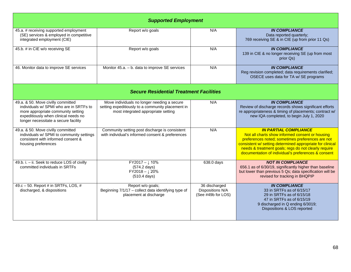| <b>Supported Employment</b>                                                                                                                                                                         |                                                                                                                                         |                                                         |                                                                                                                                                                                                                                                                                                                 |  |  |  |
|-----------------------------------------------------------------------------------------------------------------------------------------------------------------------------------------------------|-----------------------------------------------------------------------------------------------------------------------------------------|---------------------------------------------------------|-----------------------------------------------------------------------------------------------------------------------------------------------------------------------------------------------------------------------------------------------------------------------------------------------------------------|--|--|--|
| 45.a. # receiving supported employment<br>(SE) services & employed in competitive<br>integrated employment (CIE)                                                                                    | Report w/o goals                                                                                                                        | N/A                                                     | <b>IN COMPLIANCE</b><br>Data reported quarterly;<br>769 receiving SE & in CIE (up from prior 11 Qs)                                                                                                                                                                                                             |  |  |  |
| 45.b. # in CIE w/o receiving SE                                                                                                                                                                     | Report w/o goals                                                                                                                        | N/A                                                     | <b>IN COMPLIANCE</b><br>139 in CIE & no longer receiving SE (up from most<br>prior Qs)                                                                                                                                                                                                                          |  |  |  |
| 46. Monitor data to improve SE services                                                                                                                                                             | Monitor 45.a. - b. data to improve SE services                                                                                          | N/A                                                     | <b>IN COMPLIANCE</b><br>Reg revision completed; data requirements clarified;<br>OSECE uses data for TA w/ SE programs                                                                                                                                                                                           |  |  |  |
|                                                                                                                                                                                                     | <b>Secure Residential Treatment Facilities</b>                                                                                          |                                                         |                                                                                                                                                                                                                                                                                                                 |  |  |  |
| 49.a. & 50. Move civilly committed<br>individuals w/ SPMI who are in SRTFs to<br>more appropriate community setting<br>expeditiously when clinical needs no<br>longer necessitate a secure facility | Move individuals no longer needing a secure<br>setting expeditiously to a community placement in<br>most integrated appropriate setting | N/A                                                     | <b>IN COMPLIANCE</b><br>Review of discharge records shows significant efforts<br>re appropriateness & timing of placements; contract w/<br>new IQA completed, to begin July 1, 2020                                                                                                                             |  |  |  |
| 49.a. & 50. Move civilly committed<br>individuals w/ SPMI to community settings<br>consistent with informed consent &<br>housing preferences                                                        | Community setting post discharge is consistent<br>with individual's informed consent & preferences                                      | N/A                                                     | <b>IN PARTIAL COMPLIANCE</b><br>Not all charts show informed consent or housing<br>preferences noted; sometimes preferences are not<br>consistent w/ setting determined appropriate for clinical<br>needs & treatment goals; regs do not clearly require<br>documentation of individual's preferences & consent |  |  |  |
| 49.b. i. - ii. Seek to reduce LOS of civilly<br>committed individuals in SRTFs                                                                                                                      | $FY2017 - \downarrow 10\%$<br>$(574.2$ days)<br>$FY2018 - \downarrow 20\%$<br>$(510.4$ days)                                            | 638.0 days                                              | <b>NOT IN COMPLIANCE</b><br>656.1 as of 6/30/19, significantly higher than baseline<br>but lower than previous 5 Qs; data specification will be<br>revised for tracking in BHQPIP                                                                                                                               |  |  |  |
| 49.c $-50$ . Report # in SRTFs, LOS, #<br>discharged, & dispositions                                                                                                                                | Report w/o goals;<br>Beginning 7/1/17 - collect data identifying type of<br>placement at discharge                                      | 36 discharged<br>Dispositions N/A<br>(See #49b for LOS) | <b>IN COMPLIANCE</b><br>33 in SRTFs as of 6/15/17<br>29 in SRTFs as of 6/15/18<br>47 in SRTFs as of 6/15/19<br>9 discharged in Q ending 6/3019;<br>Dispositions & LOS reported                                                                                                                                  |  |  |  |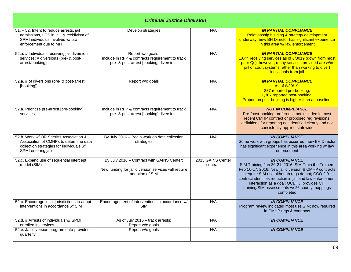| <b>Criminal Justice Diversion</b>                                                                                                                    |                                                                                                                       |                               |                                                                                                                                                                                                                                                                                                                                                                 |  |
|------------------------------------------------------------------------------------------------------------------------------------------------------|-----------------------------------------------------------------------------------------------------------------------|-------------------------------|-----------------------------------------------------------------------------------------------------------------------------------------------------------------------------------------------------------------------------------------------------------------------------------------------------------------------------------------------------------------|--|
| 51. - 52. Intent to reduce arrests, jail<br>admissions, LOS in jail, & recidivism of<br>SPMI individuals involved w/law<br>enforcement due to MH     | Develop strategies                                                                                                    | N/A                           | <b>IN PARTIAL COMPLIANCE</b><br>Relationship building & strategy development<br>underway; new BH Director has significant experience<br>in this area w/ law enforcement                                                                                                                                                                                         |  |
| 52.a. # Individuals receiving jail diversion<br>services; # diversions (pre- & post-<br>arrest/booking)                                              | Report w/o goals;<br>Include in RFP & contracts requirement to track<br>pre- & post-arrest [booking] diversions       | N/A                           | <b>IN PARTIAL COMPLIANCE</b><br>1,644 receiving services as of 6/3019 (down from most<br>prior Qs); however, many services provided are w/in<br>jail or court systems rather than working to divert<br>individuals from jail                                                                                                                                    |  |
| 52.a. # of diversions (pre- & post-arrest<br>[booking])                                                                                              | Report w/o goals                                                                                                      | N/A                           | <b>IN PARTIAL COMPLIANCE</b><br>As of 6/30/19:<br>337 reported pre-booking;<br>1,307 reported post-booking;<br>Proportion post-booking is higher than at baseline;                                                                                                                                                                                              |  |
| 52.a. Prioritize pre-arrest [pre-booking]<br>services                                                                                                | Include in RFP & contracts requirement to track<br>pre- & post-arrest [booking] diversions                            | N/A                           | <b>NOT IN COMPLIANCE</b><br>Pre-/post-booking preference not included in most<br>recent CMHP contract or proposed reg revisions;<br>definitions for reporting not identified clearly and not<br>consistently applied statewide                                                                                                                                  |  |
| 52.b. Work w/ OR Sheriffs Association &<br>Association of CMHPs to determine data<br>collection strategies for individuals w/<br>SPMI entering jails | By July 2016 - Begin work on data collection<br>strategies                                                            | N/A                           | <b>IN COMPLIANCE</b><br>Some work with groups has occurred; new BH Director<br>has significant experience in this area working w/ law<br>enforcement                                                                                                                                                                                                            |  |
| 52.c. Expand use of sequential intercept<br>model (SIM)                                                                                              | By July 2016 - Contract with GAINS Center;<br>New funding for jail diversion services will require<br>adoption of SIM | 2015 GAINS Center<br>contract | <b>IN COMPLIANCE</b><br>SIM Training Jan 20-21, 2016; SIM Train the Trainers<br>Feb 16-17, 2016; New jail diversion & CMHP contracts<br>require SIM use although regs do not; CCO 2.0<br>contract identifies reduction in jail and law enforcement<br>interaction as a goal; OCBHJI provides CIT<br>training/SIM assessments w/ 26 county mappings<br>completed |  |
| 52.c. Encourage local jurisdictions to adopt<br>interventions in accordance w/ SIM                                                                   | Encouragement of interventions in accordance w/<br><b>SIM</b>                                                         | N/A                           | <b>IN COMPLIANCE</b><br>Program review indicated most use SIM; now required<br>in CMHP regs & contracts                                                                                                                                                                                                                                                         |  |
| 52.d. # Arrests of individuals w/ SPMI<br>enrolled in services                                                                                       | As of July 2016 - track arrests;<br>Report w/o goals                                                                  | N/A                           | <b>IN COMPLIANCE</b>                                                                                                                                                                                                                                                                                                                                            |  |
| 52.e. Jail diversion program data provided<br>quarterly                                                                                              | Report w/o goals                                                                                                      | N/A                           | <b>IN COMPLIANCE</b>                                                                                                                                                                                                                                                                                                                                            |  |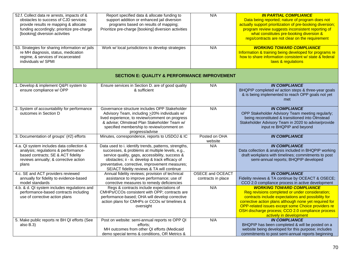| 52.f. Collect data re arrests, impacts of &<br>obstacles to success of CJD services;<br>provide results re mapping & allocate<br>funding accordingly; prioritize pre-charge<br>[booking] diversion activities<br>53. Strategies for sharing information w/ jails<br>re MH diagnosis, status, medication<br>regime, & services of incarcerated<br>individuals w/ SPMI | Report specified data & allocate funding to<br>support addition or enhanced jail diversion<br>programs based on results of mapping;<br>Prioritize pre-charge [booking] diversion activities<br>Work w/ local jurisdictions to develop strategies                                                                 | N/A<br>N/A                                    | <b>IN PARTIAL COMPLIANCE</b><br>Data being reported; nature of program does not<br>actually support prioritization of pre-booking diversion;<br>program review suggests inconsistent reporting of<br>what constitutes pre-booking diversion &<br>regs/contracts are not clear on the requirement<br><b>WORKING TOWARD COMPLIANCE</b><br>Information & training being developed for programs re<br>how to share information consistent w/ state & federal<br>laws & regulations |
|----------------------------------------------------------------------------------------------------------------------------------------------------------------------------------------------------------------------------------------------------------------------------------------------------------------------------------------------------------------------|------------------------------------------------------------------------------------------------------------------------------------------------------------------------------------------------------------------------------------------------------------------------------------------------------------------|-----------------------------------------------|--------------------------------------------------------------------------------------------------------------------------------------------------------------------------------------------------------------------------------------------------------------------------------------------------------------------------------------------------------------------------------------------------------------------------------------------------------------------------------|
|                                                                                                                                                                                                                                                                                                                                                                      | <b>SECTION E: QUALITY &amp; PERFORMANCE IMPROVEMENT</b>                                                                                                                                                                                                                                                          |                                               |                                                                                                                                                                                                                                                                                                                                                                                                                                                                                |
| 1. Develop & implement Q&PI system to<br>ensure compliance w/ OPP                                                                                                                                                                                                                                                                                                    | Ensure services in Section D. are of good quality<br>& sufficient                                                                                                                                                                                                                                                | N/A                                           | <b>IN COMPLIANCE</b><br>BHQPIP completed w/ action steps & three-year goals<br>& is being implemented to reach OPP goals not yet<br>met                                                                                                                                                                                                                                                                                                                                        |
| 2. System of accountability for performance<br>outcomes in Section D                                                                                                                                                                                                                                                                                                 | Governance structure includes OPP Stakeholder<br>Advisory Team, including >20% individuals w/<br>lived experience, to review/comment on progress<br>& advise; Olmstead Plan Stakeholder Team w/<br>specified membership to review/comment on<br>progress/advise                                                  | N/A                                           | <b>IN COMPLIANCE</b><br>OPP Stakeholder Advisory Team meeting regularly;<br>being reconstituted & transitioned into Olmstead<br>Stakeholder Advisory Team in 2020 to advise/provide<br>input re BHQPIP and beyond                                                                                                                                                                                                                                                              |
| 3. Documentation of groups' (#2) efforts                                                                                                                                                                                                                                                                                                                             | Minutes, correspondence, reports to USDOJ & IC                                                                                                                                                                                                                                                                   | Posted on OHA<br>website                      | <b>IN COMPLIANCE</b>                                                                                                                                                                                                                                                                                                                                                                                                                                                           |
| 4.a. QI system includes data collection &<br>analysis; regulations & performance-<br>based contracts; SE & ACT fidelity<br>reviews annually; & corrective action<br>plans                                                                                                                                                                                            | Data used to i. identify trends, patterns, strengths,<br>successes, & problems at multiple levels, e.g.,<br>service quality, gaps, accessibility, success &<br>obstacles; ii - iii. develop & track efficacy of<br>preventative, corrective, improvement measures;<br>SE/ACT fidelity reviews & TA will continue | N/A                                           | <b>IN COMPLIANCE</b><br>Data collection & analysis included in BHQPIP working<br>draft workplans with timelines; commitments to post<br>semi-annual reports; BHQPIP developed                                                                                                                                                                                                                                                                                                  |
| 4.c. SE and ACT providers reviewed<br>annually for fidelity to evidence-based<br>model standards                                                                                                                                                                                                                                                                     | Annual fidelity reviews; provision of technical<br>assistance to improve performance; use of<br>corrective measures to remedy deficiencies                                                                                                                                                                       | <b>OSECE and OCEACT</b><br>contracts in place | <b>IN COMPLIANCE</b><br>Fidelity reviews & TA continue by OCEACT & OSECE;<br>CCO 2.0 compliance process in active development                                                                                                                                                                                                                                                                                                                                                  |
| 4.b. & d. QI system includes regulations and<br>performance-based contracts including<br>use of corrective action plans                                                                                                                                                                                                                                              | Regs & contracts include expectations of<br>CMHPs/CCOs consistent with OPP; contracts are<br>performance-based; OHA will develop corrective<br>action plans for CMHPs or CCOs w/ timelines &<br>oversight                                                                                                        | N/A                                           | <b>WORKING TOWARD COMPLIANCE</b><br>Reg revisions completed or under consideration;<br>contracts include expectations and possibility for<br>corrective action plans although none yet required for<br>OPP-related issues except some Choice providers re<br>OSH discharge process; CCO 2.0 compliance process<br>actively in development                                                                                                                                      |
| 5. Make public reports re BH QI efforts (See<br>also B.3)                                                                                                                                                                                                                                                                                                            | Post on website: semi-annual reports re OPP QI<br>efforts:<br>MH outcomes from other QI efforts (Medicaid<br>demo special terms & conditions, OR Metrics &                                                                                                                                                       | N/A                                           | <b>IN COMPLIANCE</b><br>BHQPIP has been completed & will be posted on a<br>website being developed for this purpose; includes<br>commitments to post semi-annual reports beginning                                                                                                                                                                                                                                                                                             |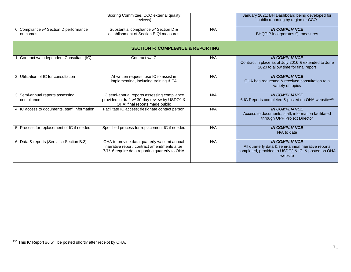<span id="page-70-0"></span>

|                                                    | Scoring Committee, CCO external quality<br>reviews)                                                                                           |     | January 2021; BH Dashboard being developed for<br>public reporting by region or CCO                                                         |
|----------------------------------------------------|-----------------------------------------------------------------------------------------------------------------------------------------------|-----|---------------------------------------------------------------------------------------------------------------------------------------------|
| 6. Compliance w/ Section D performance<br>outcomes | Substantial compliance w/ Section D &<br>establishment of Section E QI measures                                                               | N/A | <b>IN COMPLIANCE</b><br><b>BHQPIP</b> incorporates QI measures                                                                              |
| <b>SECTION F: COMPLIANCE &amp; REPORTING</b>       |                                                                                                                                               |     |                                                                                                                                             |
| 1. Contract w/ Independent Consultant (IC)         | Contract w/ IC                                                                                                                                | N/A | <b>IN COMPLIANCE</b><br>Contract in place as of July 2016 & extended to June<br>2020 to allow time for final report                         |
| 2. Utilization of IC for consultation              | At written request, use IC to assist in<br>implementing, including training & TA                                                              | N/A | <b>IN COMPLIANCE</b><br>OHA has requested & received consultation re a<br>variety of topics                                                 |
| 3. Semi-annual reports assessing<br>compliance     | IC semi-annual reports assessing compliance<br>provided in draft w/ 30-day review by USDOJ &<br>OHA; final reports made public                | N/A | <b>IN COMPLIANCE</b><br>6 IC Reports completed & posted on OHA website <sup>135</sup>                                                       |
| 4. IC access to documents, staff, information      | Facilitate IC access; designate contact person                                                                                                | N/A | <b>IN COMPLIANCE</b><br>Access to documents, staff, information facilitated<br>through OPP Project Director                                 |
| 5. Process for replacement of IC if needed         | Specified process for replacement IC if needed                                                                                                | N/A | <b>IN COMPLIANCE</b><br>N/A to date                                                                                                         |
| 6. Data & reports (See also Section B.3)           | OHA to provide data quarterly w/ semi-annual<br>narrative report; contract amendments after<br>7/1/16 require data reporting quarterly to OHA | N/A | <b>IN COMPLIANCE</b><br>All quarterly data & semi-annual narrative reports<br>completed, provided to USDOJ & IC, & posted on OHA<br>website |

<sup>135</sup> This IC Report #6 will be posted shortly after receipt by OHA.